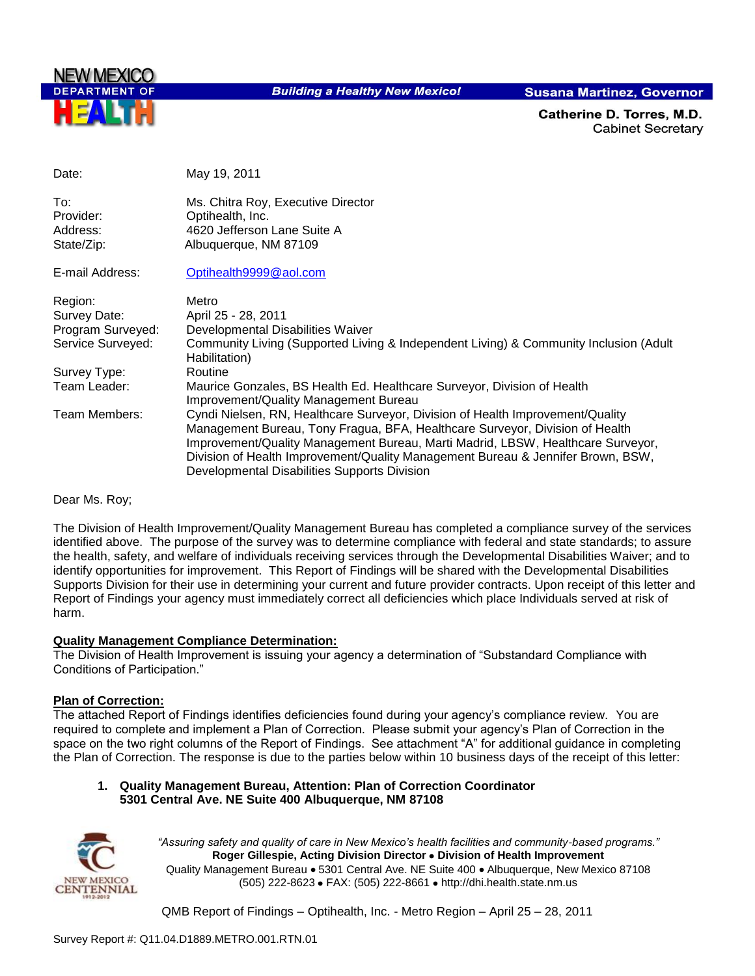

**Building a Healthy New Mexico!** 

**Susana Martinez, Governor** 

Catherine D. Torres, M.D. **Cabinet Secretary** 

| Date:                                      | May 19, 2011                                                                                                                                                                                                                                                                                                                                                                         |
|--------------------------------------------|--------------------------------------------------------------------------------------------------------------------------------------------------------------------------------------------------------------------------------------------------------------------------------------------------------------------------------------------------------------------------------------|
| To:<br>Provider:<br>Address:<br>State/Zip: | Ms. Chitra Roy, Executive Director<br>Optihealth, Inc.<br>4620 Jefferson Lane Suite A<br>Albuquerque, NM 87109                                                                                                                                                                                                                                                                       |
| E-mail Address:                            | Optihealth9999@aol.com                                                                                                                                                                                                                                                                                                                                                               |
| Region:                                    | Metro                                                                                                                                                                                                                                                                                                                                                                                |
| Survey Date:                               | April 25 - 28, 2011                                                                                                                                                                                                                                                                                                                                                                  |
| Program Surveyed:                          | Developmental Disabilities Waiver                                                                                                                                                                                                                                                                                                                                                    |
| Service Surveyed:                          | Community Living (Supported Living & Independent Living) & Community Inclusion (Adult<br>Habilitation)                                                                                                                                                                                                                                                                               |
| Survey Type:                               | Routine                                                                                                                                                                                                                                                                                                                                                                              |
| Team Leader:                               | Maurice Gonzales, BS Health Ed. Healthcare Surveyor, Division of Health<br>Improvement/Quality Management Bureau                                                                                                                                                                                                                                                                     |
| Team Members:                              | Cyndi Nielsen, RN, Healthcare Surveyor, Division of Health Improvement/Quality<br>Management Bureau, Tony Fragua, BFA, Healthcare Surveyor, Division of Health<br>Improvement/Quality Management Bureau, Marti Madrid, LBSW, Healthcare Surveyor,<br>Division of Health Improvement/Quality Management Bureau & Jennifer Brown, BSW,<br>Developmental Disabilities Supports Division |

Dear Ms. Roy;

The Division of Health Improvement/Quality Management Bureau has completed a compliance survey of the services identified above. The purpose of the survey was to determine compliance with federal and state standards; to assure the health, safety, and welfare of individuals receiving services through the Developmental Disabilities Waiver; and to identify opportunities for improvement. This Report of Findings will be shared with the Developmental Disabilities Supports Division for their use in determining your current and future provider contracts. Upon receipt of this letter and Report of Findings your agency must immediately correct all deficiencies which place Individuals served at risk of harm.

#### **Quality Management Compliance Determination:**

The Division of Health Improvement is issuing your agency a determination of "Substandard Compliance with Conditions of Participation."

#### **Plan of Correction:**

The attached Report of Findings identifies deficiencies found during your agency"s compliance review. You are required to complete and implement a Plan of Correction. Please submit your agency"s Plan of Correction in the space on the two right columns of the Report of Findings. See attachment "A" for additional guidance in completing the Plan of Correction. The response is due to the parties below within 10 business days of the receipt of this letter:

#### **1. Quality Management Bureau, Attention: Plan of Correction Coordinator 5301 Central Ave. NE Suite 400 Albuquerque, NM 87108**



*"Assuring safety and quality of care in New Mexico's health facilities and community-based programs."* **Roger Gillespie, Acting Division Director Division of Health Improvement**  Quality Management Bureau • 5301 Central Ave. NE Suite 400 • Albuquerque, New Mexico 87108 (505) 222-8623 • FAX: (505) 222-8661 • http://dhi.health.state.nm.us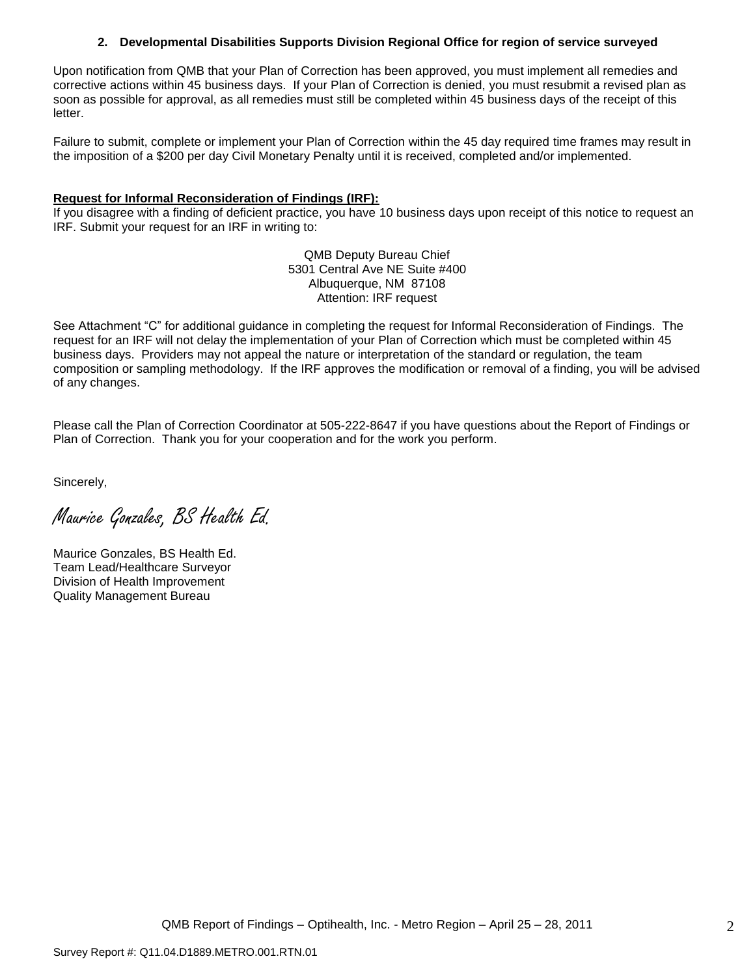#### **2. Developmental Disabilities Supports Division Regional Office for region of service surveyed**

Upon notification from QMB that your Plan of Correction has been approved, you must implement all remedies and corrective actions within 45 business days. If your Plan of Correction is denied, you must resubmit a revised plan as soon as possible for approval, as all remedies must still be completed within 45 business days of the receipt of this letter.

Failure to submit, complete or implement your Plan of Correction within the 45 day required time frames may result in the imposition of a \$200 per day Civil Monetary Penalty until it is received, completed and/or implemented.

#### **Request for Informal Reconsideration of Findings (IRF):**

If you disagree with a finding of deficient practice, you have 10 business days upon receipt of this notice to request an IRF. Submit your request for an IRF in writing to:

> QMB Deputy Bureau Chief 5301 Central Ave NE Suite #400 Albuquerque, NM 87108 Attention: IRF request

See Attachment "C" for additional guidance in completing the request for Informal Reconsideration of Findings. The request for an IRF will not delay the implementation of your Plan of Correction which must be completed within 45 business days. Providers may not appeal the nature or interpretation of the standard or regulation, the team composition or sampling methodology. If the IRF approves the modification or removal of a finding, you will be advised of any changes.

Please call the Plan of Correction Coordinator at 505-222-8647 if you have questions about the Report of Findings or Plan of Correction. Thank you for your cooperation and for the work you perform.

Sincerely,

Maurice Gonzales, BS Health Ed.

Maurice Gonzales, BS Health Ed. Team Lead/Healthcare Surveyor Division of Health Improvement Quality Management Bureau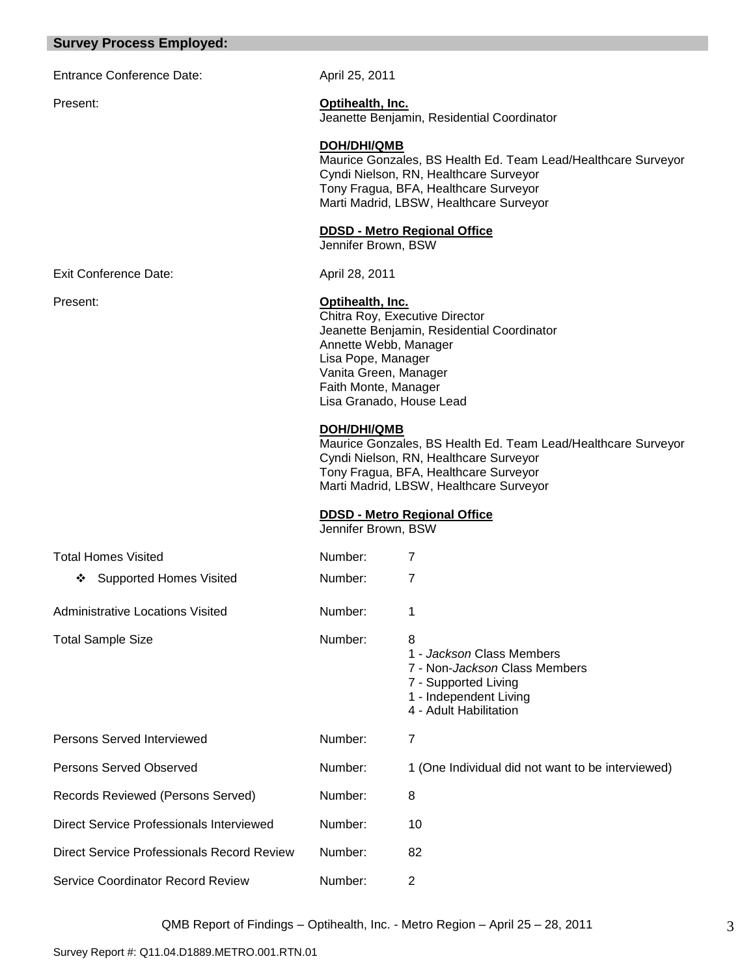#### **Survey Process Employed:**

Entrance Conference Date: April 25, 2011

Present: **Optihealth, Inc.** Jeanette Benjamin, Residential Coordinator

**DOH/DHI/QMB**

Maurice Gonzales, BS Health Ed. Team Lead/Healthcare Surveyor Cyndi Nielson, RN, Healthcare Surveyor Tony Fragua, BFA, Healthcare Surveyor Marti Madrid, LBSW, Healthcare Surveyor

**DDSD - Metro Regional Office** 

Jennifer Brown, BSW

Exit Conference Date: April 28, 2011

Present: **Optihealth, Inc.**

Chitra Roy, Executive Director Jeanette Benjamin, Residential Coordinator Annette Webb, Manager Lisa Pope, Manager Vanita Green, Manager Faith Monte, Manager Lisa Granado, House Lead

#### **DOH/DHI/QMB**

Maurice Gonzales, BS Health Ed. Team Lead/Healthcare Surveyor Cyndi Nielson, RN, Healthcare Surveyor Tony Fragua, BFA, Healthcare Surveyor Marti Madrid, LBSW, Healthcare Surveyor

#### **DDSD - Metro Regional Office**

Jennifer Brown, BSW

| <b>Total Homes Visited</b>                 | Number: | 7                                                                                                                                                   |
|--------------------------------------------|---------|-----------------------------------------------------------------------------------------------------------------------------------------------------|
| <b>Supported Homes Visited</b><br>❖        | Number: | 7                                                                                                                                                   |
| <b>Administrative Locations Visited</b>    | Number: | 1                                                                                                                                                   |
| <b>Total Sample Size</b>                   | Number: | 8<br>1 - Jackson Class Members<br>7 - Non- <i>Jackson</i> Class Members<br>7 - Supported Living<br>1 - Independent Living<br>4 - Adult Habilitation |
| Persons Served Interviewed                 | Number: | 7                                                                                                                                                   |
| Persons Served Observed                    | Number: | 1 (One Individual did not want to be interviewed)                                                                                                   |
| Records Reviewed (Persons Served)          | Number: | 8                                                                                                                                                   |
| Direct Service Professionals Interviewed   | Number: | 10                                                                                                                                                  |
| Direct Service Professionals Record Review | Number: | 82                                                                                                                                                  |
| Service Coordinator Record Review          | Number: | $\overline{2}$                                                                                                                                      |

QMB Report of Findings – Optihealth, Inc. - Metro Region – April 25 – 28, 2011

Survey Report #: Q11.04.D1889.METRO.001.RTN.01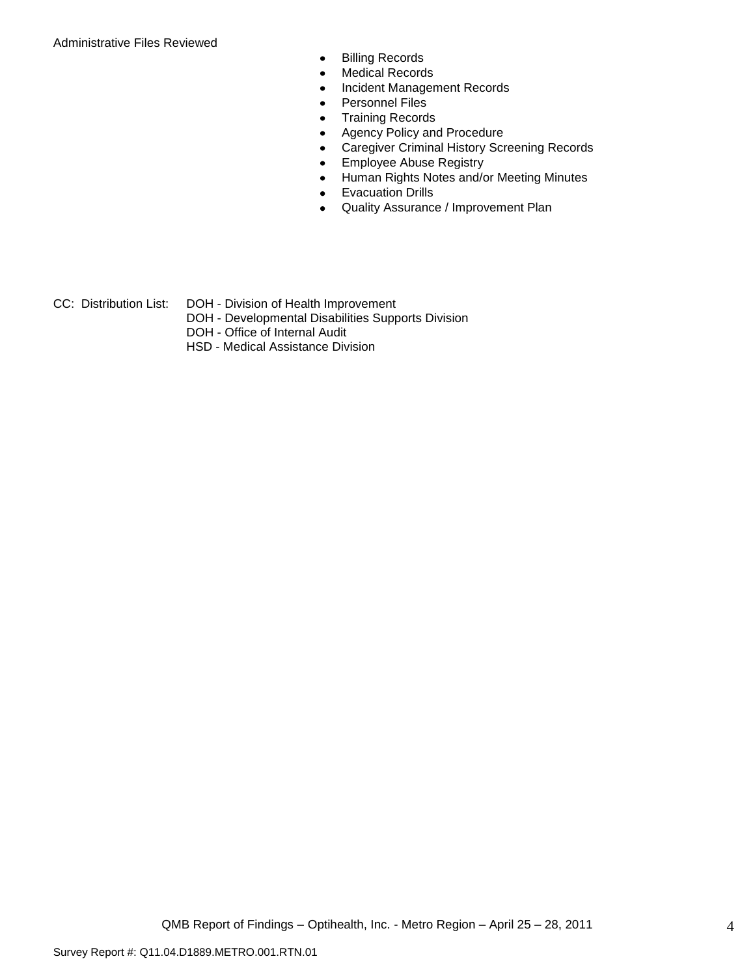Administrative Files Reviewed

- Billing Records  $\bullet$
- Medical Records  $\bullet$
- Incident Management Records  $\bullet$
- Personnel Files  $\bullet$
- Training Records  $\bullet$
- Agency Policy and Procedure  $\bullet$
- Caregiver Criminal History Screening Records  $\bullet$
- Employee Abuse Registry  $\bullet$
- Human Rights Notes and/or Meeting Minutes  $\bullet$
- Evacuation Drills  $\bullet$
- Quality Assurance / Improvement Plan  $\bullet$
- CC: Distribution List: DOH Division of Health Improvement
	- DOH Developmental Disabilities Supports Division
	- DOH Office of Internal Audit
	- HSD Medical Assistance Division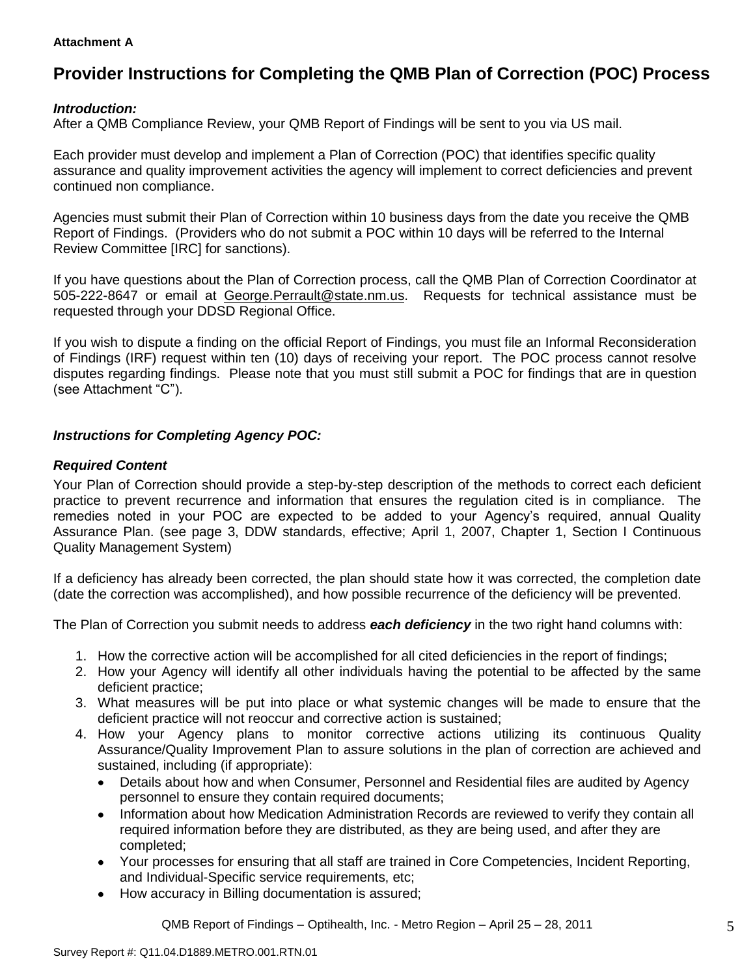#### **Attachment A**

# **Provider Instructions for Completing the QMB Plan of Correction (POC) Process**

#### *Introduction:*

After a QMB Compliance Review, your QMB Report of Findings will be sent to you via US mail.

Each provider must develop and implement a Plan of Correction (POC) that identifies specific quality assurance and quality improvement activities the agency will implement to correct deficiencies and prevent continued non compliance.

Agencies must submit their Plan of Correction within 10 business days from the date you receive the QMB Report of Findings. (Providers who do not submit a POC within 10 days will be referred to the Internal Review Committee [IRC] for sanctions).

If you have questions about the Plan of Correction process, call the QMB Plan of Correction Coordinator at 505-222-8647 or email at George.Perrault@state.nm.us. Requests for technical assistance must be requested through your DDSD Regional Office.

If you wish to dispute a finding on the official Report of Findings, you must file an Informal Reconsideration of Findings (IRF) request within ten (10) days of receiving your report. The POC process cannot resolve disputes regarding findings. Please note that you must still submit a POC for findings that are in question (see Attachment "C").

## *Instructions for Completing Agency POC:*

#### *Required Content*

Your Plan of Correction should provide a step-by-step description of the methods to correct each deficient practice to prevent recurrence and information that ensures the regulation cited is in compliance. The remedies noted in your POC are expected to be added to your Agency"s required, annual Quality Assurance Plan. (see page 3, DDW standards, effective; April 1, 2007, Chapter 1, Section I Continuous Quality Management System)

If a deficiency has already been corrected, the plan should state how it was corrected, the completion date (date the correction was accomplished), and how possible recurrence of the deficiency will be prevented.

The Plan of Correction you submit needs to address *each deficiency* in the two right hand columns with:

- 1. How the corrective action will be accomplished for all cited deficiencies in the report of findings;
- 2. How your Agency will identify all other individuals having the potential to be affected by the same deficient practice;
- 3. What measures will be put into place or what systemic changes will be made to ensure that the deficient practice will not reoccur and corrective action is sustained;
- 4. How your Agency plans to monitor corrective actions utilizing its continuous Quality Assurance/Quality Improvement Plan to assure solutions in the plan of correction are achieved and sustained, including (if appropriate):
	- Details about how and when Consumer, Personnel and Residential files are audited by Agency  $\bullet$ personnel to ensure they contain required documents;
	- Information about how Medication Administration Records are reviewed to verify they contain all  $\bullet$ required information before they are distributed, as they are being used, and after they are completed;
	- Your processes for ensuring that all staff are trained in Core Competencies, Incident Reporting, and Individual-Specific service requirements, etc;
	- How accuracy in Billing documentation is assured;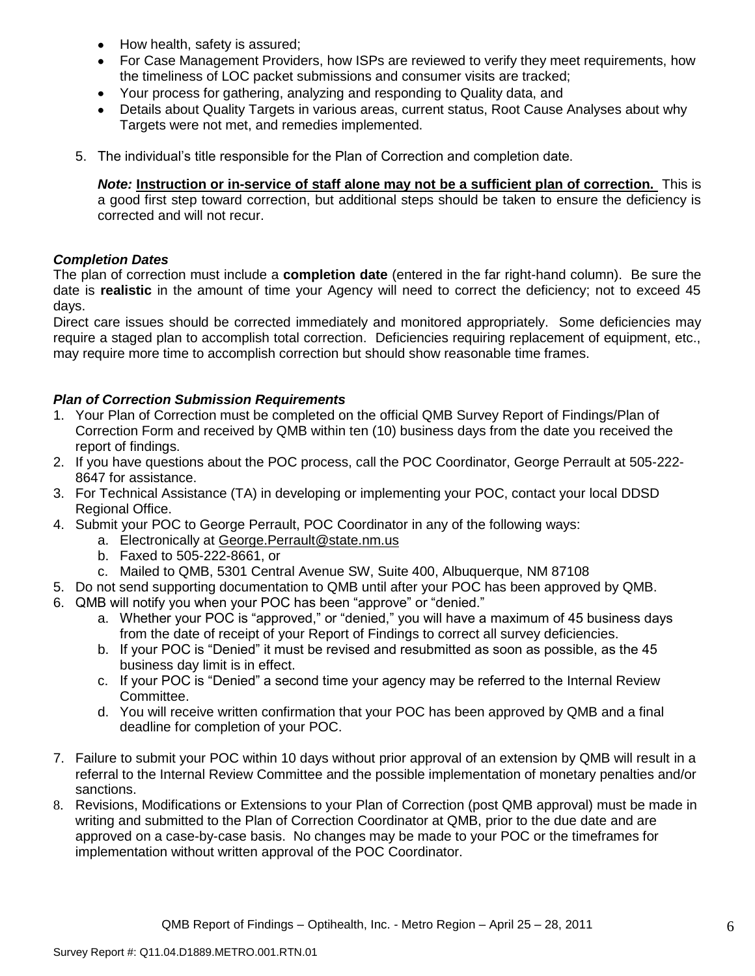- How health, safety is assured;  $\bullet$
- For Case Management Providers, how ISPs are reviewed to verify they meet requirements, how the timeliness of LOC packet submissions and consumer visits are tracked;
- $\bullet$ Your process for gathering, analyzing and responding to Quality data, and
- Details about Quality Targets in various areas, current status, Root Cause Analyses about why Targets were not met, and remedies implemented.
- 5. The individual"s title responsible for the Plan of Correction and completion date.

*Note:* **Instruction or in-service of staff alone may not be a sufficient plan of correction.** This is a good first step toward correction, but additional steps should be taken to ensure the deficiency is corrected and will not recur.

#### *Completion Dates*

The plan of correction must include a **completion date** (entered in the far right-hand column). Be sure the date is **realistic** in the amount of time your Agency will need to correct the deficiency; not to exceed 45 days.

Direct care issues should be corrected immediately and monitored appropriately. Some deficiencies may require a staged plan to accomplish total correction. Deficiencies requiring replacement of equipment, etc., may require more time to accomplish correction but should show reasonable time frames.

## *Plan of Correction Submission Requirements*

- 1. Your Plan of Correction must be completed on the official QMB Survey Report of Findings/Plan of Correction Form and received by QMB within ten (10) business days from the date you received the report of findings.
- 2. If you have questions about the POC process, call the POC Coordinator, George Perrault at 505-222- 8647 for assistance.
- 3. For Technical Assistance (TA) in developing or implementing your POC, contact your local DDSD Regional Office.
- 4. Submit your POC to George Perrault, POC Coordinator in any of the following ways:
	- a. Electronically at [George.Perrault@state.nm.us](mailto:George.Perrault@state.nm.us)
	- b. Faxed to 505-222-8661, or
	- c. Mailed to QMB, 5301 Central Avenue SW, Suite 400, Albuquerque, NM 87108
- 5. Do not send supporting documentation to QMB until after your POC has been approved by QMB.
- 6. QMB will notify you when your POC has been "approve" or "denied."
	- a. Whether your POC is "approved," or "denied," you will have a maximum of 45 business days from the date of receipt of your Report of Findings to correct all survey deficiencies.
	- b. If your POC is "Denied" it must be revised and resubmitted as soon as possible, as the 45 business day limit is in effect.
	- c. If your POC is "Denied" a second time your agency may be referred to the Internal Review Committee.
	- d. You will receive written confirmation that your POC has been approved by QMB and a final deadline for completion of your POC.
- 7. Failure to submit your POC within 10 days without prior approval of an extension by QMB will result in a referral to the Internal Review Committee and the possible implementation of monetary penalties and/or sanctions.
- 8. Revisions, Modifications or Extensions to your Plan of Correction (post QMB approval) must be made in writing and submitted to the Plan of Correction Coordinator at QMB, prior to the due date and are approved on a case-by-case basis. No changes may be made to your POC or the timeframes for implementation without written approval of the POC Coordinator.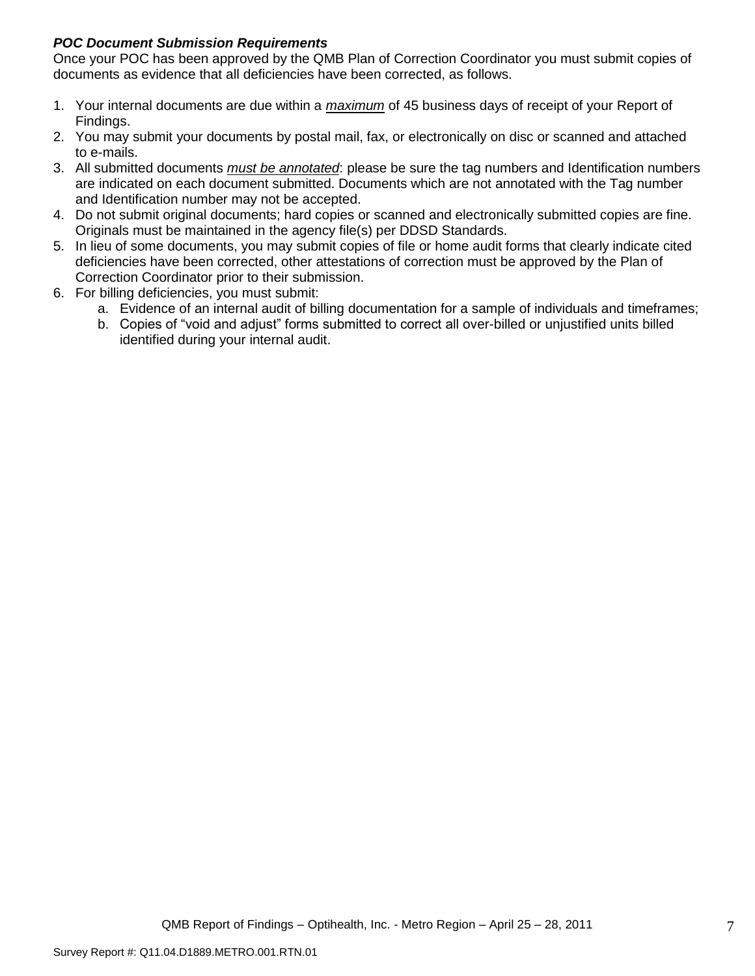## *POC Document Submission Requirements*

Once your POC has been approved by the QMB Plan of Correction Coordinator you must submit copies of documents as evidence that all deficiencies have been corrected, as follows.

- 1. Your internal documents are due within a *maximum* of 45 business days of receipt of your Report of Findings.
- 2. You may submit your documents by postal mail, fax, or electronically on disc or scanned and attached to e-mails.
- 3. All submitted documents *must be annotated*: please be sure the tag numbers and Identification numbers are indicated on each document submitted. Documents which are not annotated with the Tag number and Identification number may not be accepted.
- 4. Do not submit original documents; hard copies or scanned and electronically submitted copies are fine. Originals must be maintained in the agency file(s) per DDSD Standards.
- 5. In lieu of some documents, you may submit copies of file or home audit forms that clearly indicate cited deficiencies have been corrected, other attestations of correction must be approved by the Plan of Correction Coordinator prior to their submission.
- 6. For billing deficiencies, you must submit:
	- a. Evidence of an internal audit of billing documentation for a sample of individuals and timeframes;
	- b. Copies of "void and adjust" forms submitted to correct all over-billed or unjustified units billed identified during your internal audit.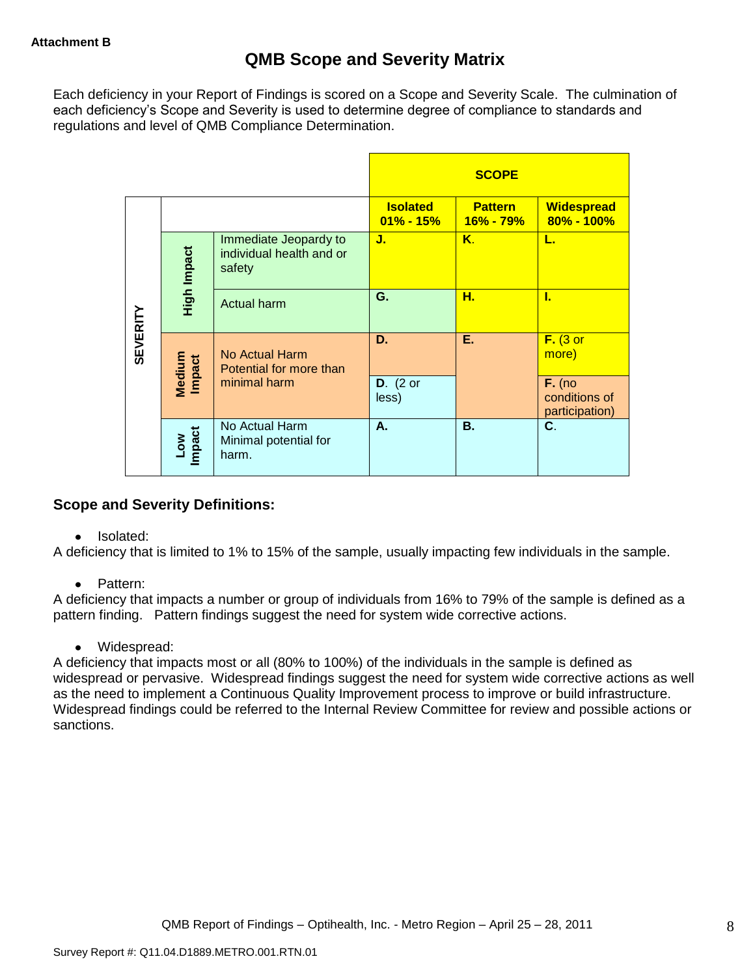Each deficiency in your Report of Findings is scored on a Scope and Severity Scale. The culmination of each deficiency"s Scope and Severity is used to determine degree of compliance to standards and regulations and level of QMB Compliance Determination.

|                 |                      |                                                             |                                  | <b>SCOPE</b>                    |                                             |
|-----------------|----------------------|-------------------------------------------------------------|----------------------------------|---------------------------------|---------------------------------------------|
|                 |                      |                                                             | <b>Isolated</b><br>$01\% - 15\%$ | <b>Pattern</b><br>$16\% - 79\%$ | <b>Widespread</b><br>$80\% - 100\%$         |
|                 | High Impact          | Immediate Jeopardy to<br>individual health and or<br>safety | J.                               | K.                              | L.                                          |
|                 |                      | Actual harm                                                 | G.                               | н.                              | L                                           |
| <b>SEVERITY</b> | Medium<br>Impact     | No Actual Harm<br>Potential for more than                   | D.                               | Ε.                              | $F.$ (3 or<br>more)                         |
|                 |                      | minimal harm                                                | $D.$ (2 or<br>less)              |                                 | $F.$ (no<br>conditions of<br>participation) |
|                 | <b>Impact</b><br>Low | No Actual Harm<br>Minimal potential for<br>harm.            | А.                               | <b>B.</b>                       | C.                                          |

## **Scope and Severity Definitions:**

• Isolated:

A deficiency that is limited to 1% to 15% of the sample, usually impacting few individuals in the sample.

• Pattern:

A deficiency that impacts a number or group of individuals from 16% to 79% of the sample is defined as a pattern finding. Pattern findings suggest the need for system wide corrective actions.

• Widespread:

A deficiency that impacts most or all (80% to 100%) of the individuals in the sample is defined as widespread or pervasive. Widespread findings suggest the need for system wide corrective actions as well as the need to implement a Continuous Quality Improvement process to improve or build infrastructure. Widespread findings could be referred to the Internal Review Committee for review and possible actions or sanctions.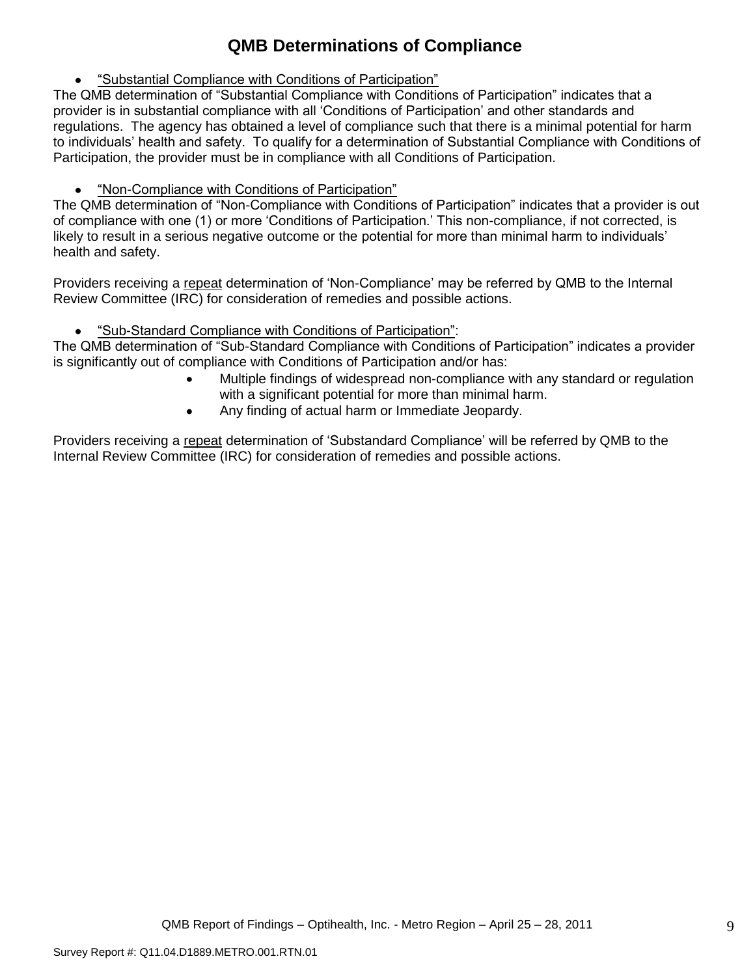# **QMB Determinations of Compliance**

"Substantial Compliance with Conditions of Participation"

The QMB determination of "Substantial Compliance with Conditions of Participation" indicates that a provider is in substantial compliance with all "Conditions of Participation" and other standards and regulations. The agency has obtained a level of compliance such that there is a minimal potential for harm to individuals" health and safety. To qualify for a determination of Substantial Compliance with Conditions of Participation, the provider must be in compliance with all Conditions of Participation.

"Non-Compliance with Conditions of Participation"

The QMB determination of "Non-Compliance with Conditions of Participation" indicates that a provider is out of compliance with one (1) or more "Conditions of Participation." This non-compliance, if not corrected, is likely to result in a serious negative outcome or the potential for more than minimal harm to individuals' health and safety.

Providers receiving a repeat determination of 'Non-Compliance' may be referred by QMB to the Internal Review Committee (IRC) for consideration of remedies and possible actions.

"Sub-Standard Compliance with Conditions of Participation":

The QMB determination of "Sub-Standard Compliance with Conditions of Participation" indicates a provider is significantly out of compliance with Conditions of Participation and/or has:

- Multiple findings of widespread non-compliance with any standard or regulation with a significant potential for more than minimal harm.
- Any finding of actual harm or Immediate Jeopardy.

Providers receiving a repeat determination of 'Substandard Compliance' will be referred by QMB to the Internal Review Committee (IRC) for consideration of remedies and possible actions.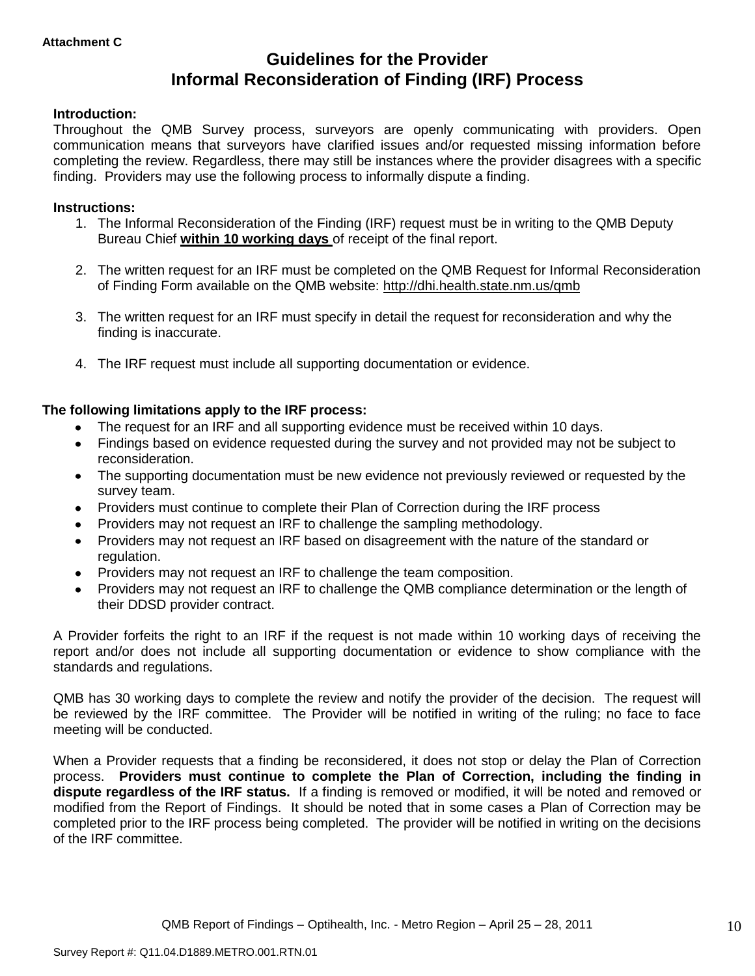# **Guidelines for the Provider Informal Reconsideration of Finding (IRF) Process**

#### **Introduction:**

Throughout the QMB Survey process, surveyors are openly communicating with providers. Open communication means that surveyors have clarified issues and/or requested missing information before completing the review. Regardless, there may still be instances where the provider disagrees with a specific finding. Providers may use the following process to informally dispute a finding.

#### **Instructions:**

- 1. The Informal Reconsideration of the Finding (IRF) request must be in writing to the QMB Deputy Bureau Chief **within 10 working days** of receipt of the final report.
- 2. The written request for an IRF must be completed on the QMB Request for Informal Reconsideration of Finding Form available on the QMB website:<http://dhi.health.state.nm.us/qmb>
- 3. The written request for an IRF must specify in detail the request for reconsideration and why the finding is inaccurate.
- 4. The IRF request must include all supporting documentation or evidence.

#### **The following limitations apply to the IRF process:**

- The request for an IRF and all supporting evidence must be received within 10 days.
- Findings based on evidence requested during the survey and not provided may not be subject to reconsideration.
- The supporting documentation must be new evidence not previously reviewed or requested by the survey team.
- Providers must continue to complete their Plan of Correction during the IRF process  $\bullet$
- Providers may not request an IRF to challenge the sampling methodology.
- Providers may not request an IRF based on disagreement with the nature of the standard or  $\bullet$ regulation.
- Providers may not request an IRF to challenge the team composition.
- Providers may not request an IRF to challenge the QMB compliance determination or the length of  $\bullet$ their DDSD provider contract.

A Provider forfeits the right to an IRF if the request is not made within 10 working days of receiving the report and/or does not include all supporting documentation or evidence to show compliance with the standards and regulations.

QMB has 30 working days to complete the review and notify the provider of the decision. The request will be reviewed by the IRF committee. The Provider will be notified in writing of the ruling; no face to face meeting will be conducted.

When a Provider requests that a finding be reconsidered, it does not stop or delay the Plan of Correction process. **Providers must continue to complete the Plan of Correction, including the finding in dispute regardless of the IRF status.** If a finding is removed or modified, it will be noted and removed or modified from the Report of Findings. It should be noted that in some cases a Plan of Correction may be completed prior to the IRF process being completed. The provider will be notified in writing on the decisions of the IRF committee.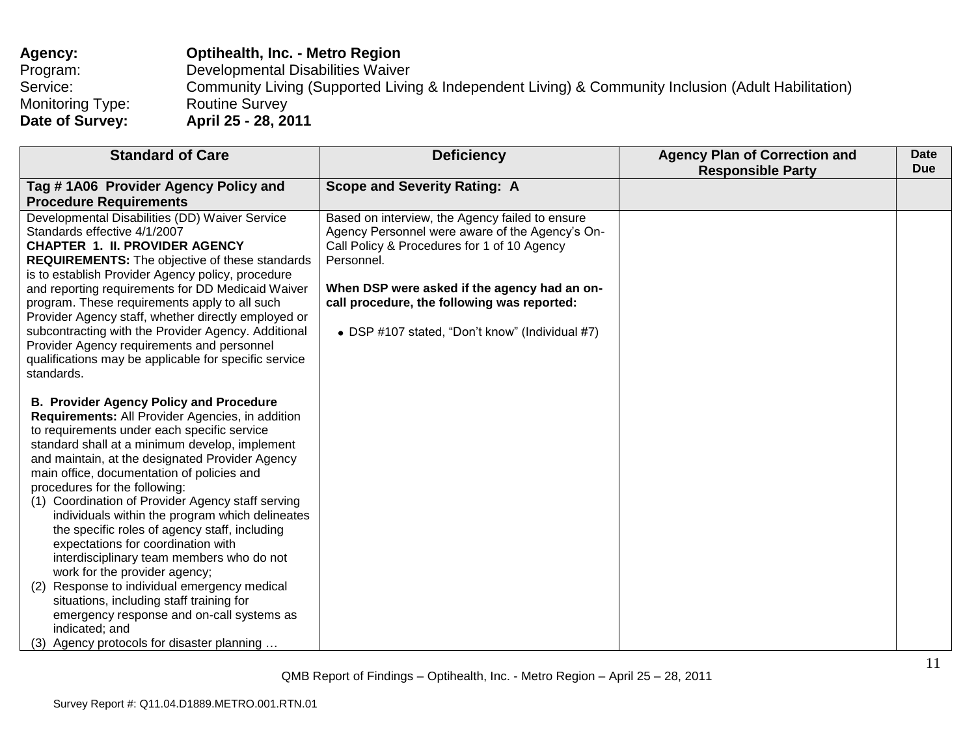| Agency:                 | <b>Optihealth, Inc. - Metro Region</b>                                                              |
|-------------------------|-----------------------------------------------------------------------------------------------------|
| Program:                | Developmental Disabilities Waiver                                                                   |
| Service:                | Community Living (Supported Living & Independent Living) & Community Inclusion (Adult Habilitation) |
| <b>Monitoring Type:</b> | <b>Routine Survey</b>                                                                               |
| Date of Survey:         | April 25 - 28, 2011                                                                                 |

| <b>Standard of Care</b>                                                                                                                                                                                                                                                                                                                                                                                                                                                                                                                                                                                                                                                                                                                                                                                                                         | <b>Deficiency</b>                                                                                                                                                                                                                                                                                                 | <b>Agency Plan of Correction and</b><br><b>Responsible Party</b> | <b>Date</b><br><b>Due</b> |
|-------------------------------------------------------------------------------------------------------------------------------------------------------------------------------------------------------------------------------------------------------------------------------------------------------------------------------------------------------------------------------------------------------------------------------------------------------------------------------------------------------------------------------------------------------------------------------------------------------------------------------------------------------------------------------------------------------------------------------------------------------------------------------------------------------------------------------------------------|-------------------------------------------------------------------------------------------------------------------------------------------------------------------------------------------------------------------------------------------------------------------------------------------------------------------|------------------------------------------------------------------|---------------------------|
| Tag #1A06 Provider Agency Policy and                                                                                                                                                                                                                                                                                                                                                                                                                                                                                                                                                                                                                                                                                                                                                                                                            | <b>Scope and Severity Rating: A</b>                                                                                                                                                                                                                                                                               |                                                                  |                           |
| <b>Procedure Requirements</b>                                                                                                                                                                                                                                                                                                                                                                                                                                                                                                                                                                                                                                                                                                                                                                                                                   |                                                                                                                                                                                                                                                                                                                   |                                                                  |                           |
| Developmental Disabilities (DD) Waiver Service<br>Standards effective 4/1/2007<br><b>CHAPTER 1. II. PROVIDER AGENCY</b><br><b>REQUIREMENTS:</b> The objective of these standards<br>is to establish Provider Agency policy, procedure<br>and reporting requirements for DD Medicaid Waiver<br>program. These requirements apply to all such<br>Provider Agency staff, whether directly employed or<br>subcontracting with the Provider Agency. Additional<br>Provider Agency requirements and personnel<br>qualifications may be applicable for specific service                                                                                                                                                                                                                                                                                | Based on interview, the Agency failed to ensure<br>Agency Personnel were aware of the Agency's On-<br>Call Policy & Procedures for 1 of 10 Agency<br>Personnel.<br>When DSP were asked if the agency had an on-<br>call procedure, the following was reported:<br>• DSP #107 stated, "Don't know" (Individual #7) |                                                                  |                           |
| standards.<br><b>B. Provider Agency Policy and Procedure</b><br>Requirements: All Provider Agencies, in addition<br>to requirements under each specific service<br>standard shall at a minimum develop, implement<br>and maintain, at the designated Provider Agency<br>main office, documentation of policies and<br>procedures for the following:<br>(1) Coordination of Provider Agency staff serving<br>individuals within the program which delineates<br>the specific roles of agency staff, including<br>expectations for coordination with<br>interdisciplinary team members who do not<br>work for the provider agency;<br>Response to individual emergency medical<br>(2)<br>situations, including staff training for<br>emergency response and on-call systems as<br>indicated; and<br>Agency protocols for disaster planning<br>(3) |                                                                                                                                                                                                                                                                                                                   |                                                                  |                           |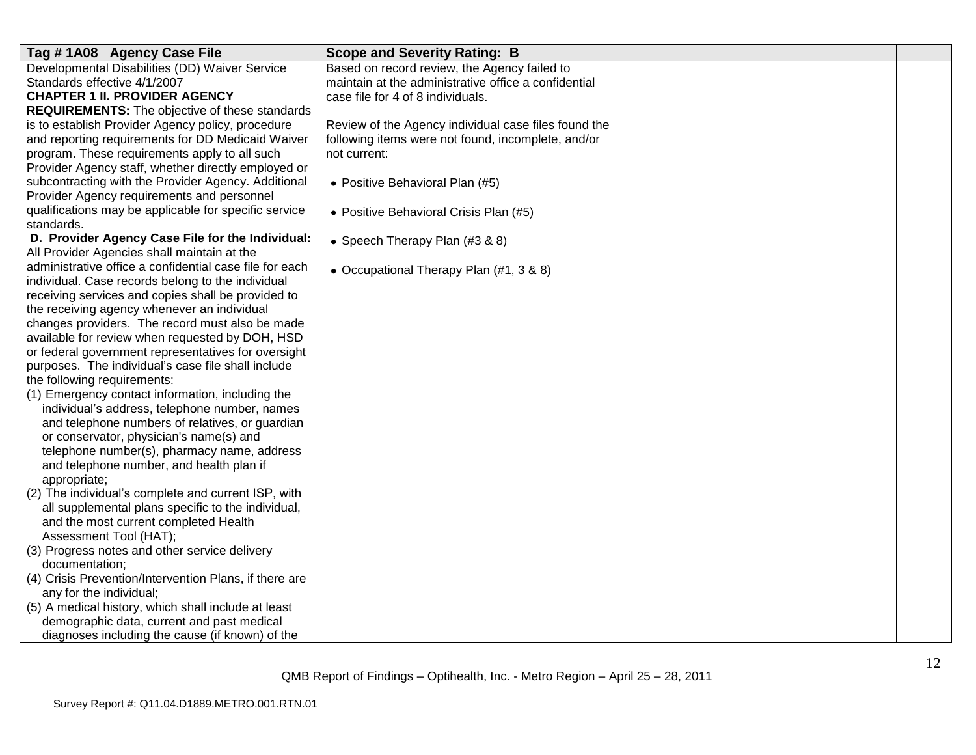| Tag #1A08 Agency Case File                              | <b>Scope and Severity Rating: B</b>                  |  |
|---------------------------------------------------------|------------------------------------------------------|--|
| Developmental Disabilities (DD) Waiver Service          | Based on record review, the Agency failed to         |  |
| Standards effective 4/1/2007                            | maintain at the administrative office a confidential |  |
| <b>CHAPTER 1 II. PROVIDER AGENCY</b>                    | case file for 4 of 8 individuals.                    |  |
| <b>REQUIREMENTS:</b> The objective of these standards   |                                                      |  |
| is to establish Provider Agency policy, procedure       | Review of the Agency individual case files found the |  |
| and reporting requirements for DD Medicaid Waiver       | following items were not found, incomplete, and/or   |  |
| program. These requirements apply to all such           | not current:                                         |  |
| Provider Agency staff, whether directly employed or     |                                                      |  |
| subcontracting with the Provider Agency. Additional     | • Positive Behavioral Plan (#5)                      |  |
| Provider Agency requirements and personnel              |                                                      |  |
| qualifications may be applicable for specific service   | • Positive Behavioral Crisis Plan (#5)               |  |
| standards.                                              |                                                      |  |
| D. Provider Agency Case File for the Individual:        | • Speech Therapy Plan (#3 & 8)                       |  |
| All Provider Agencies shall maintain at the             |                                                      |  |
| administrative office a confidential case file for each | • Occupational Therapy Plan (#1, 3 & 8)              |  |
| individual. Case records belong to the individual       |                                                      |  |
| receiving services and copies shall be provided to      |                                                      |  |
| the receiving agency whenever an individual             |                                                      |  |
| changes providers. The record must also be made         |                                                      |  |
| available for review when requested by DOH, HSD         |                                                      |  |
| or federal government representatives for oversight     |                                                      |  |
| purposes. The individual's case file shall include      |                                                      |  |
| the following requirements:                             |                                                      |  |
| (1) Emergency contact information, including the        |                                                      |  |
| individual's address, telephone number, names           |                                                      |  |
| and telephone numbers of relatives, or guardian         |                                                      |  |
| or conservator, physician's name(s) and                 |                                                      |  |
| telephone number(s), pharmacy name, address             |                                                      |  |
| and telephone number, and health plan if                |                                                      |  |
| appropriate;                                            |                                                      |  |
| (2) The individual's complete and current ISP, with     |                                                      |  |
| all supplemental plans specific to the individual,      |                                                      |  |
| and the most current completed Health                   |                                                      |  |
| Assessment Tool (HAT);                                  |                                                      |  |
| (3) Progress notes and other service delivery           |                                                      |  |
| documentation;                                          |                                                      |  |
| (4) Crisis Prevention/Intervention Plans, if there are  |                                                      |  |
| any for the individual;                                 |                                                      |  |
| (5) A medical history, which shall include at least     |                                                      |  |
| demographic data, current and past medical              |                                                      |  |
| diagnoses including the cause (if known) of the         |                                                      |  |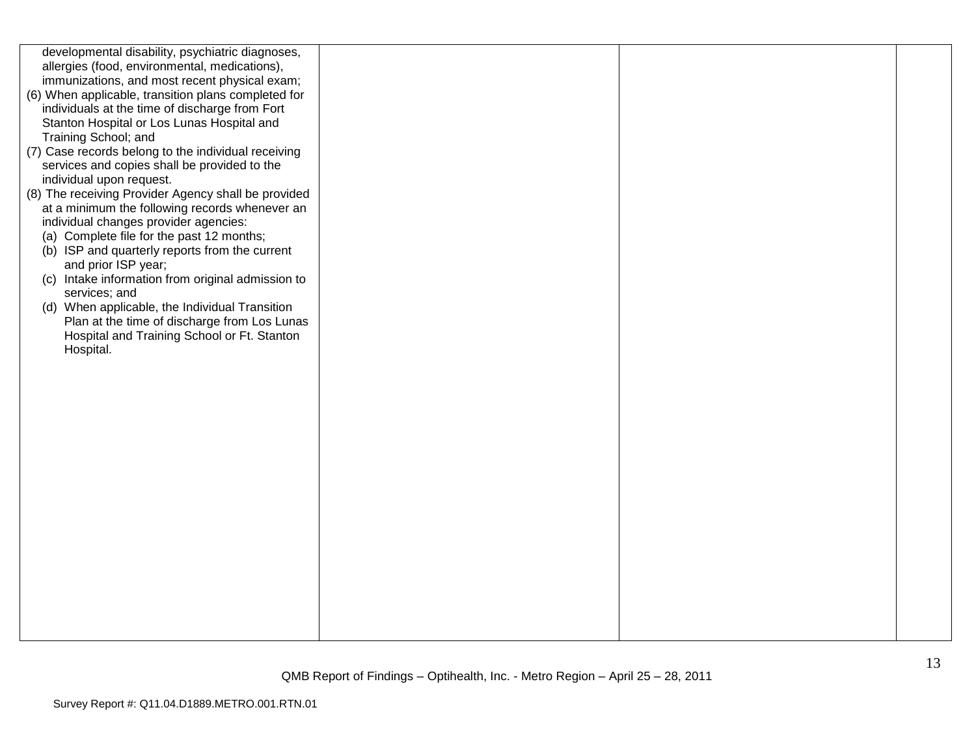| developmental disability, psychiatric diagnoses,<br>allergies (food, environmental, medications),<br>immunizations, and most recent physical exam;<br>(6) When applicable, transition plans completed for<br>individuals at the time of discharge from Fort<br>Stanton Hospital or Los Lunas Hospital and<br>Training School; and<br>(7) Case records belong to the individual receiving<br>services and copies shall be provided to the<br>individual upon request.<br>(8) The receiving Provider Agency shall be provided<br>at a minimum the following records whenever an<br>individual changes provider agencies:<br>(a) Complete file for the past 12 months;<br>(b) ISP and quarterly reports from the current<br>and prior ISP year;<br>(c) Intake information from original admission to<br>services; and<br>(d) When applicable, the Individual Transition<br>Plan at the time of discharge from Los Lunas<br>Hospital and Training School or Ft. Stanton<br>Hospital. |  |  |
|----------------------------------------------------------------------------------------------------------------------------------------------------------------------------------------------------------------------------------------------------------------------------------------------------------------------------------------------------------------------------------------------------------------------------------------------------------------------------------------------------------------------------------------------------------------------------------------------------------------------------------------------------------------------------------------------------------------------------------------------------------------------------------------------------------------------------------------------------------------------------------------------------------------------------------------------------------------------------------|--|--|
|                                                                                                                                                                                                                                                                                                                                                                                                                                                                                                                                                                                                                                                                                                                                                                                                                                                                                                                                                                                  |  |  |
|                                                                                                                                                                                                                                                                                                                                                                                                                                                                                                                                                                                                                                                                                                                                                                                                                                                                                                                                                                                  |  |  |
|                                                                                                                                                                                                                                                                                                                                                                                                                                                                                                                                                                                                                                                                                                                                                                                                                                                                                                                                                                                  |  |  |
|                                                                                                                                                                                                                                                                                                                                                                                                                                                                                                                                                                                                                                                                                                                                                                                                                                                                                                                                                                                  |  |  |
|                                                                                                                                                                                                                                                                                                                                                                                                                                                                                                                                                                                                                                                                                                                                                                                                                                                                                                                                                                                  |  |  |
|                                                                                                                                                                                                                                                                                                                                                                                                                                                                                                                                                                                                                                                                                                                                                                                                                                                                                                                                                                                  |  |  |
|                                                                                                                                                                                                                                                                                                                                                                                                                                                                                                                                                                                                                                                                                                                                                                                                                                                                                                                                                                                  |  |  |
|                                                                                                                                                                                                                                                                                                                                                                                                                                                                                                                                                                                                                                                                                                                                                                                                                                                                                                                                                                                  |  |  |
|                                                                                                                                                                                                                                                                                                                                                                                                                                                                                                                                                                                                                                                                                                                                                                                                                                                                                                                                                                                  |  |  |
|                                                                                                                                                                                                                                                                                                                                                                                                                                                                                                                                                                                                                                                                                                                                                                                                                                                                                                                                                                                  |  |  |
|                                                                                                                                                                                                                                                                                                                                                                                                                                                                                                                                                                                                                                                                                                                                                                                                                                                                                                                                                                                  |  |  |
|                                                                                                                                                                                                                                                                                                                                                                                                                                                                                                                                                                                                                                                                                                                                                                                                                                                                                                                                                                                  |  |  |
|                                                                                                                                                                                                                                                                                                                                                                                                                                                                                                                                                                                                                                                                                                                                                                                                                                                                                                                                                                                  |  |  |
|                                                                                                                                                                                                                                                                                                                                                                                                                                                                                                                                                                                                                                                                                                                                                                                                                                                                                                                                                                                  |  |  |
|                                                                                                                                                                                                                                                                                                                                                                                                                                                                                                                                                                                                                                                                                                                                                                                                                                                                                                                                                                                  |  |  |
|                                                                                                                                                                                                                                                                                                                                                                                                                                                                                                                                                                                                                                                                                                                                                                                                                                                                                                                                                                                  |  |  |
|                                                                                                                                                                                                                                                                                                                                                                                                                                                                                                                                                                                                                                                                                                                                                                                                                                                                                                                                                                                  |  |  |
|                                                                                                                                                                                                                                                                                                                                                                                                                                                                                                                                                                                                                                                                                                                                                                                                                                                                                                                                                                                  |  |  |
|                                                                                                                                                                                                                                                                                                                                                                                                                                                                                                                                                                                                                                                                                                                                                                                                                                                                                                                                                                                  |  |  |
|                                                                                                                                                                                                                                                                                                                                                                                                                                                                                                                                                                                                                                                                                                                                                                                                                                                                                                                                                                                  |  |  |
|                                                                                                                                                                                                                                                                                                                                                                                                                                                                                                                                                                                                                                                                                                                                                                                                                                                                                                                                                                                  |  |  |
|                                                                                                                                                                                                                                                                                                                                                                                                                                                                                                                                                                                                                                                                                                                                                                                                                                                                                                                                                                                  |  |  |
|                                                                                                                                                                                                                                                                                                                                                                                                                                                                                                                                                                                                                                                                                                                                                                                                                                                                                                                                                                                  |  |  |
|                                                                                                                                                                                                                                                                                                                                                                                                                                                                                                                                                                                                                                                                                                                                                                                                                                                                                                                                                                                  |  |  |
|                                                                                                                                                                                                                                                                                                                                                                                                                                                                                                                                                                                                                                                                                                                                                                                                                                                                                                                                                                                  |  |  |
|                                                                                                                                                                                                                                                                                                                                                                                                                                                                                                                                                                                                                                                                                                                                                                                                                                                                                                                                                                                  |  |  |
|                                                                                                                                                                                                                                                                                                                                                                                                                                                                                                                                                                                                                                                                                                                                                                                                                                                                                                                                                                                  |  |  |
|                                                                                                                                                                                                                                                                                                                                                                                                                                                                                                                                                                                                                                                                                                                                                                                                                                                                                                                                                                                  |  |  |
|                                                                                                                                                                                                                                                                                                                                                                                                                                                                                                                                                                                                                                                                                                                                                                                                                                                                                                                                                                                  |  |  |
|                                                                                                                                                                                                                                                                                                                                                                                                                                                                                                                                                                                                                                                                                                                                                                                                                                                                                                                                                                                  |  |  |
|                                                                                                                                                                                                                                                                                                                                                                                                                                                                                                                                                                                                                                                                                                                                                                                                                                                                                                                                                                                  |  |  |
|                                                                                                                                                                                                                                                                                                                                                                                                                                                                                                                                                                                                                                                                                                                                                                                                                                                                                                                                                                                  |  |  |
|                                                                                                                                                                                                                                                                                                                                                                                                                                                                                                                                                                                                                                                                                                                                                                                                                                                                                                                                                                                  |  |  |
|                                                                                                                                                                                                                                                                                                                                                                                                                                                                                                                                                                                                                                                                                                                                                                                                                                                                                                                                                                                  |  |  |
|                                                                                                                                                                                                                                                                                                                                                                                                                                                                                                                                                                                                                                                                                                                                                                                                                                                                                                                                                                                  |  |  |
|                                                                                                                                                                                                                                                                                                                                                                                                                                                                                                                                                                                                                                                                                                                                                                                                                                                                                                                                                                                  |  |  |
|                                                                                                                                                                                                                                                                                                                                                                                                                                                                                                                                                                                                                                                                                                                                                                                                                                                                                                                                                                                  |  |  |
|                                                                                                                                                                                                                                                                                                                                                                                                                                                                                                                                                                                                                                                                                                                                                                                                                                                                                                                                                                                  |  |  |
|                                                                                                                                                                                                                                                                                                                                                                                                                                                                                                                                                                                                                                                                                                                                                                                                                                                                                                                                                                                  |  |  |
|                                                                                                                                                                                                                                                                                                                                                                                                                                                                                                                                                                                                                                                                                                                                                                                                                                                                                                                                                                                  |  |  |
|                                                                                                                                                                                                                                                                                                                                                                                                                                                                                                                                                                                                                                                                                                                                                                                                                                                                                                                                                                                  |  |  |
|                                                                                                                                                                                                                                                                                                                                                                                                                                                                                                                                                                                                                                                                                                                                                                                                                                                                                                                                                                                  |  |  |
|                                                                                                                                                                                                                                                                                                                                                                                                                                                                                                                                                                                                                                                                                                                                                                                                                                                                                                                                                                                  |  |  |
|                                                                                                                                                                                                                                                                                                                                                                                                                                                                                                                                                                                                                                                                                                                                                                                                                                                                                                                                                                                  |  |  |
|                                                                                                                                                                                                                                                                                                                                                                                                                                                                                                                                                                                                                                                                                                                                                                                                                                                                                                                                                                                  |  |  |
|                                                                                                                                                                                                                                                                                                                                                                                                                                                                                                                                                                                                                                                                                                                                                                                                                                                                                                                                                                                  |  |  |
|                                                                                                                                                                                                                                                                                                                                                                                                                                                                                                                                                                                                                                                                                                                                                                                                                                                                                                                                                                                  |  |  |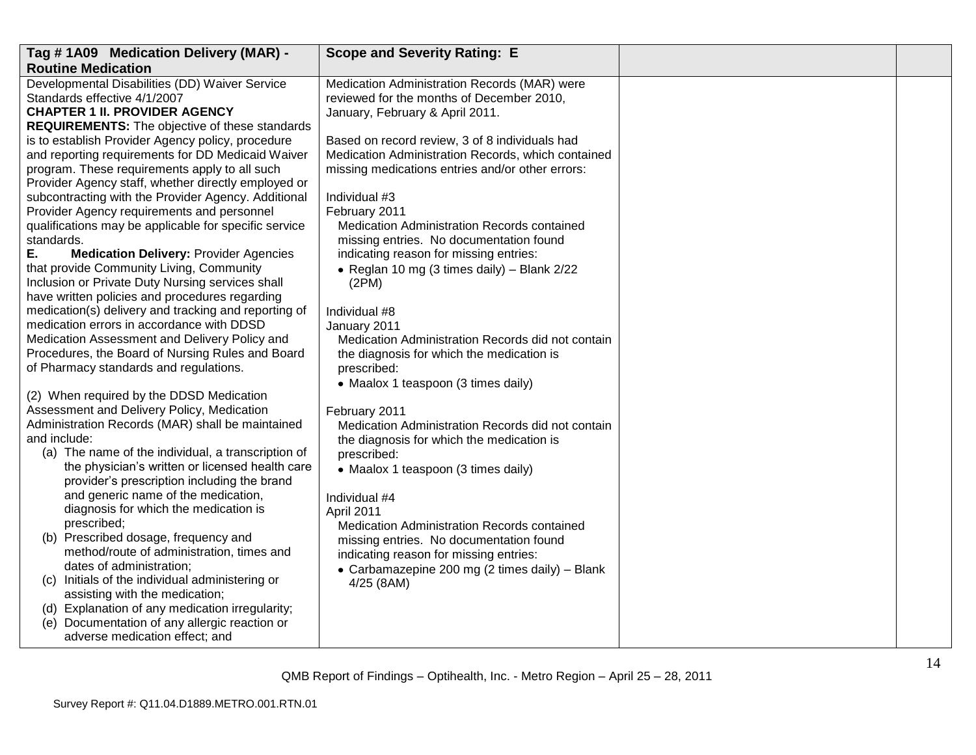| Tag #1A09 Medication Delivery (MAR) -                                                             | <b>Scope and Severity Rating: E</b>                               |  |
|---------------------------------------------------------------------------------------------------|-------------------------------------------------------------------|--|
| <b>Routine Medication</b>                                                                         |                                                                   |  |
| Developmental Disabilities (DD) Waiver Service                                                    | Medication Administration Records (MAR) were                      |  |
| Standards effective 4/1/2007                                                                      | reviewed for the months of December 2010,                         |  |
| <b>CHAPTER 1 II. PROVIDER AGENCY</b>                                                              | January, February & April 2011.                                   |  |
| <b>REQUIREMENTS:</b> The objective of these standards                                             |                                                                   |  |
| is to establish Provider Agency policy, procedure                                                 | Based on record review, 3 of 8 individuals had                    |  |
| and reporting requirements for DD Medicaid Waiver                                                 | Medication Administration Records, which contained                |  |
| program. These requirements apply to all such                                                     | missing medications entries and/or other errors:                  |  |
| Provider Agency staff, whether directly employed or                                               |                                                                   |  |
| subcontracting with the Provider Agency. Additional                                               | Individual #3                                                     |  |
| Provider Agency requirements and personnel                                                        | February 2011                                                     |  |
| qualifications may be applicable for specific service                                             | Medication Administration Records contained                       |  |
| standards.                                                                                        | missing entries. No documentation found                           |  |
| Е.<br><b>Medication Delivery: Provider Agencies</b>                                               | indicating reason for missing entries:                            |  |
| that provide Community Living, Community                                                          | • Reglan 10 mg (3 times daily) – Blank $2/22$                     |  |
| Inclusion or Private Duty Nursing services shall                                                  | (2PM)                                                             |  |
| have written policies and procedures regarding                                                    |                                                                   |  |
| medication(s) delivery and tracking and reporting of<br>medication errors in accordance with DDSD | Individual #8                                                     |  |
| Medication Assessment and Delivery Policy and                                                     | January 2011<br>Medication Administration Records did not contain |  |
| Procedures, the Board of Nursing Rules and Board                                                  |                                                                   |  |
| of Pharmacy standards and regulations.                                                            | the diagnosis for which the medication is<br>prescribed:          |  |
|                                                                                                   |                                                                   |  |
| (2) When required by the DDSD Medication                                                          | • Maalox 1 teaspoon (3 times daily)                               |  |
| Assessment and Delivery Policy, Medication                                                        | February 2011                                                     |  |
| Administration Records (MAR) shall be maintained                                                  | Medication Administration Records did not contain                 |  |
| and include:                                                                                      | the diagnosis for which the medication is                         |  |
| (a) The name of the individual, a transcription of                                                | prescribed:                                                       |  |
| the physician's written or licensed health care                                                   | • Maalox 1 teaspoon (3 times daily)                               |  |
| provider's prescription including the brand                                                       |                                                                   |  |
| and generic name of the medication,                                                               | Individual #4                                                     |  |
| diagnosis for which the medication is                                                             | April 2011                                                        |  |
| prescribed;                                                                                       | Medication Administration Records contained                       |  |
| (b) Prescribed dosage, frequency and                                                              | missing entries. No documentation found                           |  |
| method/route of administration, times and                                                         | indicating reason for missing entries:                            |  |
| dates of administration;                                                                          | • Carbamazepine 200 mg (2 times daily) - Blank                    |  |
| (c) Initials of the individual administering or                                                   | 4/25 (8AM)                                                        |  |
| assisting with the medication;                                                                    |                                                                   |  |
| (d) Explanation of any medication irregularity;                                                   |                                                                   |  |
| (e) Documentation of any allergic reaction or                                                     |                                                                   |  |
| adverse medication effect; and                                                                    |                                                                   |  |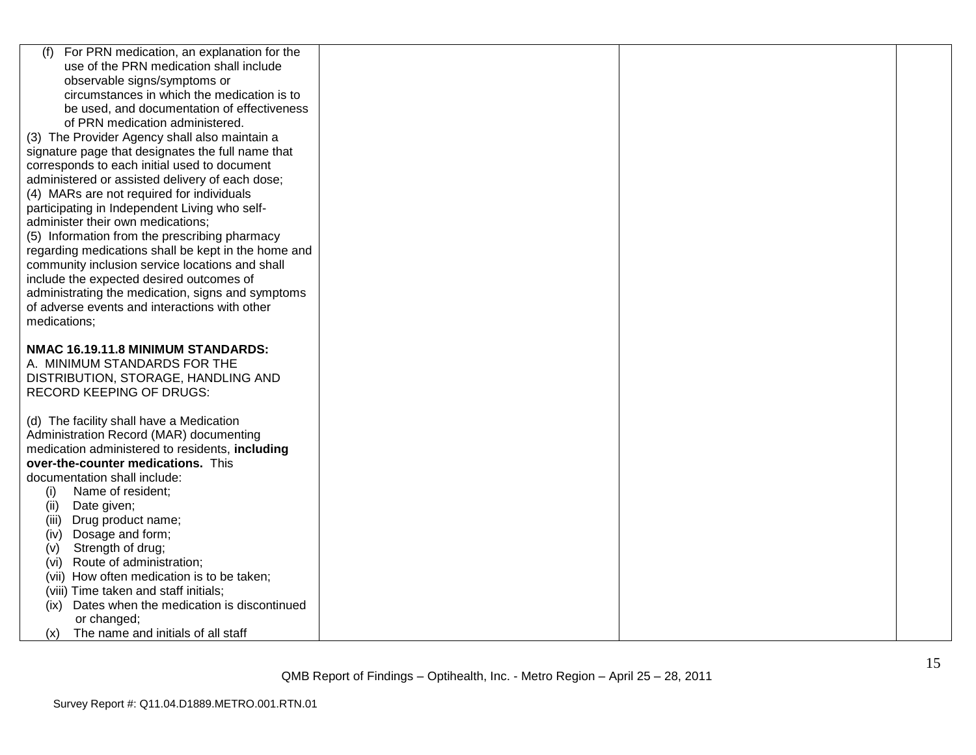| For PRN medication, an explanation for the<br>(f)   |  |  |
|-----------------------------------------------------|--|--|
| use of the PRN medication shall include             |  |  |
| observable signs/symptoms or                        |  |  |
| circumstances in which the medication is to         |  |  |
| be used, and documentation of effectiveness         |  |  |
| of PRN medication administered.                     |  |  |
| (3) The Provider Agency shall also maintain a       |  |  |
| signature page that designates the full name that   |  |  |
| corresponds to each initial used to document        |  |  |
| administered or assisted delivery of each dose;     |  |  |
| (4) MARs are not required for individuals           |  |  |
| participating in Independent Living who self-       |  |  |
| administer their own medications;                   |  |  |
| (5) Information from the prescribing pharmacy       |  |  |
| regarding medications shall be kept in the home and |  |  |
| community inclusion service locations and shall     |  |  |
| include the expected desired outcomes of            |  |  |
| administrating the medication, signs and symptoms   |  |  |
| of adverse events and interactions with other       |  |  |
| medications;                                        |  |  |
|                                                     |  |  |
| NMAC 16.19.11.8 MINIMUM STANDARDS:                  |  |  |
| A. MINIMUM STANDARDS FOR THE                        |  |  |
| DISTRIBUTION, STORAGE, HANDLING AND                 |  |  |
| <b>RECORD KEEPING OF DRUGS:</b>                     |  |  |
|                                                     |  |  |
| (d) The facility shall have a Medication            |  |  |
| Administration Record (MAR) documenting             |  |  |
| medication administered to residents, including     |  |  |
| over-the-counter medications. This                  |  |  |
| documentation shall include:                        |  |  |
| Name of resident;<br>(i)                            |  |  |
| (ii)<br>Date given;                                 |  |  |
| Drug product name;<br>(iii)                         |  |  |
| Dosage and form;<br>(iv)                            |  |  |
| Strength of drug;<br>(v)                            |  |  |
| Route of administration;<br>(vi)                    |  |  |
| (vii) How often medication is to be taken;          |  |  |
| (viii) Time taken and staff initials;               |  |  |
| Dates when the medication is discontinued<br>(ix)   |  |  |
| or changed;                                         |  |  |
| The name and initials of all staff<br>(x)           |  |  |
|                                                     |  |  |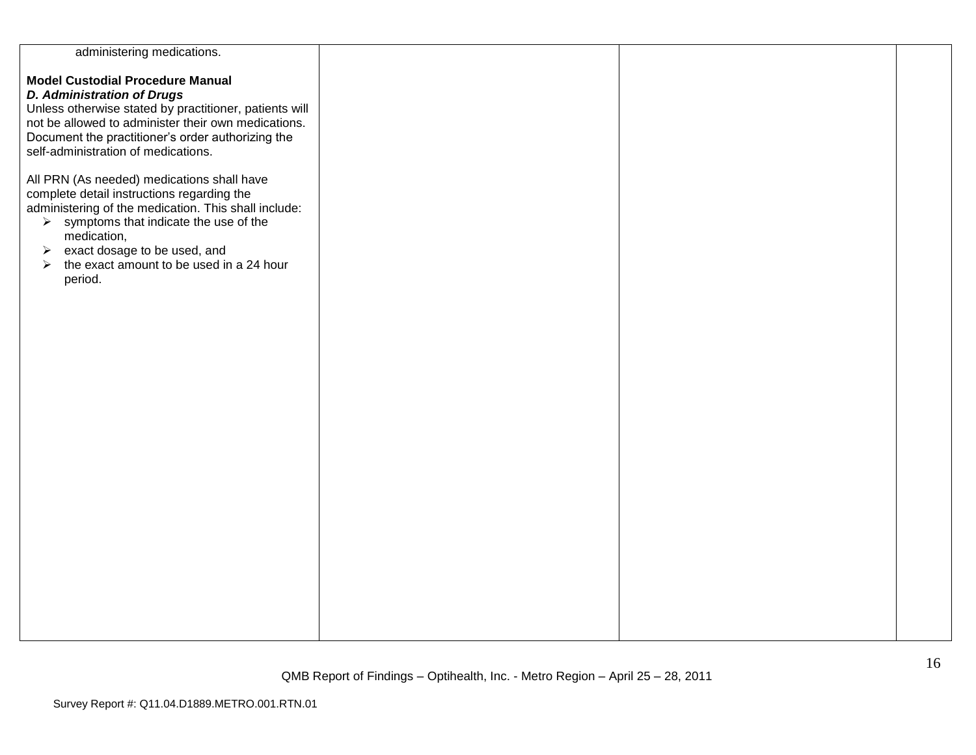| administering medications.                                        |  |  |
|-------------------------------------------------------------------|--|--|
|                                                                   |  |  |
| <b>Model Custodial Procedure Manual</b>                           |  |  |
|                                                                   |  |  |
| <b>D. Administration of Drugs</b>                                 |  |  |
| Unless otherwise stated by practitioner, patients will            |  |  |
| not be allowed to administer their own medications.               |  |  |
| Document the practitioner's order authorizing the                 |  |  |
| self-administration of medications.                               |  |  |
|                                                                   |  |  |
| All PRN (As needed) medications shall have                        |  |  |
| complete detail instructions regarding the                        |  |  |
| administering of the medication. This shall include:              |  |  |
| $\triangleright$ symptoms that indicate the use of the            |  |  |
| medication,                                                       |  |  |
| exact dosage to be used, and<br>$\blacktriangleright$             |  |  |
| the exact amount to be used in a 24 hour<br>$\blacktriangleright$ |  |  |
| period.                                                           |  |  |
|                                                                   |  |  |
|                                                                   |  |  |
|                                                                   |  |  |
|                                                                   |  |  |
|                                                                   |  |  |
|                                                                   |  |  |
|                                                                   |  |  |
|                                                                   |  |  |
|                                                                   |  |  |
|                                                                   |  |  |
|                                                                   |  |  |
|                                                                   |  |  |
|                                                                   |  |  |
|                                                                   |  |  |
|                                                                   |  |  |
|                                                                   |  |  |
|                                                                   |  |  |
|                                                                   |  |  |
|                                                                   |  |  |
|                                                                   |  |  |
|                                                                   |  |  |
|                                                                   |  |  |
|                                                                   |  |  |
|                                                                   |  |  |
|                                                                   |  |  |
|                                                                   |  |  |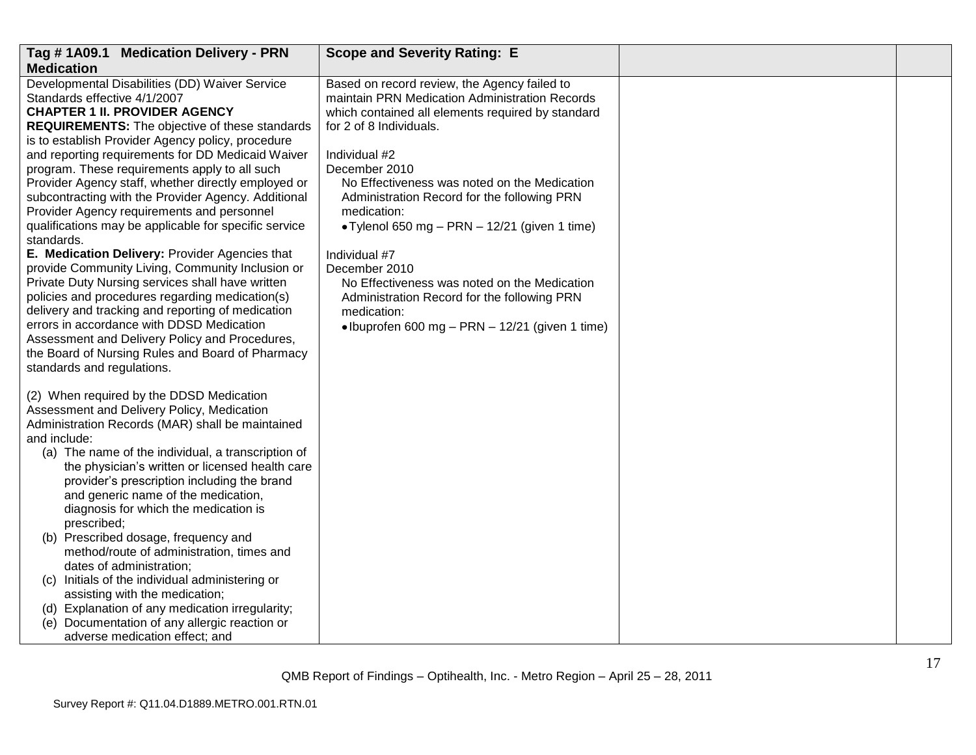| Tag #1A09.1 Medication Delivery - PRN                                                       | <b>Scope and Severity Rating: E</b>                                                                 |  |
|---------------------------------------------------------------------------------------------|-----------------------------------------------------------------------------------------------------|--|
| <b>Medication</b>                                                                           |                                                                                                     |  |
| Developmental Disabilities (DD) Waiver Service                                              | Based on record review, the Agency failed to                                                        |  |
| Standards effective 4/1/2007<br><b>CHAPTER 1 II. PROVIDER AGENCY</b>                        | maintain PRN Medication Administration Records<br>which contained all elements required by standard |  |
| <b>REQUIREMENTS:</b> The objective of these standards                                       | for 2 of 8 Individuals.                                                                             |  |
| is to establish Provider Agency policy, procedure                                           |                                                                                                     |  |
| and reporting requirements for DD Medicaid Waiver                                           | Individual #2                                                                                       |  |
| program. These requirements apply to all such                                               | December 2010                                                                                       |  |
| Provider Agency staff, whether directly employed or                                         | No Effectiveness was noted on the Medication                                                        |  |
| subcontracting with the Provider Agency. Additional                                         | Administration Record for the following PRN                                                         |  |
| Provider Agency requirements and personnel                                                  | medication:                                                                                         |  |
| qualifications may be applicable for specific service<br>standards.                         | • Tylenol 650 mg – PRN – 12/21 (given 1 time)                                                       |  |
| E. Medication Delivery: Provider Agencies that                                              | Individual #7                                                                                       |  |
| provide Community Living, Community Inclusion or                                            | December 2010                                                                                       |  |
| Private Duty Nursing services shall have written                                            | No Effectiveness was noted on the Medication                                                        |  |
| policies and procedures regarding medication(s)                                             | Administration Record for the following PRN                                                         |  |
| delivery and tracking and reporting of medication                                           | medication:                                                                                         |  |
| errors in accordance with DDSD Medication<br>Assessment and Delivery Policy and Procedures, | • Ibuprofen 600 mg - PRN - 12/21 (given 1 time)                                                     |  |
| the Board of Nursing Rules and Board of Pharmacy                                            |                                                                                                     |  |
| standards and regulations.                                                                  |                                                                                                     |  |
|                                                                                             |                                                                                                     |  |
| (2) When required by the DDSD Medication                                                    |                                                                                                     |  |
| Assessment and Delivery Policy, Medication                                                  |                                                                                                     |  |
| Administration Records (MAR) shall be maintained<br>and include:                            |                                                                                                     |  |
| (a) The name of the individual, a transcription of                                          |                                                                                                     |  |
| the physician's written or licensed health care                                             |                                                                                                     |  |
| provider's prescription including the brand                                                 |                                                                                                     |  |
| and generic name of the medication,                                                         |                                                                                                     |  |
| diagnosis for which the medication is                                                       |                                                                                                     |  |
| prescribed;                                                                                 |                                                                                                     |  |
| (b) Prescribed dosage, frequency and                                                        |                                                                                                     |  |
| method/route of administration, times and<br>dates of administration;                       |                                                                                                     |  |
| (c) Initials of the individual administering or                                             |                                                                                                     |  |
| assisting with the medication;                                                              |                                                                                                     |  |
| (d) Explanation of any medication irregularity;                                             |                                                                                                     |  |
| Documentation of any allergic reaction or<br>(e)                                            |                                                                                                     |  |
| adverse medication effect; and                                                              |                                                                                                     |  |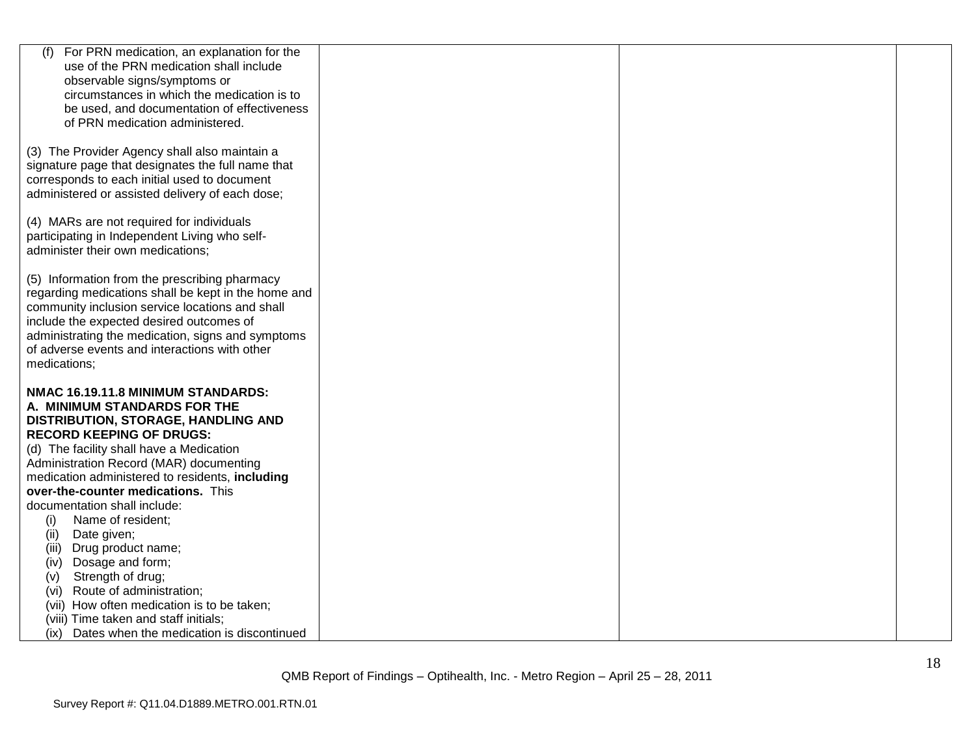| (f)<br>For PRN medication, an explanation for the                           |  |  |
|-----------------------------------------------------------------------------|--|--|
| use of the PRN medication shall include<br>observable signs/symptoms or     |  |  |
| circumstances in which the medication is to                                 |  |  |
| be used, and documentation of effectiveness                                 |  |  |
| of PRN medication administered.                                             |  |  |
|                                                                             |  |  |
| (3) The Provider Agency shall also maintain a                               |  |  |
| signature page that designates the full name that                           |  |  |
| corresponds to each initial used to document                                |  |  |
| administered or assisted delivery of each dose;                             |  |  |
|                                                                             |  |  |
| (4) MARs are not required for individuals                                   |  |  |
| participating in Independent Living who self-                               |  |  |
| administer their own medications;                                           |  |  |
| (5) Information from the prescribing pharmacy                               |  |  |
| regarding medications shall be kept in the home and                         |  |  |
| community inclusion service locations and shall                             |  |  |
| include the expected desired outcomes of                                    |  |  |
| administrating the medication, signs and symptoms                           |  |  |
| of adverse events and interactions with other                               |  |  |
| medications;                                                                |  |  |
|                                                                             |  |  |
| NMAC 16.19.11.8 MINIMUM STANDARDS:                                          |  |  |
| A. MINIMUM STANDARDS FOR THE                                                |  |  |
| DISTRIBUTION, STORAGE, HANDLING AND                                         |  |  |
| <b>RECORD KEEPING OF DRUGS:</b><br>(d) The facility shall have a Medication |  |  |
| Administration Record (MAR) documenting                                     |  |  |
| medication administered to residents, including                             |  |  |
| over-the-counter medications. This                                          |  |  |
| documentation shall include:                                                |  |  |
| (i)<br>Name of resident;                                                    |  |  |
| Date given;<br>(ii)                                                         |  |  |
| Drug product name;<br>(iii)                                                 |  |  |
| Dosage and form;<br>(iv)                                                    |  |  |
| Strength of drug;<br>(V)                                                    |  |  |
| (vi) Route of administration;                                               |  |  |
| (vii) How often medication is to be taken;                                  |  |  |
| (viii) Time taken and staff initials;                                       |  |  |
| Dates when the medication is discontinued<br>(ix)                           |  |  |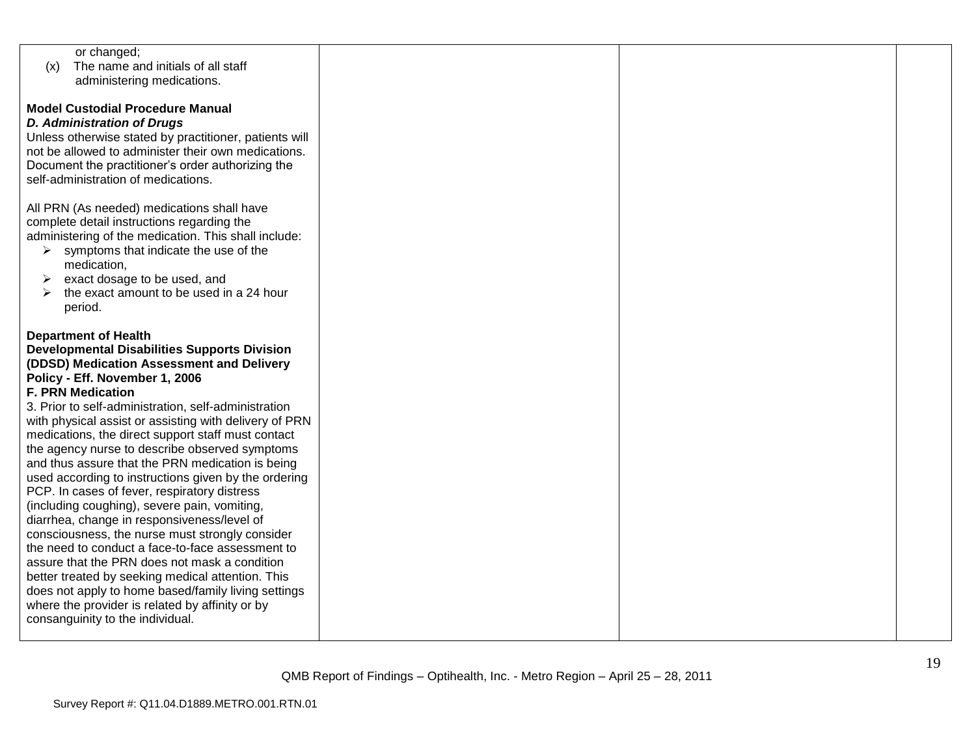| or changed;                       |                                                        |  |  |
|-----------------------------------|--------------------------------------------------------|--|--|
| (x)                               | The name and initials of all staff                     |  |  |
|                                   | administering medications.                             |  |  |
|                                   |                                                        |  |  |
|                                   | <b>Model Custodial Procedure Manual</b>                |  |  |
| <b>D. Administration of Drugs</b> |                                                        |  |  |
|                                   | Unless otherwise stated by practitioner, patients will |  |  |
|                                   |                                                        |  |  |
|                                   | not be allowed to administer their own medications.    |  |  |
|                                   | Document the practitioner's order authorizing the      |  |  |
|                                   | self-administration of medications.                    |  |  |
|                                   |                                                        |  |  |
|                                   | All PRN (As needed) medications shall have             |  |  |
|                                   | complete detail instructions regarding the             |  |  |
|                                   | administering of the medication. This shall include:   |  |  |
| ➤                                 | symptoms that indicate the use of the                  |  |  |
| medication,                       |                                                        |  |  |
| ➤                                 | exact dosage to be used, and                           |  |  |
|                                   | the exact amount to be used in a 24 hour               |  |  |
| period.                           |                                                        |  |  |
|                                   |                                                        |  |  |
| <b>Department of Health</b>       |                                                        |  |  |
|                                   | <b>Developmental Disabilities Supports Division</b>    |  |  |
|                                   | (DDSD) Medication Assessment and Delivery              |  |  |
|                                   |                                                        |  |  |
| Policy - Eff. November 1, 2006    |                                                        |  |  |
| <b>F. PRN Medication</b>          |                                                        |  |  |
|                                   | 3. Prior to self-administration, self-administration   |  |  |
|                                   | with physical assist or assisting with delivery of PRN |  |  |
|                                   | medications, the direct support staff must contact     |  |  |
|                                   | the agency nurse to describe observed symptoms         |  |  |
|                                   | and thus assure that the PRN medication is being       |  |  |
|                                   | used according to instructions given by the ordering   |  |  |
|                                   | PCP. In cases of fever, respiratory distress           |  |  |
|                                   | (including coughing), severe pain, vomiting,           |  |  |
|                                   | diarrhea, change in responsiveness/level of            |  |  |
|                                   | consciousness, the nurse must strongly consider        |  |  |
|                                   | the need to conduct a face-to-face assessment to       |  |  |
|                                   | assure that the PRN does not mask a condition          |  |  |
|                                   | better treated by seeking medical attention. This      |  |  |
|                                   | does not apply to home based/family living settings    |  |  |
|                                   | where the provider is related by affinity or by        |  |  |
|                                   |                                                        |  |  |
| consanguinity to the individual.  |                                                        |  |  |
|                                   |                                                        |  |  |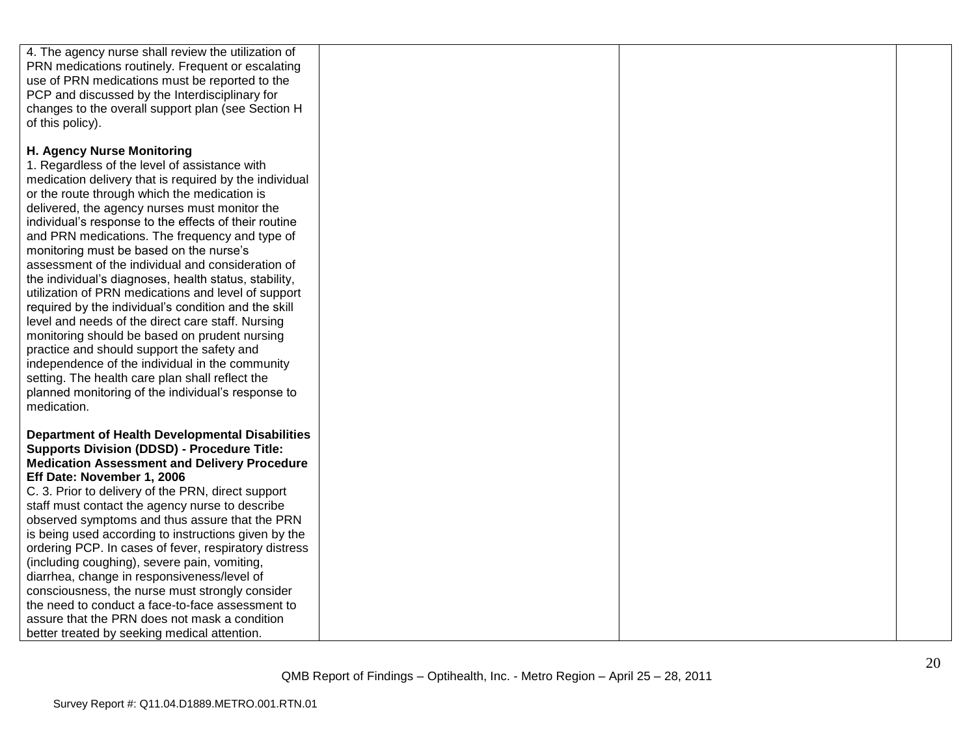| 4. The agency nurse shall review the utilization of                                                   |  |  |
|-------------------------------------------------------------------------------------------------------|--|--|
| PRN medications routinely. Frequent or escalating                                                     |  |  |
| use of PRN medications must be reported to the                                                        |  |  |
| PCP and discussed by the Interdisciplinary for                                                        |  |  |
| changes to the overall support plan (see Section H                                                    |  |  |
| of this policy).                                                                                      |  |  |
|                                                                                                       |  |  |
| H. Agency Nurse Monitoring                                                                            |  |  |
| 1. Regardless of the level of assistance with                                                         |  |  |
| medication delivery that is required by the individual                                                |  |  |
| or the route through which the medication is                                                          |  |  |
| delivered, the agency nurses must monitor the                                                         |  |  |
| individual's response to the effects of their routine                                                 |  |  |
| and PRN medications. The frequency and type of                                                        |  |  |
| monitoring must be based on the nurse's                                                               |  |  |
| assessment of the individual and consideration of                                                     |  |  |
| the individual's diagnoses, health status, stability,                                                 |  |  |
| utilization of PRN medications and level of support                                                   |  |  |
| required by the individual's condition and the skill                                                  |  |  |
| level and needs of the direct care staff. Nursing                                                     |  |  |
| monitoring should be based on prudent nursing                                                         |  |  |
| practice and should support the safety and                                                            |  |  |
| independence of the individual in the community                                                       |  |  |
| setting. The health care plan shall reflect the                                                       |  |  |
| planned monitoring of the individual's response to                                                    |  |  |
| medication.                                                                                           |  |  |
|                                                                                                       |  |  |
| <b>Department of Health Developmental Disabilities</b>                                                |  |  |
| <b>Supports Division (DDSD) - Procedure Title:</b>                                                    |  |  |
| <b>Medication Assessment and Delivery Procedure</b>                                                   |  |  |
| Eff Date: November 1, 2006                                                                            |  |  |
| C. 3. Prior to delivery of the PRN, direct support<br>staff must contact the agency nurse to describe |  |  |
| observed symptoms and thus assure that the PRN                                                        |  |  |
| is being used according to instructions given by the                                                  |  |  |
| ordering PCP. In cases of fever, respiratory distress                                                 |  |  |
| (including coughing), severe pain, vomiting,                                                          |  |  |
| diarrhea, change in responsiveness/level of                                                           |  |  |
| consciousness, the nurse must strongly consider                                                       |  |  |
| the need to conduct a face-to-face assessment to                                                      |  |  |
| assure that the PRN does not mask a condition                                                         |  |  |
| better treated by seeking medical attention.                                                          |  |  |
|                                                                                                       |  |  |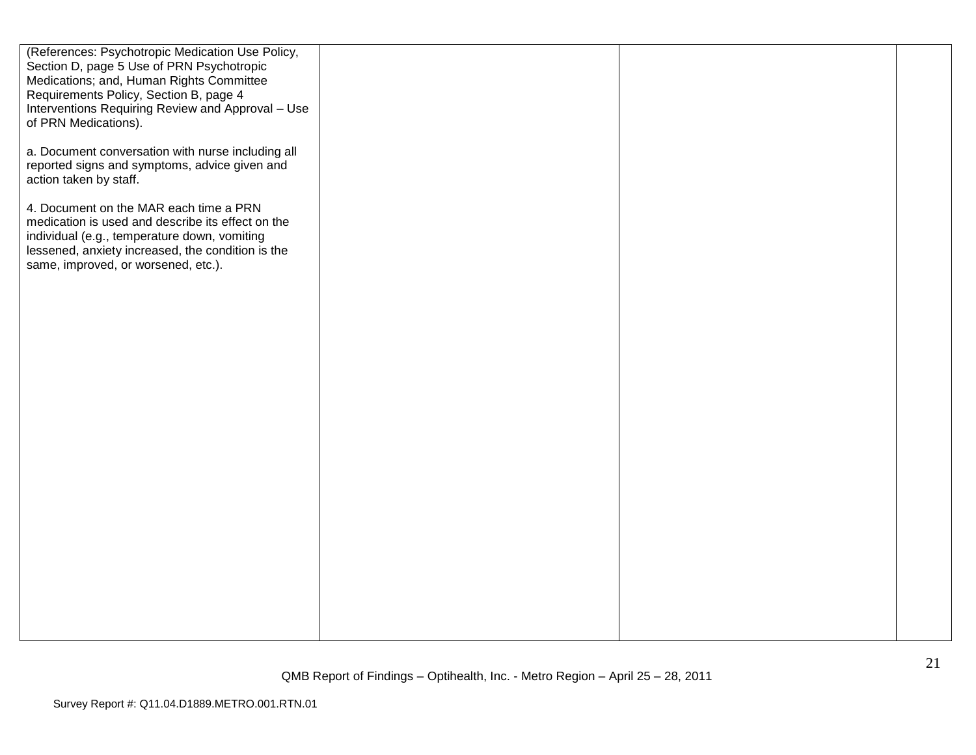| (References: Psychotropic Medication Use Policy,<br>Section D, page 5 Use of PRN Psychotropic<br>Medications; and, Human Rights Committee<br>Requirements Policy, Section B, page 4<br>Interventions Requiring Review and Approval - Use<br>of PRN Medications). |  |  |
|------------------------------------------------------------------------------------------------------------------------------------------------------------------------------------------------------------------------------------------------------------------|--|--|
| a. Document conversation with nurse including all<br>reported signs and symptoms, advice given and<br>action taken by staff.                                                                                                                                     |  |  |
| 4. Document on the MAR each time a PRN<br>medication is used and describe its effect on the<br>individual (e.g., temperature down, vomiting<br>lessened, anxiety increased, the condition is the<br>same, improved, or worsened, etc.).                          |  |  |
|                                                                                                                                                                                                                                                                  |  |  |
|                                                                                                                                                                                                                                                                  |  |  |
|                                                                                                                                                                                                                                                                  |  |  |
|                                                                                                                                                                                                                                                                  |  |  |
|                                                                                                                                                                                                                                                                  |  |  |
|                                                                                                                                                                                                                                                                  |  |  |
|                                                                                                                                                                                                                                                                  |  |  |
|                                                                                                                                                                                                                                                                  |  |  |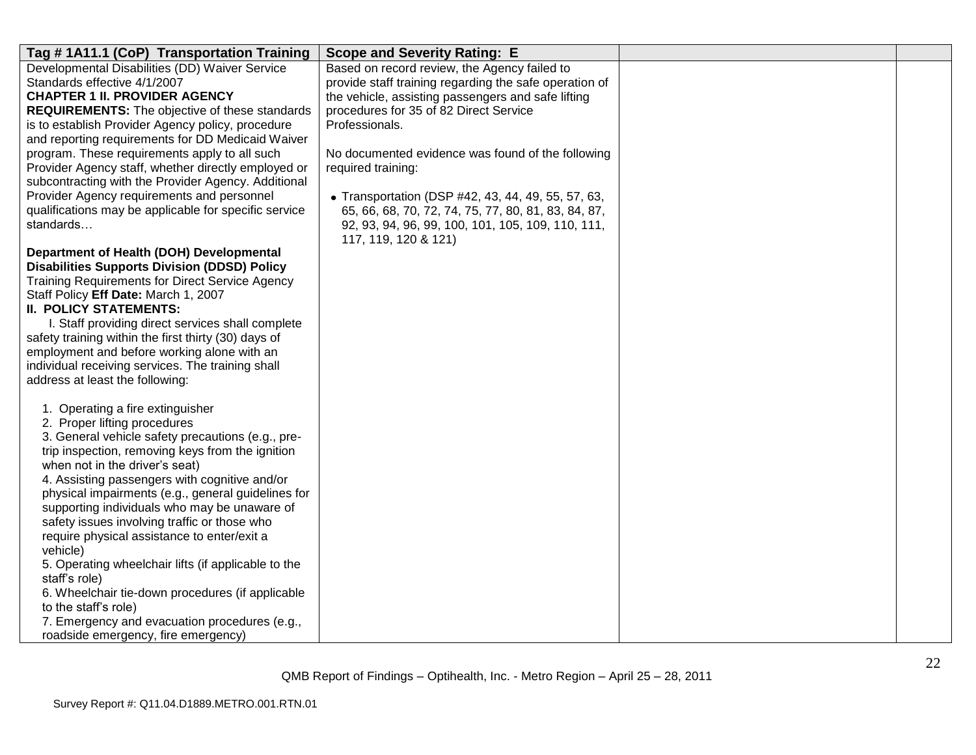| Tag #1A11.1 (CoP) Transportation Training              | <b>Scope and Severity Rating: E</b>                    |  |
|--------------------------------------------------------|--------------------------------------------------------|--|
| Developmental Disabilities (DD) Waiver Service         | Based on record review, the Agency failed to           |  |
| Standards effective 4/1/2007                           | provide staff training regarding the safe operation of |  |
| <b>CHAPTER 1 II. PROVIDER AGENCY</b>                   | the vehicle, assisting passengers and safe lifting     |  |
| REQUIREMENTS: The objective of these standards         | procedures for 35 of 82 Direct Service                 |  |
| is to establish Provider Agency policy, procedure      | Professionals.                                         |  |
| and reporting requirements for DD Medicaid Waiver      |                                                        |  |
| program. These requirements apply to all such          | No documented evidence was found of the following      |  |
| Provider Agency staff, whether directly employed or    | required training:                                     |  |
| subcontracting with the Provider Agency. Additional    |                                                        |  |
| Provider Agency requirements and personnel             | • Transportation (DSP #42, 43, 44, 49, 55, 57, 63,     |  |
| qualifications may be applicable for specific service  | 65, 66, 68, 70, 72, 74, 75, 77, 80, 81, 83, 84, 87,    |  |
| standards                                              | 92, 93, 94, 96, 99, 100, 101, 105, 109, 110, 111,      |  |
|                                                        | 117, 119, 120 & 121)                                   |  |
| Department of Health (DOH) Developmental               |                                                        |  |
| <b>Disabilities Supports Division (DDSD) Policy</b>    |                                                        |  |
| <b>Training Requirements for Direct Service Agency</b> |                                                        |  |
| Staff Policy Eff Date: March 1, 2007                   |                                                        |  |
| <b>II. POLICY STATEMENTS:</b>                          |                                                        |  |
| I. Staff providing direct services shall complete      |                                                        |  |
| safety training within the first thirty (30) days of   |                                                        |  |
| employment and before working alone with an            |                                                        |  |
| individual receiving services. The training shall      |                                                        |  |
| address at least the following:                        |                                                        |  |
| 1. Operating a fire extinguisher                       |                                                        |  |
| 2. Proper lifting procedures                           |                                                        |  |
| 3. General vehicle safety precautions (e.g., pre-      |                                                        |  |
| trip inspection, removing keys from the ignition       |                                                        |  |
| when not in the driver's seat)                         |                                                        |  |
| 4. Assisting passengers with cognitive and/or          |                                                        |  |
| physical impairments (e.g., general guidelines for     |                                                        |  |
| supporting individuals who may be unaware of           |                                                        |  |
| safety issues involving traffic or those who           |                                                        |  |
| require physical assistance to enter/exit a            |                                                        |  |
| vehicle)                                               |                                                        |  |
| 5. Operating wheelchair lifts (if applicable to the    |                                                        |  |
| staff's role)                                          |                                                        |  |
| 6. Wheelchair tie-down procedures (if applicable       |                                                        |  |
| to the staff's role)                                   |                                                        |  |
| 7. Emergency and evacuation procedures (e.g.,          |                                                        |  |
| roadside emergency, fire emergency)                    |                                                        |  |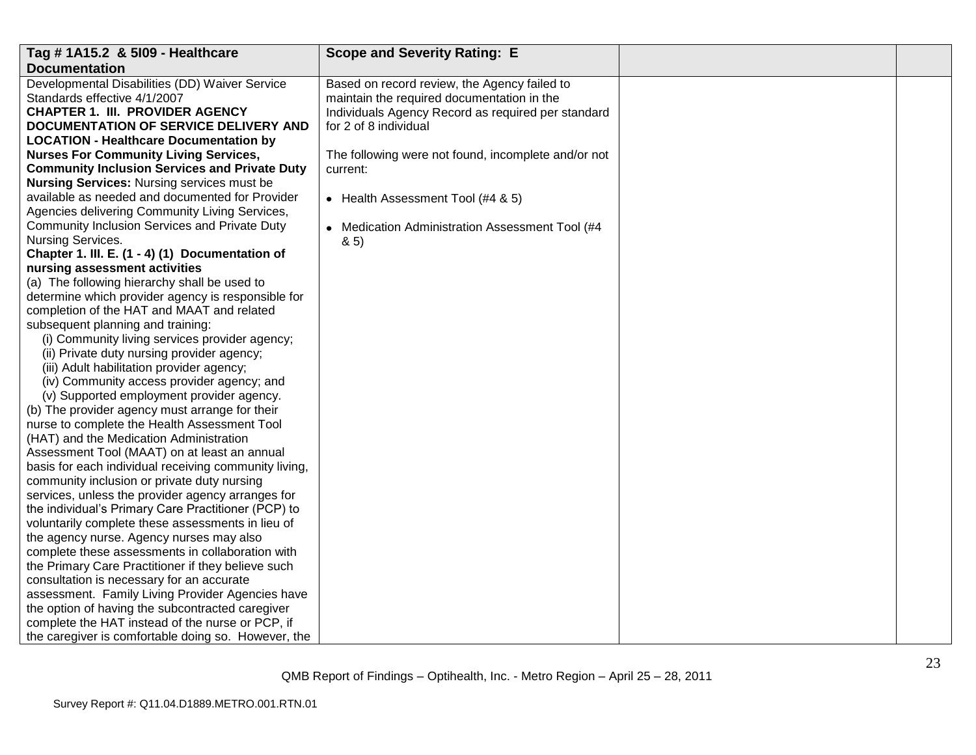| Tag # 1A15.2 & 5109 - Healthcare                      | <b>Scope and Severity Rating: E</b>                 |  |
|-------------------------------------------------------|-----------------------------------------------------|--|
| <b>Documentation</b>                                  |                                                     |  |
| Developmental Disabilities (DD) Waiver Service        | Based on record review, the Agency failed to        |  |
| Standards effective 4/1/2007                          | maintain the required documentation in the          |  |
| <b>CHAPTER 1. III. PROVIDER AGENCY</b>                | Individuals Agency Record as required per standard  |  |
| DOCUMENTATION OF SERVICE DELIVERY AND                 | for 2 of 8 individual                               |  |
| <b>LOCATION - Healthcare Documentation by</b>         |                                                     |  |
| <b>Nurses For Community Living Services,</b>          | The following were not found, incomplete and/or not |  |
| <b>Community Inclusion Services and Private Duty</b>  | current:                                            |  |
| <b>Nursing Services: Nursing services must be</b>     |                                                     |  |
| available as needed and documented for Provider       | • Health Assessment Tool (#4 & 5)                   |  |
| Agencies delivering Community Living Services,        |                                                     |  |
| Community Inclusion Services and Private Duty         | • Medication Administration Assessment Tool (#4     |  |
| Nursing Services.                                     | 8.5                                                 |  |
| Chapter 1. III. E. (1 - 4) (1) Documentation of       |                                                     |  |
| nursing assessment activities                         |                                                     |  |
| (a) The following hierarchy shall be used to          |                                                     |  |
| determine which provider agency is responsible for    |                                                     |  |
| completion of the HAT and MAAT and related            |                                                     |  |
| subsequent planning and training:                     |                                                     |  |
| (i) Community living services provider agency;        |                                                     |  |
| (ii) Private duty nursing provider agency;            |                                                     |  |
| (iii) Adult habilitation provider agency;             |                                                     |  |
| (iv) Community access provider agency; and            |                                                     |  |
| (v) Supported employment provider agency.             |                                                     |  |
| (b) The provider agency must arrange for their        |                                                     |  |
| nurse to complete the Health Assessment Tool          |                                                     |  |
| (HAT) and the Medication Administration               |                                                     |  |
| Assessment Tool (MAAT) on at least an annual          |                                                     |  |
| basis for each individual receiving community living, |                                                     |  |
| community inclusion or private duty nursing           |                                                     |  |
| services, unless the provider agency arranges for     |                                                     |  |
| the individual's Primary Care Practitioner (PCP) to   |                                                     |  |
| voluntarily complete these assessments in lieu of     |                                                     |  |
| the agency nurse. Agency nurses may also              |                                                     |  |
| complete these assessments in collaboration with      |                                                     |  |
| the Primary Care Practitioner if they believe such    |                                                     |  |
| consultation is necessary for an accurate             |                                                     |  |
| assessment. Family Living Provider Agencies have      |                                                     |  |
| the option of having the subcontracted caregiver      |                                                     |  |
| complete the HAT instead of the nurse or PCP, if      |                                                     |  |
| the caregiver is comfortable doing so. However, the   |                                                     |  |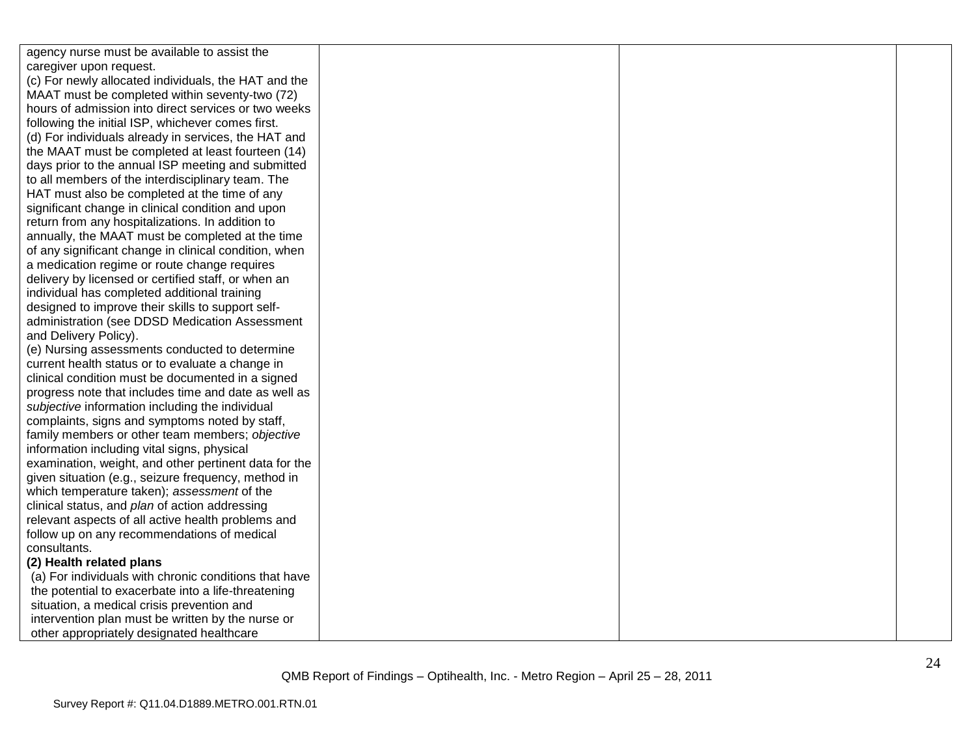| agency nurse must be available to assist the          |  |  |
|-------------------------------------------------------|--|--|
| caregiver upon request.                               |  |  |
| (c) For newly allocated individuals, the HAT and the  |  |  |
| MAAT must be completed within seventy-two (72)        |  |  |
| hours of admission into direct services or two weeks  |  |  |
| following the initial ISP, whichever comes first.     |  |  |
| (d) For individuals already in services, the HAT and  |  |  |
| the MAAT must be completed at least fourteen (14)     |  |  |
| days prior to the annual ISP meeting and submitted    |  |  |
| to all members of the interdisciplinary team. The     |  |  |
| HAT must also be completed at the time of any         |  |  |
| significant change in clinical condition and upon     |  |  |
| return from any hospitalizations. In addition to      |  |  |
| annually, the MAAT must be completed at the time      |  |  |
| of any significant change in clinical condition, when |  |  |
| a medication regime or route change requires          |  |  |
| delivery by licensed or certified staff, or when an   |  |  |
| individual has completed additional training          |  |  |
| designed to improve their skills to support self-     |  |  |
| administration (see DDSD Medication Assessment        |  |  |
| and Delivery Policy).                                 |  |  |
| (e) Nursing assessments conducted to determine        |  |  |
| current health status or to evaluate a change in      |  |  |
| clinical condition must be documented in a signed     |  |  |
| progress note that includes time and date as well as  |  |  |
| subjective information including the individual       |  |  |
| complaints, signs and symptoms noted by staff,        |  |  |
| family members or other team members; objective       |  |  |
| information including vital signs, physical           |  |  |
| examination, weight, and other pertinent data for the |  |  |
| given situation (e.g., seizure frequency, method in   |  |  |
| which temperature taken); assessment of the           |  |  |
| clinical status, and plan of action addressing        |  |  |
| relevant aspects of all active health problems and    |  |  |
| follow up on any recommendations of medical           |  |  |
| consultants.                                          |  |  |
| (2) Health related plans                              |  |  |
| (a) For individuals with chronic conditions that have |  |  |
| the potential to exacerbate into a life-threatening   |  |  |
| situation, a medical crisis prevention and            |  |  |
| intervention plan must be written by the nurse or     |  |  |
| other appropriately designated healthcare             |  |  |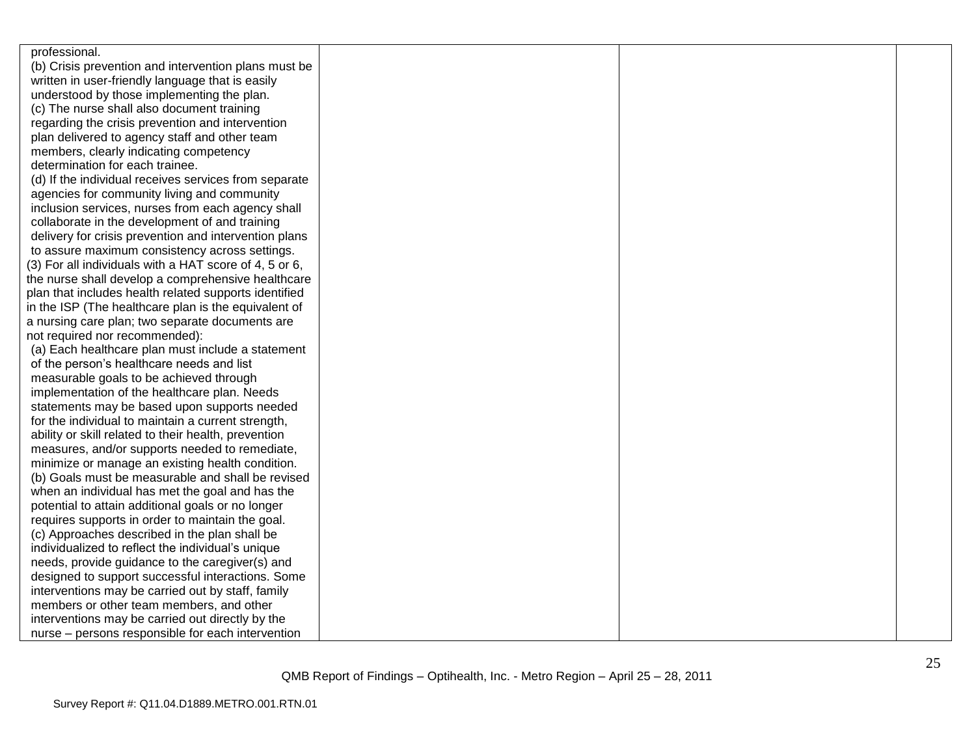| professional.                                          |  |  |
|--------------------------------------------------------|--|--|
| (b) Crisis prevention and intervention plans must be   |  |  |
| written in user-friendly language that is easily       |  |  |
| understood by those implementing the plan.             |  |  |
| (c) The nurse shall also document training             |  |  |
| regarding the crisis prevention and intervention       |  |  |
| plan delivered to agency staff and other team          |  |  |
| members, clearly indicating competency                 |  |  |
| determination for each trainee.                        |  |  |
| (d) If the individual receives services from separate  |  |  |
| agencies for community living and community            |  |  |
| inclusion services, nurses from each agency shall      |  |  |
| collaborate in the development of and training         |  |  |
| delivery for crisis prevention and intervention plans  |  |  |
| to assure maximum consistency across settings.         |  |  |
| (3) For all individuals with a HAT score of 4, 5 or 6, |  |  |
| the nurse shall develop a comprehensive healthcare     |  |  |
| plan that includes health related supports identified  |  |  |
| in the ISP (The healthcare plan is the equivalent of   |  |  |
| a nursing care plan; two separate documents are        |  |  |
| not required nor recommended):                         |  |  |
| (a) Each healthcare plan must include a statement      |  |  |
| of the person's healthcare needs and list              |  |  |
| measurable goals to be achieved through                |  |  |
| implementation of the healthcare plan. Needs           |  |  |
| statements may be based upon supports needed           |  |  |
| for the individual to maintain a current strength,     |  |  |
| ability or skill related to their health, prevention   |  |  |
| measures, and/or supports needed to remediate,         |  |  |
| minimize or manage an existing health condition.       |  |  |
| (b) Goals must be measurable and shall be revised      |  |  |
| when an individual has met the goal and has the        |  |  |
| potential to attain additional goals or no longer      |  |  |
| requires supports in order to maintain the goal.       |  |  |
| (c) Approaches described in the plan shall be          |  |  |
| individualized to reflect the individual's unique      |  |  |
| needs, provide guidance to the caregiver(s) and        |  |  |
| designed to support successful interactions. Some      |  |  |
| interventions may be carried out by staff, family      |  |  |
| members or other team members, and other               |  |  |
| interventions may be carried out directly by the       |  |  |
| nurse - persons responsible for each intervention      |  |  |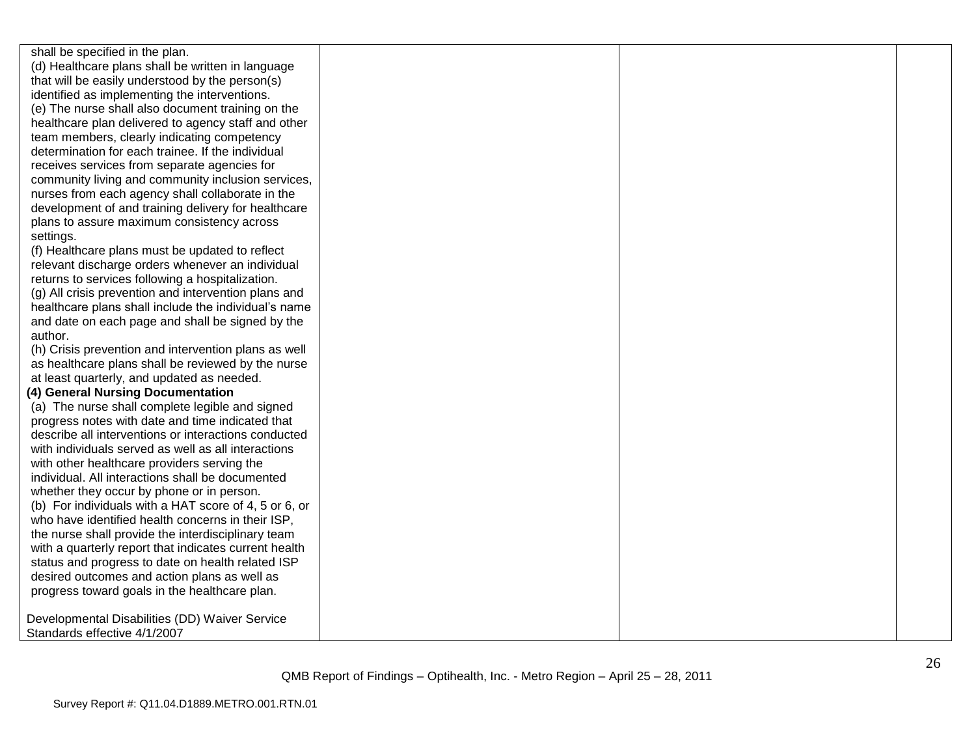shall be specified in the plan. (d) Healthcare plans shall be written in language that will be easily understood by the person(s) identified as implementing the interventions. (e) The nurse shall also document training on the healthcare plan delivered to agency staff and other team members, clearly indicating competency determination for each trainee. If the individual receives services from separate agencies for community living and community inclusion services, nurses from each agency shall collaborate in the development of and training delivery for healthcare plans to assure maximum consistency across settings.

(f) Healthcare plans must be updated to reflect relevant discharge orders whenever an individual returns to services following a hospitalization.

(g) All crisis prevention and intervention plans and healthcare plans shall include the individual's name and date on each page and shall be signed by the author.

(h) Crisis prevention and intervention plans as well as healthcare plans shall be reviewed by the nurse at least quarterly, and updated as needed.

#### **(4) General Nursing Documentation**

(a) The nurse shall complete legible and signed progress notes with date and time indicated that describe all interventions or interactions conducted with individuals served as well as all interactions with other healthcare providers serving the individual. All interactions shall be documented whether they occur by phone or in person. (b) For individuals with a HAT score of 4, 5 or 6, or who have identified health concerns in their ISP, the nurse shall provide the interdisciplinary team with a quarterly report that indicates current health status and progress to date on health related ISP desired outcomes and action plans as well as progress toward goals in the healthcare plan.

Developmental Disabilities (DD) Waiver Service Standards effective 4/1/2007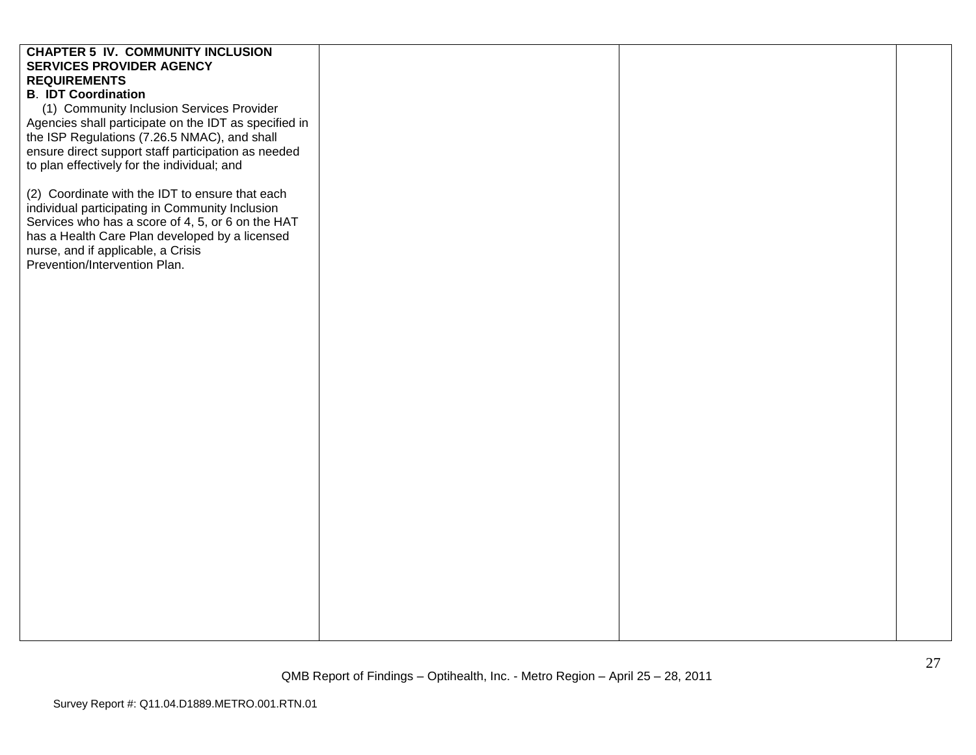# **CHAPTER 5 IV. COMMUNITY INCLUSION SERVICES PROVIDER AGENCY REQUIREMENTS B**. **IDT Coordination** (1) Community Inclusion Services Provider Agencies shall participate on the IDT as specified in the ISP Regulations (7.26.5 NMAC), and shall ensure direct support staff participation as needed to plan effectively for the individual; and (2) Coordinate with the IDT to ensure that each individual participating in Community Inclusion Services who has a score of 4, 5, or 6 on the HAT has a Health Care Plan developed by a licensed nurse, and if applicable, a Crisis Prevention/Intervention Plan.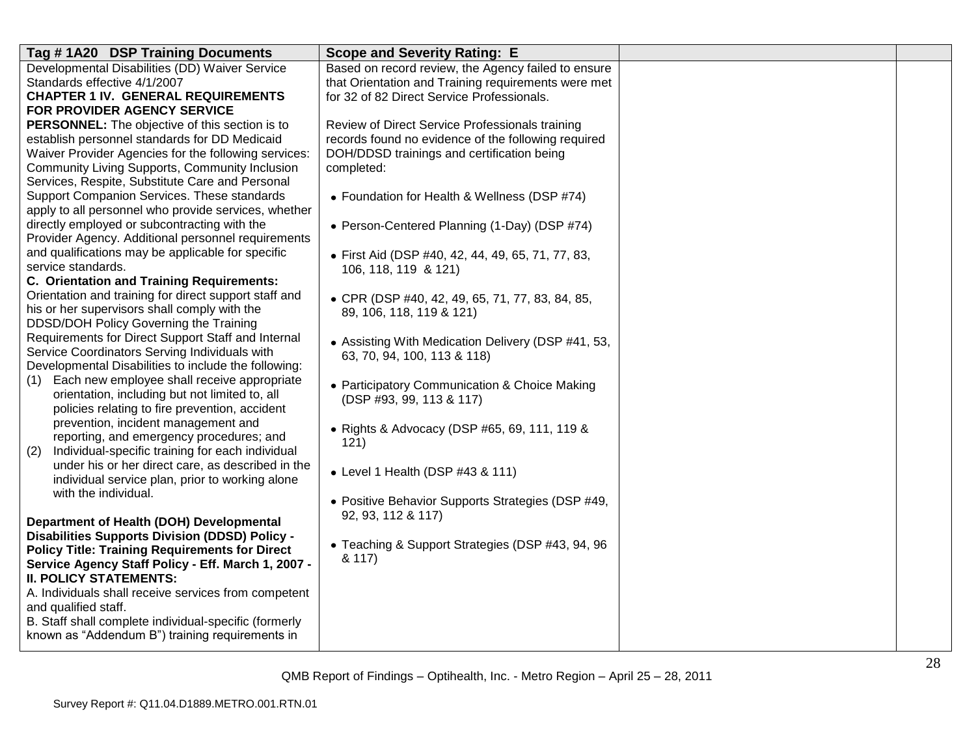| Tag #1A20 DSP Training Documents                                                                 | <b>Scope and Severity Rating: E</b>                 |  |
|--------------------------------------------------------------------------------------------------|-----------------------------------------------------|--|
| Developmental Disabilities (DD) Waiver Service                                                   | Based on record review, the Agency failed to ensure |  |
| Standards effective 4/1/2007                                                                     | that Orientation and Training requirements were met |  |
| <b>CHAPTER 1 IV. GENERAL REQUIREMENTS</b>                                                        | for 32 of 82 Direct Service Professionals.          |  |
| FOR PROVIDER AGENCY SERVICE                                                                      |                                                     |  |
| <b>PERSONNEL:</b> The objective of this section is to                                            | Review of Direct Service Professionals training     |  |
| establish personnel standards for DD Medicaid                                                    | records found no evidence of the following required |  |
| Waiver Provider Agencies for the following services:                                             | DOH/DDSD trainings and certification being          |  |
| Community Living Supports, Community Inclusion                                                   | completed:                                          |  |
| Services, Respite, Substitute Care and Personal                                                  |                                                     |  |
| Support Companion Services. These standards                                                      | • Foundation for Health & Wellness (DSP #74)        |  |
| apply to all personnel who provide services, whether                                             |                                                     |  |
| directly employed or subcontracting with the                                                     | • Person-Centered Planning (1-Day) (DSP #74)        |  |
| Provider Agency. Additional personnel requirements                                               |                                                     |  |
| and qualifications may be applicable for specific                                                | · First Aid (DSP #40, 42, 44, 49, 65, 71, 77, 83,   |  |
| service standards.                                                                               | 106, 118, 119 & 121)                                |  |
| C. Orientation and Training Requirements:                                                        |                                                     |  |
| Orientation and training for direct support staff and                                            | • CPR (DSP #40, 42, 49, 65, 71, 77, 83, 84, 85,     |  |
| his or her supervisors shall comply with the                                                     | 89, 106, 118, 119 & 121)                            |  |
| DDSD/DOH Policy Governing the Training                                                           |                                                     |  |
| Requirements for Direct Support Staff and Internal                                               | • Assisting With Medication Delivery (DSP #41, 53,  |  |
| Service Coordinators Serving Individuals with                                                    | 63, 70, 94, 100, 113 & 118)                         |  |
| Developmental Disabilities to include the following:                                             |                                                     |  |
| Each new employee shall receive appropriate<br>(1)                                               | • Participatory Communication & Choice Making       |  |
| orientation, including but not limited to, all<br>policies relating to fire prevention, accident | (DSP #93, 99, 113 & 117)                            |  |
|                                                                                                  |                                                     |  |
| prevention, incident management and<br>reporting, and emergency procedures; and                  | • Rights & Advocacy (DSP #65, 69, 111, 119 &        |  |
| Individual-specific training for each individual                                                 | 121)                                                |  |
| (2)<br>under his or her direct care, as described in the                                         |                                                     |  |
| individual service plan, prior to working alone                                                  | $\bullet$ Level 1 Health (DSP #43 & 111)            |  |
| with the individual.                                                                             |                                                     |  |
|                                                                                                  | • Positive Behavior Supports Strategies (DSP #49,   |  |
| Department of Health (DOH) Developmental                                                         | 92, 93, 112 & 117)                                  |  |
| <b>Disabilities Supports Division (DDSD) Policy -</b>                                            |                                                     |  |
| <b>Policy Title: Training Requirements for Direct</b>                                            | • Teaching & Support Strategies (DSP #43, 94, 96    |  |
| Service Agency Staff Policy - Eff. March 1, 2007 -                                               | & 117)                                              |  |
| <b>II. POLICY STATEMENTS:</b>                                                                    |                                                     |  |
| A. Individuals shall receive services from competent                                             |                                                     |  |
| and qualified staff.                                                                             |                                                     |  |
| B. Staff shall complete individual-specific (formerly                                            |                                                     |  |
| known as "Addendum B") training requirements in                                                  |                                                     |  |
|                                                                                                  |                                                     |  |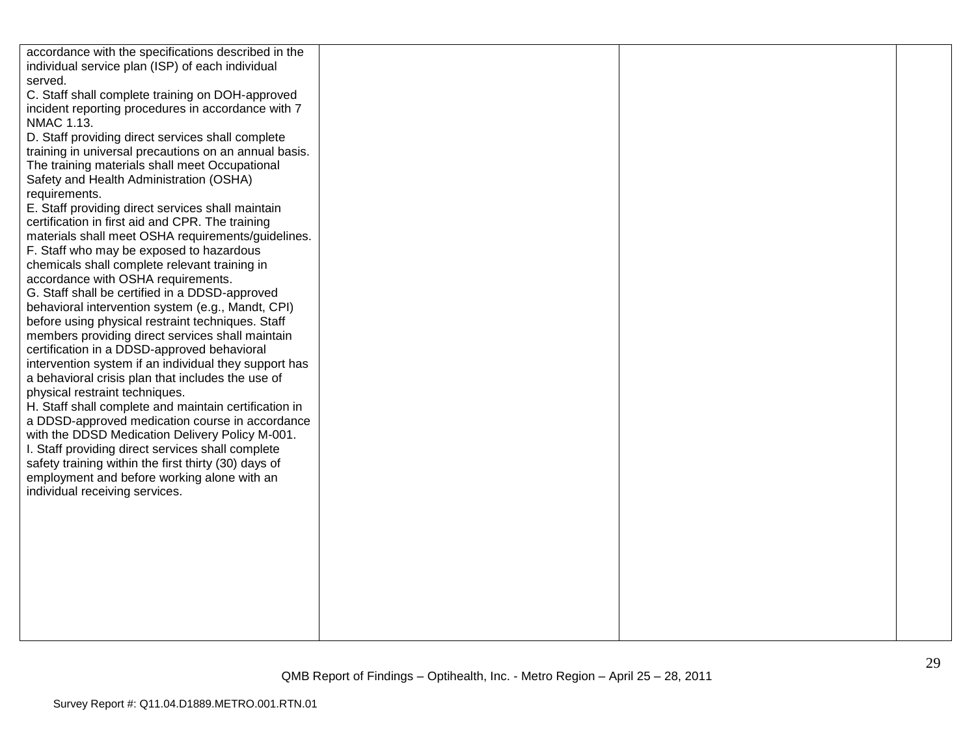| accordance with the specifications described in the                                  |  |  |
|--------------------------------------------------------------------------------------|--|--|
| individual service plan (ISP) of each individual                                     |  |  |
| served.                                                                              |  |  |
| C. Staff shall complete training on DOH-approved                                     |  |  |
| incident reporting procedures in accordance with 7                                   |  |  |
| NMAC 1.13.                                                                           |  |  |
| D. Staff providing direct services shall complete                                    |  |  |
| training in universal precautions on an annual basis.                                |  |  |
| The training materials shall meet Occupational                                       |  |  |
| Safety and Health Administration (OSHA)                                              |  |  |
| requirements.                                                                        |  |  |
| E. Staff providing direct services shall maintain                                    |  |  |
| certification in first aid and CPR. The training                                     |  |  |
| materials shall meet OSHA requirements/guidelines.                                   |  |  |
| F. Staff who may be exposed to hazardous                                             |  |  |
| chemicals shall complete relevant training in                                        |  |  |
|                                                                                      |  |  |
| accordance with OSHA requirements.<br>G. Staff shall be certified in a DDSD-approved |  |  |
|                                                                                      |  |  |
| behavioral intervention system (e.g., Mandt, CPI)                                    |  |  |
| before using physical restraint techniques. Staff                                    |  |  |
| members providing direct services shall maintain                                     |  |  |
| certification in a DDSD-approved behavioral                                          |  |  |
| intervention system if an individual they support has                                |  |  |
| a behavioral crisis plan that includes the use of                                    |  |  |
| physical restraint techniques.                                                       |  |  |
| H. Staff shall complete and maintain certification in                                |  |  |
| a DDSD-approved medication course in accordance                                      |  |  |
| with the DDSD Medication Delivery Policy M-001.                                      |  |  |
| I. Staff providing direct services shall complete                                    |  |  |
| safety training within the first thirty (30) days of                                 |  |  |
| employment and before working alone with an                                          |  |  |
| individual receiving services.                                                       |  |  |
|                                                                                      |  |  |
|                                                                                      |  |  |
|                                                                                      |  |  |
|                                                                                      |  |  |
|                                                                                      |  |  |
|                                                                                      |  |  |
|                                                                                      |  |  |
|                                                                                      |  |  |
|                                                                                      |  |  |
|                                                                                      |  |  |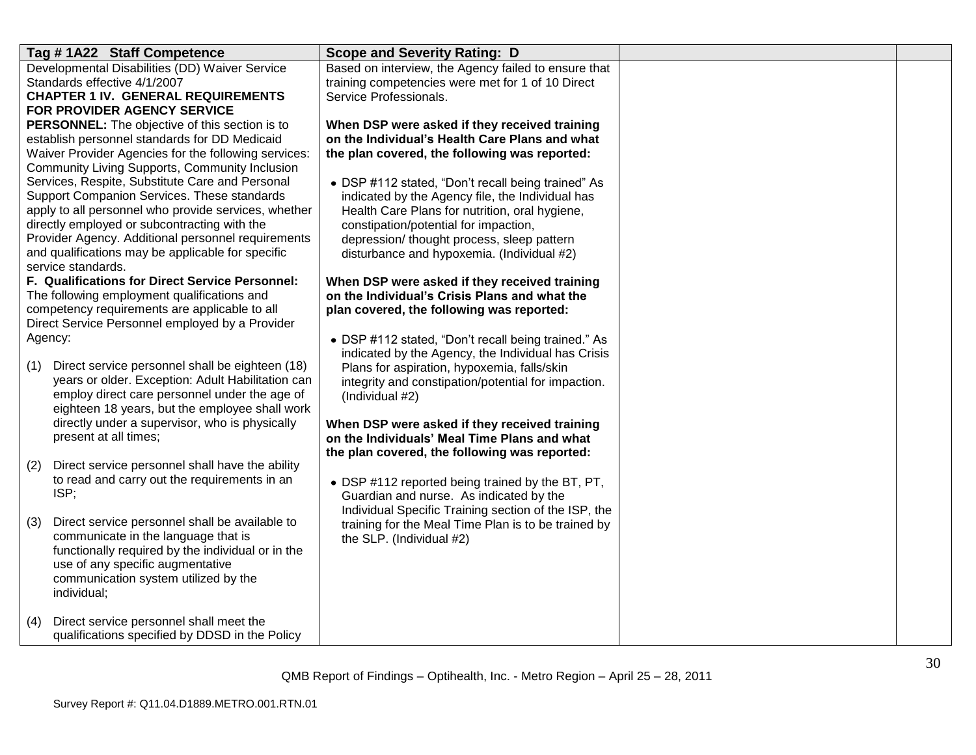| Tag #1A22 Staff Competence                                                                              | <b>Scope and Severity Rating: D</b>                                             |  |
|---------------------------------------------------------------------------------------------------------|---------------------------------------------------------------------------------|--|
| Developmental Disabilities (DD) Waiver Service                                                          | Based on interview, the Agency failed to ensure that                            |  |
| Standards effective 4/1/2007                                                                            | training competencies were met for 1 of 10 Direct                               |  |
| <b>CHAPTER 1 IV. GENERAL REQUIREMENTS</b>                                                               | Service Professionals.                                                          |  |
| FOR PROVIDER AGENCY SERVICE                                                                             |                                                                                 |  |
| <b>PERSONNEL:</b> The objective of this section is to                                                   | When DSP were asked if they received training                                   |  |
| establish personnel standards for DD Medicaid                                                           | on the Individual's Health Care Plans and what                                  |  |
| Waiver Provider Agencies for the following services:                                                    | the plan covered, the following was reported:                                   |  |
| <b>Community Living Supports, Community Inclusion</b>                                                   |                                                                                 |  |
| Services, Respite, Substitute Care and Personal                                                         | • DSP #112 stated, "Don't recall being trained" As                              |  |
| Support Companion Services. These standards                                                             | indicated by the Agency file, the Individual has                                |  |
| apply to all personnel who provide services, whether                                                    | Health Care Plans for nutrition, oral hygiene,                                  |  |
| directly employed or subcontracting with the                                                            | constipation/potential for impaction,                                           |  |
| Provider Agency. Additional personnel requirements<br>and qualifications may be applicable for specific | depression/ thought process, sleep pattern                                      |  |
| service standards.                                                                                      | disturbance and hypoxemia. (Individual #2)                                      |  |
| F. Qualifications for Direct Service Personnel:                                                         | When DSP were asked if they received training                                   |  |
| The following employment qualifications and                                                             | on the Individual's Crisis Plans and what the                                   |  |
| competency requirements are applicable to all                                                           | plan covered, the following was reported:                                       |  |
| Direct Service Personnel employed by a Provider                                                         |                                                                                 |  |
| Agency:                                                                                                 | • DSP #112 stated, "Don't recall being trained." As                             |  |
|                                                                                                         | indicated by the Agency, the Individual has Crisis                              |  |
| Direct service personnel shall be eighteen (18)<br>(1)                                                  | Plans for aspiration, hypoxemia, falls/skin                                     |  |
| years or older. Exception: Adult Habilitation can                                                       | integrity and constipation/potential for impaction.                             |  |
| employ direct care personnel under the age of                                                           | (Individual #2)                                                                 |  |
| eighteen 18 years, but the employee shall work                                                          |                                                                                 |  |
| directly under a supervisor, who is physically                                                          | When DSP were asked if they received training                                   |  |
| present at all times;                                                                                   | on the Individuals' Meal Time Plans and what                                    |  |
|                                                                                                         | the plan covered, the following was reported:                                   |  |
| Direct service personnel shall have the ability<br>(2)<br>to read and carry out the requirements in an  |                                                                                 |  |
| ISP;                                                                                                    | • DSP #112 reported being trained by the BT, PT,                                |  |
|                                                                                                         | Guardian and nurse. As indicated by the                                         |  |
| Direct service personnel shall be available to<br>(3)                                                   | Individual Specific Training section of the ISP, the                            |  |
| communicate in the language that is                                                                     | training for the Meal Time Plan is to be trained by<br>the SLP. (Individual #2) |  |
| functionally required by the individual or in the                                                       |                                                                                 |  |
| use of any specific augmentative                                                                        |                                                                                 |  |
| communication system utilized by the                                                                    |                                                                                 |  |
| individual;                                                                                             |                                                                                 |  |
|                                                                                                         |                                                                                 |  |
| Direct service personnel shall meet the<br>(4)                                                          |                                                                                 |  |
| qualifications specified by DDSD in the Policy                                                          |                                                                                 |  |
|                                                                                                         |                                                                                 |  |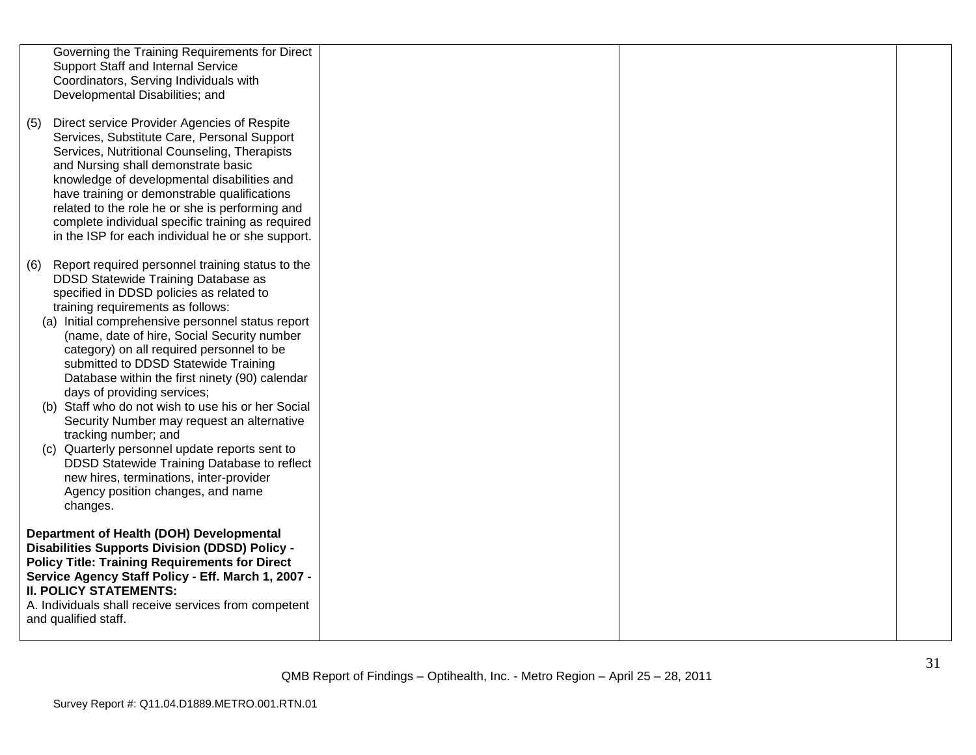|     | Governing the Training Requirements for Direct<br>Support Staff and Internal Service<br>Coordinators, Serving Individuals with<br>Developmental Disabilities; and                                                                                                                                                                                                                                                                                                                                                                                                                                                                                                                                                                                                               |  |  |
|-----|---------------------------------------------------------------------------------------------------------------------------------------------------------------------------------------------------------------------------------------------------------------------------------------------------------------------------------------------------------------------------------------------------------------------------------------------------------------------------------------------------------------------------------------------------------------------------------------------------------------------------------------------------------------------------------------------------------------------------------------------------------------------------------|--|--|
| (5) | Direct service Provider Agencies of Respite<br>Services, Substitute Care, Personal Support<br>Services, Nutritional Counseling, Therapists<br>and Nursing shall demonstrate basic<br>knowledge of developmental disabilities and<br>have training or demonstrable qualifications<br>related to the role he or she is performing and<br>complete individual specific training as required<br>in the ISP for each individual he or she support.                                                                                                                                                                                                                                                                                                                                   |  |  |
|     | (6) Report required personnel training status to the<br>DDSD Statewide Training Database as<br>specified in DDSD policies as related to<br>training requirements as follows:<br>(a) Initial comprehensive personnel status report<br>(name, date of hire, Social Security number<br>category) on all required personnel to be<br>submitted to DDSD Statewide Training<br>Database within the first ninety (90) calendar<br>days of providing services;<br>(b) Staff who do not wish to use his or her Social<br>Security Number may request an alternative<br>tracking number; and<br>(c) Quarterly personnel update reports sent to<br>DDSD Statewide Training Database to reflect<br>new hires, terminations, inter-provider<br>Agency position changes, and name<br>changes. |  |  |
|     | Department of Health (DOH) Developmental<br><b>Disabilities Supports Division (DDSD) Policy -</b><br><b>Policy Title: Training Requirements for Direct</b><br>Service Agency Staff Policy - Eff. March 1, 2007 -<br><b>II. POLICY STATEMENTS:</b><br>A. Individuals shall receive services from competent<br>and qualified staff.                                                                                                                                                                                                                                                                                                                                                                                                                                               |  |  |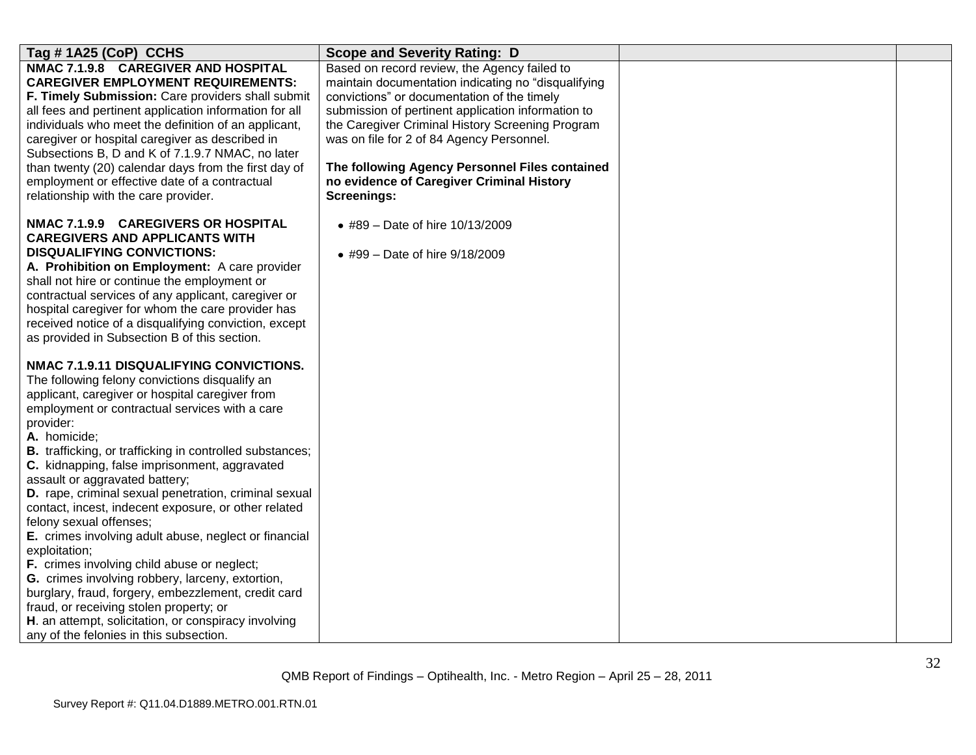| Tag #1A25 (CoP) CCHS                                                                                                                                                                                                                                                                                                                                                                                                                                                                                                                                                                                                                                                                                                                                                                                                                                                                                             | <b>Scope and Severity Rating: D</b>                                                                                                                                                                                                                                                                                                                                                                                            |  |
|------------------------------------------------------------------------------------------------------------------------------------------------------------------------------------------------------------------------------------------------------------------------------------------------------------------------------------------------------------------------------------------------------------------------------------------------------------------------------------------------------------------------------------------------------------------------------------------------------------------------------------------------------------------------------------------------------------------------------------------------------------------------------------------------------------------------------------------------------------------------------------------------------------------|--------------------------------------------------------------------------------------------------------------------------------------------------------------------------------------------------------------------------------------------------------------------------------------------------------------------------------------------------------------------------------------------------------------------------------|--|
| NMAC 7.1.9.8 CAREGIVER AND HOSPITAL<br><b>CAREGIVER EMPLOYMENT REQUIREMENTS:</b><br>F. Timely Submission: Care providers shall submit<br>all fees and pertinent application information for all<br>individuals who meet the definition of an applicant,<br>caregiver or hospital caregiver as described in<br>Subsections B, D and K of 7.1.9.7 NMAC, no later<br>than twenty (20) calendar days from the first day of<br>employment or effective date of a contractual<br>relationship with the care provider.                                                                                                                                                                                                                                                                                                                                                                                                  | Based on record review, the Agency failed to<br>maintain documentation indicating no "disqualifying<br>convictions" or documentation of the timely<br>submission of pertinent application information to<br>the Caregiver Criminal History Screening Program<br>was on file for 2 of 84 Agency Personnel.<br>The following Agency Personnel Files contained<br>no evidence of Caregiver Criminal History<br><b>Screenings:</b> |  |
| NMAC 7.1.9.9 CAREGIVERS OR HOSPITAL<br><b>CAREGIVERS AND APPLICANTS WITH</b><br><b>DISQUALIFYING CONVICTIONS:</b><br>A. Prohibition on Employment: A care provider<br>shall not hire or continue the employment or<br>contractual services of any applicant, caregiver or<br>hospital caregiver for whom the care provider has<br>received notice of a disqualifying conviction, except<br>as provided in Subsection B of this section.                                                                                                                                                                                                                                                                                                                                                                                                                                                                          | • #89 – Date of hire 10/13/2009<br>• #99 - Date of hire 9/18/2009                                                                                                                                                                                                                                                                                                                                                              |  |
| NMAC 7.1.9.11 DISQUALIFYING CONVICTIONS.<br>The following felony convictions disqualify an<br>applicant, caregiver or hospital caregiver from<br>employment or contractual services with a care<br>provider:<br>A. homicide;<br><b>B.</b> trafficking, or trafficking in controlled substances;<br>C. kidnapping, false imprisonment, aggravated<br>assault or aggravated battery;<br>D. rape, criminal sexual penetration, criminal sexual<br>contact, incest, indecent exposure, or other related<br>felony sexual offenses;<br>E. crimes involving adult abuse, neglect or financial<br>exploitation;<br>F. crimes involving child abuse or neglect;<br>G. crimes involving robbery, larceny, extortion,<br>burglary, fraud, forgery, embezzlement, credit card<br>fraud, or receiving stolen property; or<br>H. an attempt, solicitation, or conspiracy involving<br>any of the felonies in this subsection. |                                                                                                                                                                                                                                                                                                                                                                                                                                |  |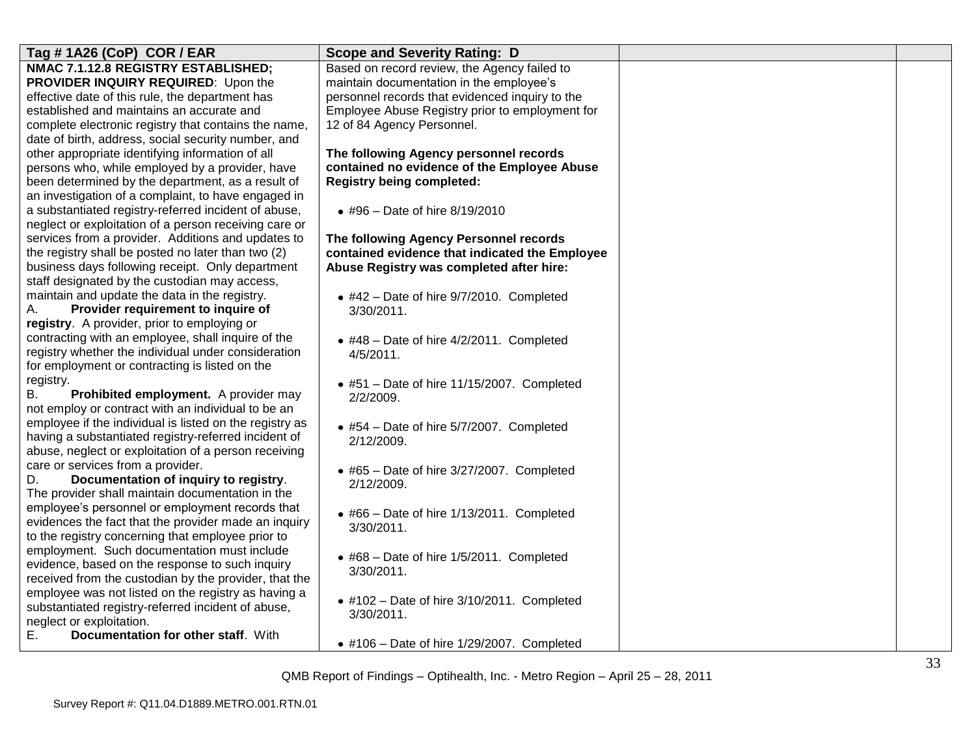| Tag # 1A26 (CoP) COR / EAR                                                     | <b>Scope and Severity Rating: D</b>                |  |
|--------------------------------------------------------------------------------|----------------------------------------------------|--|
| NMAC 7.1.12.8 REGISTRY ESTABLISHED;                                            | Based on record review, the Agency failed to       |  |
| PROVIDER INQUIRY REQUIRED: Upon the                                            | maintain documentation in the employee's           |  |
| effective date of this rule, the department has                                | personnel records that evidenced inquiry to the    |  |
| established and maintains an accurate and                                      | Employee Abuse Registry prior to employment for    |  |
| complete electronic registry that contains the name,                           | 12 of 84 Agency Personnel.                         |  |
| date of birth, address, social security number, and                            |                                                    |  |
| other appropriate identifying information of all                               | The following Agency personnel records             |  |
| persons who, while employed by a provider, have                                | contained no evidence of the Employee Abuse        |  |
| been determined by the department, as a result of                              | <b>Registry being completed:</b>                   |  |
| an investigation of a complaint, to have engaged in                            |                                                    |  |
| a substantiated registry-referred incident of abuse,                           | • #96 - Date of hire 8/19/2010                     |  |
| neglect or exploitation of a person receiving care or                          |                                                    |  |
| services from a provider. Additions and updates to                             | The following Agency Personnel records             |  |
| the registry shall be posted no later than two (2)                             | contained evidence that indicated the Employee     |  |
| business days following receipt. Only department                               | Abuse Registry was completed after hire:           |  |
| staff designated by the custodian may access,                                  |                                                    |  |
| maintain and update the data in the registry.                                  | $\bullet$ #42 - Date of hire 9/7/2010. Completed   |  |
| А.<br>Provider requirement to inquire of                                       | 3/30/2011.                                         |  |
| registry. A provider, prior to employing or                                    |                                                    |  |
| contracting with an employee, shall inquire of the                             | $\bullet$ #48 - Date of hire 4/2/2011. Completed   |  |
| registry whether the individual under consideration                            | 4/5/2011.                                          |  |
| for employment or contracting is listed on the                                 |                                                    |  |
| registry.                                                                      | $\bullet$ #51 - Date of hire 11/15/2007. Completed |  |
| В.<br>Prohibited employment. A provider may                                    | 2/2/2009.                                          |  |
| not employ or contract with an individual to be an                             |                                                    |  |
| employee if the individual is listed on the registry as                        | $\bullet$ #54 - Date of hire 5/7/2007. Completed   |  |
| having a substantiated registry-referred incident of                           | 2/12/2009.                                         |  |
| abuse, neglect or exploitation of a person receiving                           |                                                    |  |
| care or services from a provider.                                              | $\bullet$ #65 - Date of hire 3/27/2007. Completed  |  |
| Documentation of inquiry to registry.<br>D.                                    | 2/12/2009.                                         |  |
| The provider shall maintain documentation in the                               |                                                    |  |
| employee's personnel or employment records that                                | $\bullet$ #66 - Date of hire 1/13/2011. Completed  |  |
| evidences the fact that the provider made an inquiry                           | 3/30/2011.                                         |  |
| to the registry concerning that employee prior to                              |                                                    |  |
| employment. Such documentation must include                                    | $\bullet$ #68 - Date of hire 1/5/2011. Completed   |  |
| evidence, based on the response to such inquiry                                | 3/30/2011.                                         |  |
| received from the custodian by the provider, that the                          |                                                    |  |
| employee was not listed on the registry as having a                            | $\bullet$ #102 - Date of hire 3/10/2011. Completed |  |
| substantiated registry-referred incident of abuse,<br>neglect or exploitation. | 3/30/2011.                                         |  |
| Е.<br>Documentation for other staff. With                                      |                                                    |  |
|                                                                                | $\bullet$ #106 - Date of hire 1/29/2007. Completed |  |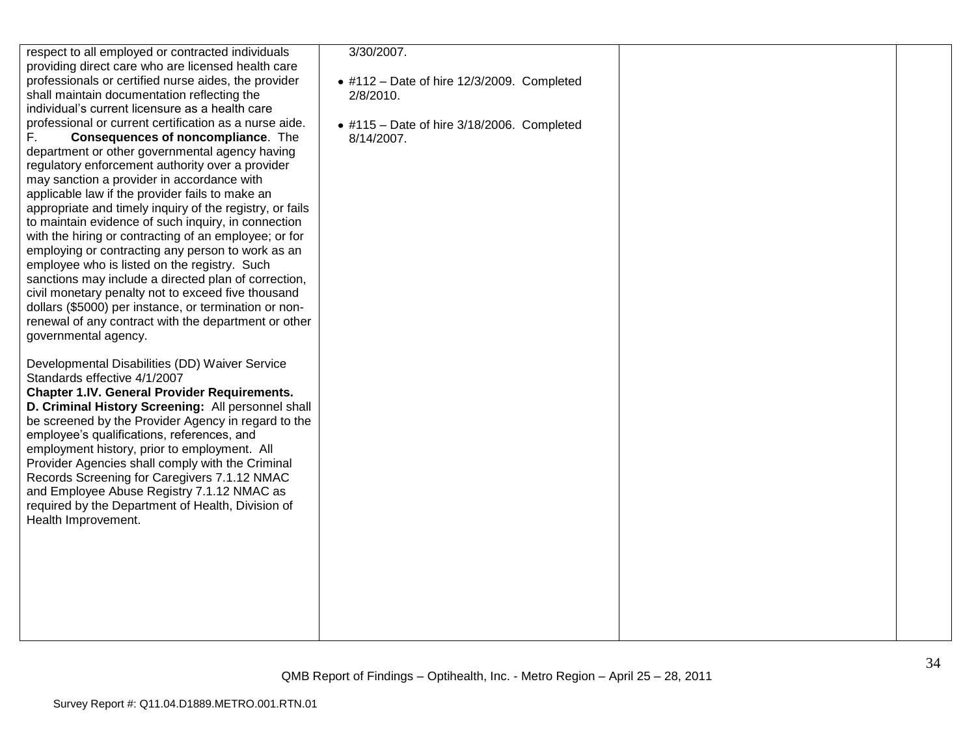| respect to all employed or contracted individuals<br>providing direct care who are licensed health care<br>professionals or certified nurse aides, the provider<br>shall maintain documentation reflecting the<br>individual's current licensure as a health care<br>professional or current certification as a nurse aide.<br>F.<br>Consequences of noncompliance. The<br>department or other governmental agency having<br>regulatory enforcement authority over a provider<br>may sanction a provider in accordance with<br>applicable law if the provider fails to make an<br>appropriate and timely inquiry of the registry, or fails<br>to maintain evidence of such inquiry, in connection<br>with the hiring or contracting of an employee; or for<br>employing or contracting any person to work as an<br>employee who is listed on the registry. Such<br>sanctions may include a directed plan of correction,<br>civil monetary penalty not to exceed five thousand<br>dollars (\$5000) per instance, or termination or non-<br>renewal of any contract with the department or other<br>governmental agency. | 3/30/2007.<br>$\bullet$ #112 - Date of hire 12/3/2009. Completed<br>2/8/2010.<br>$\bullet$ #115 - Date of hire 3/18/2006. Completed<br>8/14/2007. |  |
|------------------------------------------------------------------------------------------------------------------------------------------------------------------------------------------------------------------------------------------------------------------------------------------------------------------------------------------------------------------------------------------------------------------------------------------------------------------------------------------------------------------------------------------------------------------------------------------------------------------------------------------------------------------------------------------------------------------------------------------------------------------------------------------------------------------------------------------------------------------------------------------------------------------------------------------------------------------------------------------------------------------------------------------------------------------------------------------------------------------------|---------------------------------------------------------------------------------------------------------------------------------------------------|--|
| Developmental Disabilities (DD) Waiver Service<br>Standards effective 4/1/2007<br><b>Chapter 1.IV. General Provider Requirements.</b><br>D. Criminal History Screening: All personnel shall<br>be screened by the Provider Agency in regard to the<br>employee's qualifications, references, and<br>employment history, prior to employment. All<br>Provider Agencies shall comply with the Criminal<br>Records Screening for Caregivers 7.1.12 NMAC<br>and Employee Abuse Registry 7.1.12 NMAC as<br>required by the Department of Health, Division of<br>Health Improvement.                                                                                                                                                                                                                                                                                                                                                                                                                                                                                                                                         |                                                                                                                                                   |  |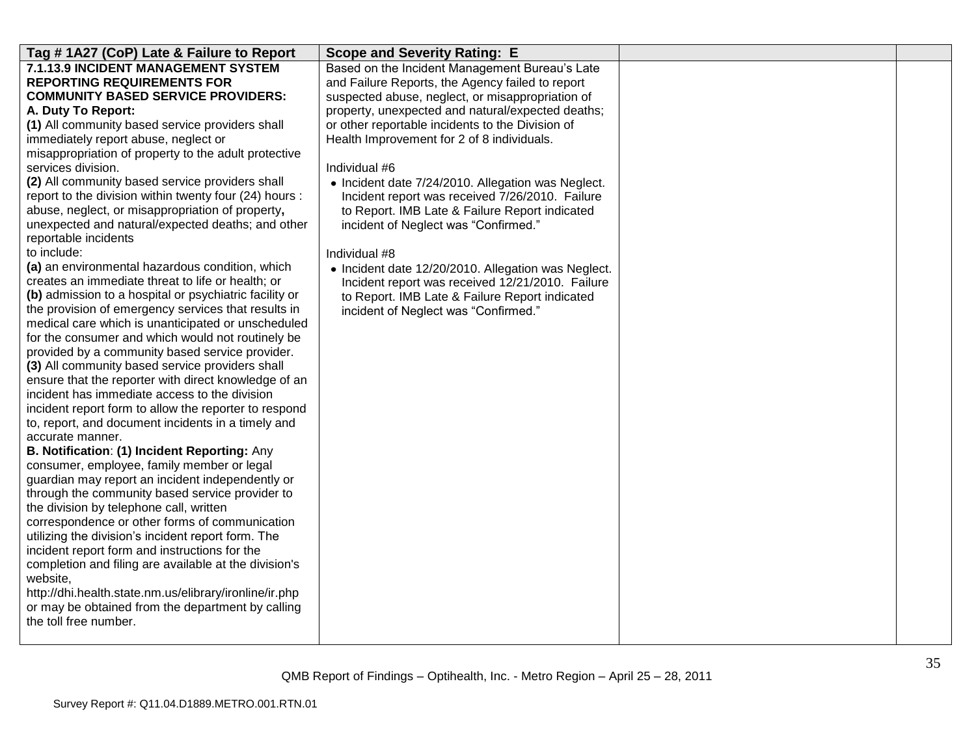| Tag # 1A27 (CoP) Late & Failure to Report                                  | <b>Scope and Severity Rating: E</b>                                                                |  |
|----------------------------------------------------------------------------|----------------------------------------------------------------------------------------------------|--|
| 7.1.13.9 INCIDENT MANAGEMENT SYSTEM                                        |                                                                                                    |  |
| <b>REPORTING REQUIREMENTS FOR</b>                                          | Based on the Incident Management Bureau's Late<br>and Failure Reports, the Agency failed to report |  |
| <b>COMMUNITY BASED SERVICE PROVIDERS:</b>                                  | suspected abuse, neglect, or misappropriation of                                                   |  |
| A. Duty To Report:                                                         | property, unexpected and natural/expected deaths;                                                  |  |
| (1) All community based service providers shall                            | or other reportable incidents to the Division of                                                   |  |
| immediately report abuse, neglect or                                       | Health Improvement for 2 of 8 individuals.                                                         |  |
| misappropriation of property to the adult protective                       |                                                                                                    |  |
| services division.                                                         | Individual #6                                                                                      |  |
| (2) All community based service providers shall                            | • Incident date 7/24/2010. Allegation was Neglect.                                                 |  |
| report to the division within twenty four (24) hours :                     | Incident report was received 7/26/2010. Failure                                                    |  |
| abuse, neglect, or misappropriation of property,                           | to Report. IMB Late & Failure Report indicated                                                     |  |
| unexpected and natural/expected deaths; and other                          | incident of Neglect was "Confirmed."                                                               |  |
| reportable incidents                                                       |                                                                                                    |  |
| to include:                                                                | Individual #8                                                                                      |  |
| (a) an environmental hazardous condition, which                            | • Incident date 12/20/2010. Allegation was Neglect.                                                |  |
| creates an immediate threat to life or health; or                          | Incident report was received 12/21/2010. Failure                                                   |  |
| (b) admission to a hospital or psychiatric facility or                     | to Report. IMB Late & Failure Report indicated                                                     |  |
| the provision of emergency services that results in                        | incident of Neglect was "Confirmed."                                                               |  |
| medical care which is unanticipated or unscheduled                         |                                                                                                    |  |
| for the consumer and which would not routinely be                          |                                                                                                    |  |
| provided by a community based service provider.                            |                                                                                                    |  |
| (3) All community based service providers shall                            |                                                                                                    |  |
| ensure that the reporter with direct knowledge of an                       |                                                                                                    |  |
| incident has immediate access to the division                              |                                                                                                    |  |
| incident report form to allow the reporter to respond                      |                                                                                                    |  |
| to, report, and document incidents in a timely and                         |                                                                                                    |  |
| accurate manner.                                                           |                                                                                                    |  |
| B. Notification: (1) Incident Reporting: Any                               |                                                                                                    |  |
| consumer, employee, family member or legal                                 |                                                                                                    |  |
| guardian may report an incident independently or                           |                                                                                                    |  |
| through the community based service provider to                            |                                                                                                    |  |
| the division by telephone call, written                                    |                                                                                                    |  |
| correspondence or other forms of communication                             |                                                                                                    |  |
| utilizing the division's incident report form. The                         |                                                                                                    |  |
| incident report form and instructions for the                              |                                                                                                    |  |
| completion and filing are available at the division's                      |                                                                                                    |  |
| website,                                                                   |                                                                                                    |  |
| http://dhi.health.state.nm.us/elibrary/ironline/ir.php                     |                                                                                                    |  |
| or may be obtained from the department by calling<br>the toll free number. |                                                                                                    |  |
|                                                                            |                                                                                                    |  |
|                                                                            |                                                                                                    |  |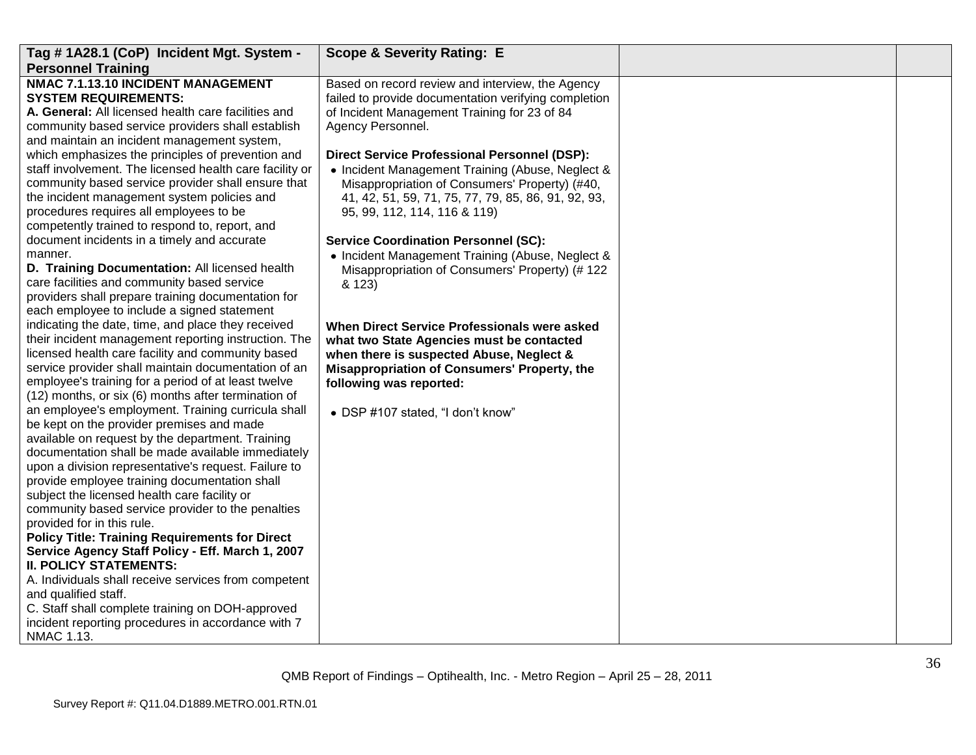| Tag #1A28.1 (CoP) Incident Mgt. System -                                                              | <b>Scope &amp; Severity Rating: E</b>                |  |
|-------------------------------------------------------------------------------------------------------|------------------------------------------------------|--|
| <b>Personnel Training</b>                                                                             |                                                      |  |
| NMAC 7.1.13.10 INCIDENT MANAGEMENT                                                                    | Based on record review and interview, the Agency     |  |
| <b>SYSTEM REQUIREMENTS:</b>                                                                           | failed to provide documentation verifying completion |  |
| A. General: All licensed health care facilities and                                                   | of Incident Management Training for 23 of 84         |  |
| community based service providers shall establish                                                     | Agency Personnel.                                    |  |
| and maintain an incident management system,                                                           |                                                      |  |
| which emphasizes the principles of prevention and                                                     | <b>Direct Service Professional Personnel (DSP):</b>  |  |
| staff involvement. The licensed health care facility or                                               | • Incident Management Training (Abuse, Neglect &     |  |
| community based service provider shall ensure that                                                    | Misappropriation of Consumers' Property) (#40,       |  |
| the incident management system policies and                                                           | 41, 42, 51, 59, 71, 75, 77, 79, 85, 86, 91, 92, 93,  |  |
| procedures requires all employees to be                                                               | 95, 99, 112, 114, 116 & 119)                         |  |
| competently trained to respond to, report, and                                                        |                                                      |  |
| document incidents in a timely and accurate                                                           | <b>Service Coordination Personnel (SC):</b>          |  |
| manner.                                                                                               | • Incident Management Training (Abuse, Neglect &     |  |
| D. Training Documentation: All licensed health                                                        | Misappropriation of Consumers' Property) (# 122      |  |
| care facilities and community based service                                                           | & 123)                                               |  |
| providers shall prepare training documentation for                                                    |                                                      |  |
| each employee to include a signed statement                                                           |                                                      |  |
| indicating the date, time, and place they received                                                    | When Direct Service Professionals were asked         |  |
| their incident management reporting instruction. The                                                  | what two State Agencies must be contacted            |  |
| licensed health care facility and community based                                                     | when there is suspected Abuse, Neglect &             |  |
| service provider shall maintain documentation of an                                                   | Misappropriation of Consumers' Property, the         |  |
| employee's training for a period of at least twelve                                                   | following was reported:                              |  |
| (12) months, or six (6) months after termination of                                                   |                                                      |  |
| an employee's employment. Training curricula shall                                                    | • DSP #107 stated, "I don't know"                    |  |
| be kept on the provider premises and made                                                             |                                                      |  |
| available on request by the department. Training                                                      |                                                      |  |
| documentation shall be made available immediately                                                     |                                                      |  |
| upon a division representative's request. Failure to<br>provide employee training documentation shall |                                                      |  |
| subject the licensed health care facility or                                                          |                                                      |  |
| community based service provider to the penalties                                                     |                                                      |  |
| provided for in this rule.                                                                            |                                                      |  |
| <b>Policy Title: Training Requirements for Direct</b>                                                 |                                                      |  |
| Service Agency Staff Policy - Eff. March 1, 2007                                                      |                                                      |  |
| <b>II. POLICY STATEMENTS:</b>                                                                         |                                                      |  |
| A. Individuals shall receive services from competent                                                  |                                                      |  |
| and qualified staff.                                                                                  |                                                      |  |
| C. Staff shall complete training on DOH-approved                                                      |                                                      |  |
| incident reporting procedures in accordance with 7                                                    |                                                      |  |
| NMAC 1.13.                                                                                            |                                                      |  |
|                                                                                                       |                                                      |  |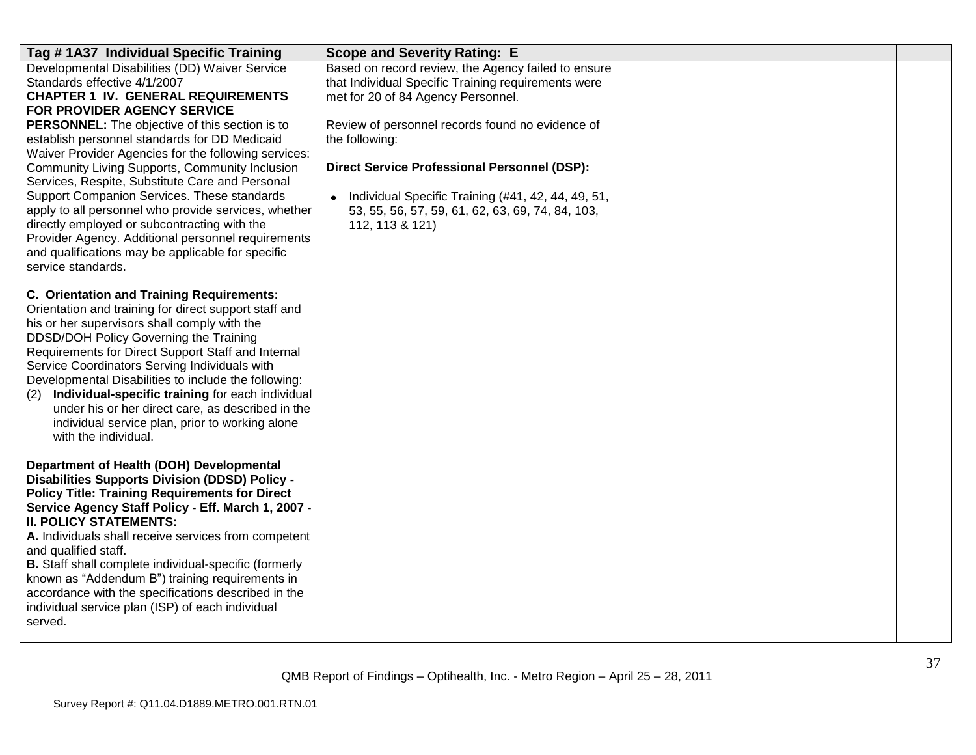| Tag #1A37 Individual Specific Training                                                                                                                                                                                                                                                                                                                                                                                                                                                                                                                                                                                                                                                                             | <b>Scope and Severity Rating: E</b>                                                                                                                                                                                                                                                                                                                                                                          |  |
|--------------------------------------------------------------------------------------------------------------------------------------------------------------------------------------------------------------------------------------------------------------------------------------------------------------------------------------------------------------------------------------------------------------------------------------------------------------------------------------------------------------------------------------------------------------------------------------------------------------------------------------------------------------------------------------------------------------------|--------------------------------------------------------------------------------------------------------------------------------------------------------------------------------------------------------------------------------------------------------------------------------------------------------------------------------------------------------------------------------------------------------------|--|
| Developmental Disabilities (DD) Waiver Service<br>Standards effective 4/1/2007<br><b>CHAPTER 1 IV. GENERAL REQUIREMENTS</b><br>FOR PROVIDER AGENCY SERVICE<br>PERSONNEL: The objective of this section is to<br>establish personnel standards for DD Medicaid<br>Waiver Provider Agencies for the following services:<br>Community Living Supports, Community Inclusion<br>Services, Respite, Substitute Care and Personal<br>Support Companion Services. These standards<br>apply to all personnel who provide services, whether<br>directly employed or subcontracting with the<br>Provider Agency. Additional personnel requirements<br>and qualifications may be applicable for specific<br>service standards. | Based on record review, the Agency failed to ensure<br>that Individual Specific Training requirements were<br>met for 20 of 84 Agency Personnel.<br>Review of personnel records found no evidence of<br>the following:<br><b>Direct Service Professional Personnel (DSP):</b><br>• Individual Specific Training (#41, 42, 44, 49, 51,<br>53, 55, 56, 57, 59, 61, 62, 63, 69, 74, 84, 103,<br>112, 113 & 121) |  |
| C. Orientation and Training Requirements:<br>Orientation and training for direct support staff and<br>his or her supervisors shall comply with the<br>DDSD/DOH Policy Governing the Training<br>Requirements for Direct Support Staff and Internal<br>Service Coordinators Serving Individuals with<br>Developmental Disabilities to include the following:<br>Individual-specific training for each individual<br>(2)<br>under his or her direct care, as described in the<br>individual service plan, prior to working alone<br>with the individual.                                                                                                                                                             |                                                                                                                                                                                                                                                                                                                                                                                                              |  |
| Department of Health (DOH) Developmental<br><b>Disabilities Supports Division (DDSD) Policy -</b><br><b>Policy Title: Training Requirements for Direct</b><br>Service Agency Staff Policy - Eff. March 1, 2007 -<br><b>II. POLICY STATEMENTS:</b><br>A. Individuals shall receive services from competent<br>and qualified staff.<br>B. Staff shall complete individual-specific (formerly<br>known as "Addendum B") training requirements in<br>accordance with the specifications described in the<br>individual service plan (ISP) of each individual<br>served.                                                                                                                                                |                                                                                                                                                                                                                                                                                                                                                                                                              |  |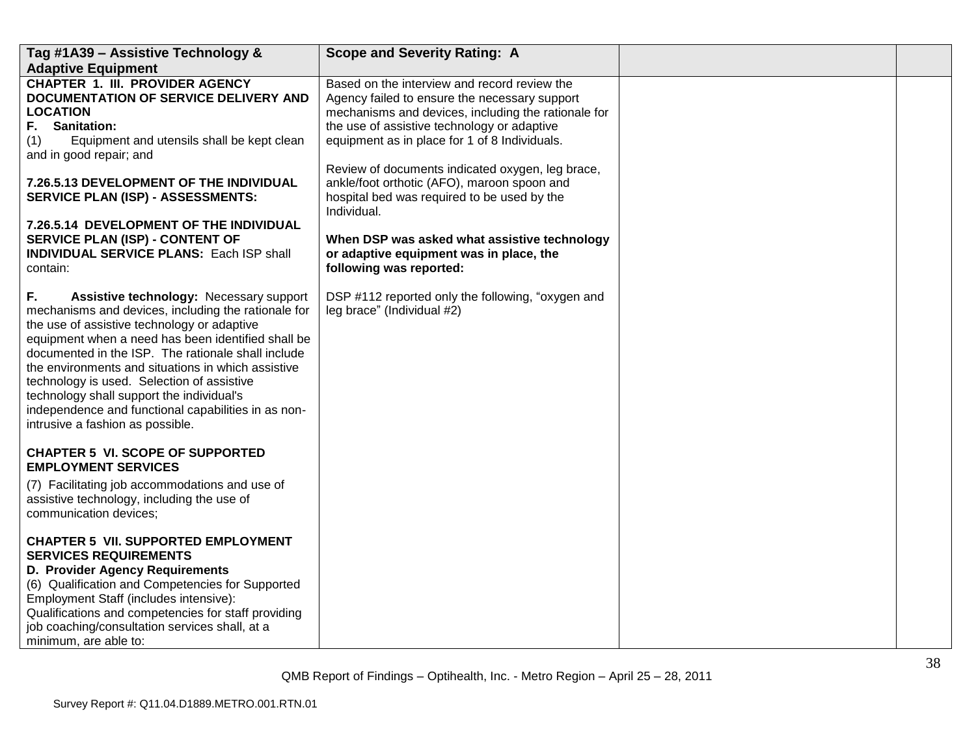| Tag #1A39 - Assistive Technology &                                                                                                                                                                                                                                                                                                                                                                                                                                                                          | <b>Scope and Severity Rating: A</b>                                                                                                                                                                                                                                                                      |  |
|-------------------------------------------------------------------------------------------------------------------------------------------------------------------------------------------------------------------------------------------------------------------------------------------------------------------------------------------------------------------------------------------------------------------------------------------------------------------------------------------------------------|----------------------------------------------------------------------------------------------------------------------------------------------------------------------------------------------------------------------------------------------------------------------------------------------------------|--|
| <b>Adaptive Equipment</b>                                                                                                                                                                                                                                                                                                                                                                                                                                                                                   |                                                                                                                                                                                                                                                                                                          |  |
| <b>CHAPTER 1. III. PROVIDER AGENCY</b><br>DOCUMENTATION OF SERVICE DELIVERY AND<br><b>LOCATION</b><br><b>Sanitation:</b><br>F.<br>Equipment and utensils shall be kept clean<br>(1)<br>and in good repair; and                                                                                                                                                                                                                                                                                              | Based on the interview and record review the<br>Agency failed to ensure the necessary support<br>mechanisms and devices, including the rationale for<br>the use of assistive technology or adaptive<br>equipment as in place for 1 of 8 Individuals.<br>Review of documents indicated oxygen, leg brace, |  |
| <b>7.26.5.13 DEVELOPMENT OF THE INDIVIDUAL</b><br><b>SERVICE PLAN (ISP) - ASSESSMENTS:</b>                                                                                                                                                                                                                                                                                                                                                                                                                  | ankle/foot orthotic (AFO), maroon spoon and<br>hospital bed was required to be used by the<br>Individual.                                                                                                                                                                                                |  |
| 7.26.5.14 DEVELOPMENT OF THE INDIVIDUAL<br>SERVICE PLAN (ISP) - CONTENT OF<br><b>INDIVIDUAL SERVICE PLANS: Each ISP shall</b><br>contain:                                                                                                                                                                                                                                                                                                                                                                   | When DSP was asked what assistive technology<br>or adaptive equipment was in place, the<br>following was reported:                                                                                                                                                                                       |  |
| F.<br>Assistive technology: Necessary support<br>mechanisms and devices, including the rationale for<br>the use of assistive technology or adaptive<br>equipment when a need has been identified shall be<br>documented in the ISP. The rationale shall include<br>the environments and situations in which assistive<br>technology is used. Selection of assistive<br>technology shall support the individual's<br>independence and functional capabilities in as non-<br>intrusive a fashion as possible. | DSP #112 reported only the following, "oxygen and<br>leg brace" (Individual #2)                                                                                                                                                                                                                          |  |
| <b>CHAPTER 5 VI. SCOPE OF SUPPORTED</b><br><b>EMPLOYMENT SERVICES</b>                                                                                                                                                                                                                                                                                                                                                                                                                                       |                                                                                                                                                                                                                                                                                                          |  |
| (7) Facilitating job accommodations and use of<br>assistive technology, including the use of<br>communication devices;                                                                                                                                                                                                                                                                                                                                                                                      |                                                                                                                                                                                                                                                                                                          |  |
| <b>CHAPTER 5 VII. SUPPORTED EMPLOYMENT</b><br><b>SERVICES REQUIREMENTS</b><br><b>D. Provider Agency Requirements</b><br>(6) Qualification and Competencies for Supported<br>Employment Staff (includes intensive):<br>Qualifications and competencies for staff providing<br>job coaching/consultation services shall, at a<br>minimum, are able to:                                                                                                                                                        |                                                                                                                                                                                                                                                                                                          |  |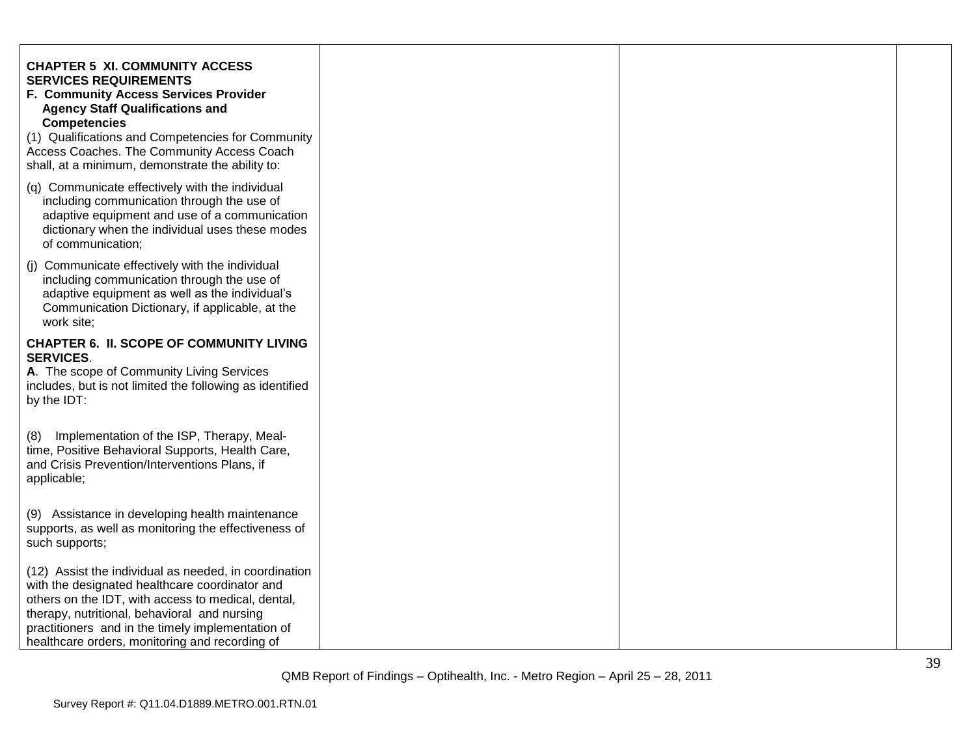| <b>CHAPTER 5 XI. COMMUNITY ACCESS</b><br><b>SERVICES REQUIREMENTS</b><br>F. Community Access Services Provider<br><b>Agency Staff Qualifications and</b><br><b>Competencies</b><br>(1) Qualifications and Competencies for Community<br>Access Coaches. The Community Access Coach<br>shall, at a minimum, demonstrate the ability to: |  |  |
|----------------------------------------------------------------------------------------------------------------------------------------------------------------------------------------------------------------------------------------------------------------------------------------------------------------------------------------|--|--|
| (q) Communicate effectively with the individual<br>including communication through the use of<br>adaptive equipment and use of a communication<br>dictionary when the individual uses these modes<br>of communication;                                                                                                                 |  |  |
| (j) Communicate effectively with the individual<br>including communication through the use of<br>adaptive equipment as well as the individual's<br>Communication Dictionary, if applicable, at the<br>work site;                                                                                                                       |  |  |
| <b>CHAPTER 6. II. SCOPE OF COMMUNITY LIVING</b><br><b>SERVICES.</b><br>A. The scope of Community Living Services<br>includes, but is not limited the following as identified<br>by the IDT:                                                                                                                                            |  |  |
| Implementation of the ISP, Therapy, Meal-<br>(8)<br>time, Positive Behavioral Supports, Health Care,<br>and Crisis Prevention/Interventions Plans, if<br>applicable;                                                                                                                                                                   |  |  |
| (9) Assistance in developing health maintenance<br>supports, as well as monitoring the effectiveness of<br>such supports;                                                                                                                                                                                                              |  |  |
| (12) Assist the individual as needed, in coordination<br>with the designated healthcare coordinator and<br>others on the IDT, with access to medical, dental,<br>therapy, nutritional, behavioral and nursing<br>practitioners and in the timely implementation of<br>healthcare orders, monitoring and recording of                   |  |  |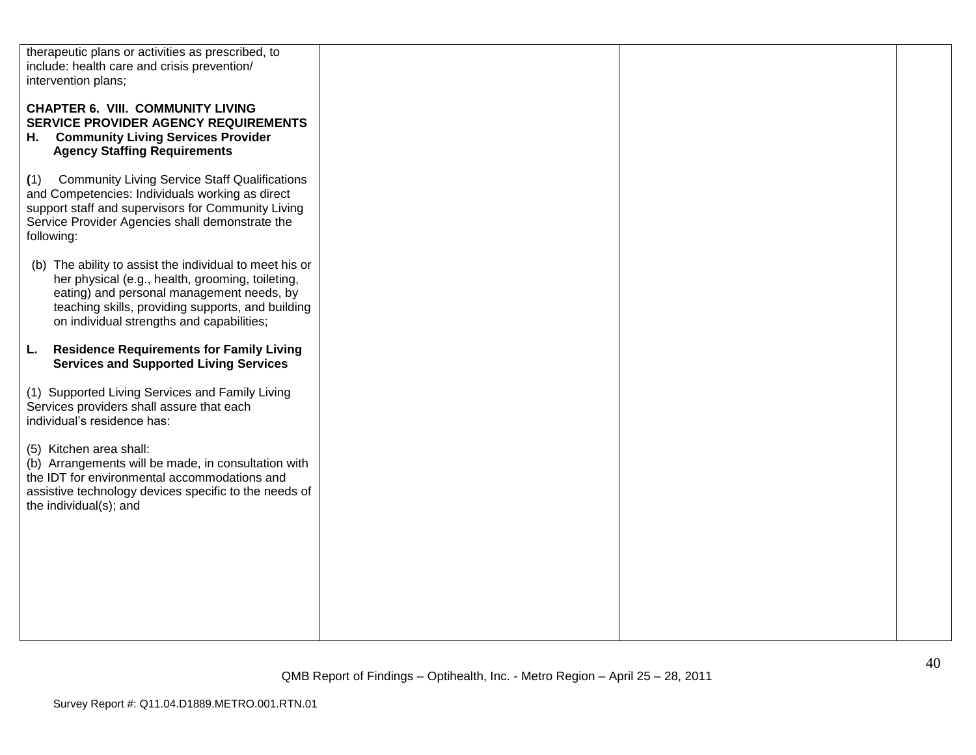| therapeutic plans or activities as prescribed, to<br>include: health care and crisis prevention/                                                                                                                                                           |  |  |
|------------------------------------------------------------------------------------------------------------------------------------------------------------------------------------------------------------------------------------------------------------|--|--|
| intervention plans;                                                                                                                                                                                                                                        |  |  |
| <b>CHAPTER 6. VIII. COMMUNITY LIVING</b><br>SERVICE PROVIDER AGENCY REQUIREMENTS<br>H. Community Living Services Provider<br><b>Agency Staffing Requirements</b>                                                                                           |  |  |
| <b>Community Living Service Staff Qualifications</b><br>(1)<br>and Competencies: Individuals working as direct<br>support staff and supervisors for Community Living<br>Service Provider Agencies shall demonstrate the<br>following:                      |  |  |
| (b) The ability to assist the individual to meet his or<br>her physical (e.g., health, grooming, toileting,<br>eating) and personal management needs, by<br>teaching skills, providing supports, and building<br>on individual strengths and capabilities; |  |  |
| <b>Residence Requirements for Family Living</b><br>L.<br><b>Services and Supported Living Services</b>                                                                                                                                                     |  |  |
| (1) Supported Living Services and Family Living<br>Services providers shall assure that each<br>individual's residence has:                                                                                                                                |  |  |
| (5) Kitchen area shall:<br>(b) Arrangements will be made, in consultation with<br>the IDT for environmental accommodations and<br>assistive technology devices specific to the needs of<br>the individual(s); and                                          |  |  |
|                                                                                                                                                                                                                                                            |  |  |
|                                                                                                                                                                                                                                                            |  |  |
|                                                                                                                                                                                                                                                            |  |  |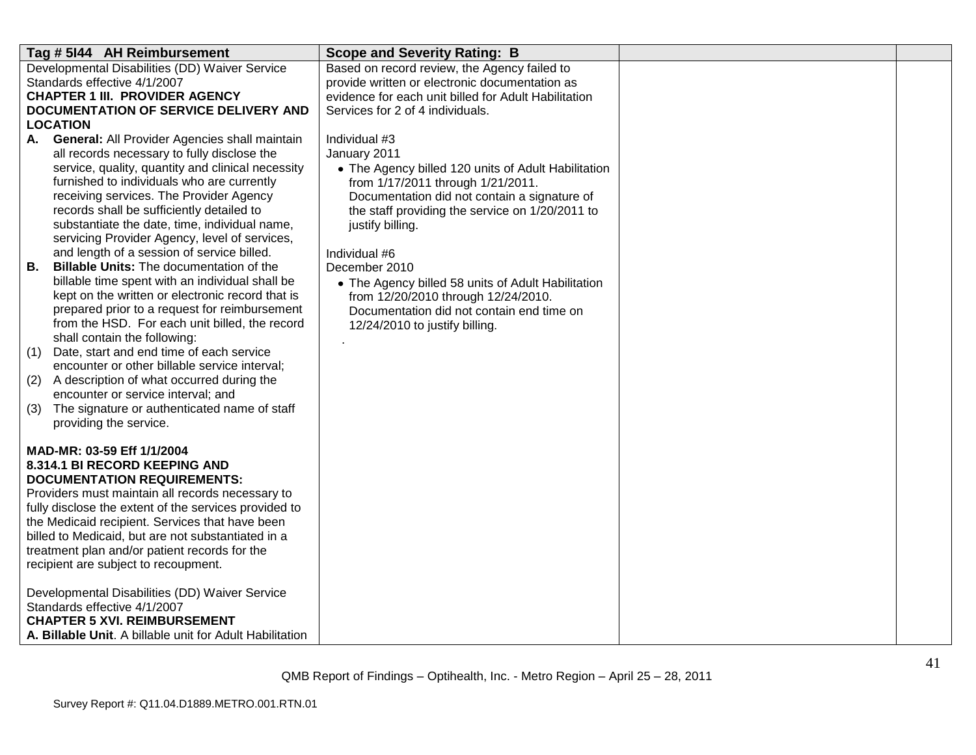| Tag # 5144 AH Reimbursement                                                                         | <b>Scope and Severity Rating: B</b>                                                             |  |
|-----------------------------------------------------------------------------------------------------|-------------------------------------------------------------------------------------------------|--|
| Developmental Disabilities (DD) Waiver Service<br>Standards effective 4/1/2007                      | Based on record review, the Agency failed to<br>provide written or electronic documentation as  |  |
| <b>CHAPTER 1 III. PROVIDER AGENCY</b>                                                               | evidence for each unit billed for Adult Habilitation                                            |  |
| DOCUMENTATION OF SERVICE DELIVERY AND                                                               | Services for 2 of 4 individuals.                                                                |  |
| LOCATION                                                                                            |                                                                                                 |  |
| A. General: All Provider Agencies shall maintain                                                    | Individual #3                                                                                   |  |
| all records necessary to fully disclose the                                                         | January 2011                                                                                    |  |
| service, quality, quantity and clinical necessity                                                   | • The Agency billed 120 units of Adult Habilitation                                             |  |
| furnished to individuals who are currently<br>receiving services. The Provider Agency               | from 1/17/2011 through 1/21/2011.                                                               |  |
| records shall be sufficiently detailed to                                                           | Documentation did not contain a signature of<br>the staff providing the service on 1/20/2011 to |  |
| substantiate the date, time, individual name,                                                       | justify billing.                                                                                |  |
| servicing Provider Agency, level of services,                                                       |                                                                                                 |  |
| and length of a session of service billed.                                                          | Individual #6                                                                                   |  |
| В.<br><b>Billable Units: The documentation of the</b>                                               | December 2010                                                                                   |  |
| billable time spent with an individual shall be<br>kept on the written or electronic record that is | • The Agency billed 58 units of Adult Habilitation                                              |  |
| prepared prior to a request for reimbursement                                                       | from 12/20/2010 through 12/24/2010.<br>Documentation did not contain end time on                |  |
| from the HSD. For each unit billed, the record                                                      | 12/24/2010 to justify billing.                                                                  |  |
| shall contain the following:                                                                        |                                                                                                 |  |
| Date, start and end time of each service<br>(1)                                                     |                                                                                                 |  |
| encounter or other billable service interval;                                                       |                                                                                                 |  |
| (2)<br>A description of what occurred during the<br>encounter or service interval; and              |                                                                                                 |  |
| (3)<br>The signature or authenticated name of staff                                                 |                                                                                                 |  |
| providing the service.                                                                              |                                                                                                 |  |
|                                                                                                     |                                                                                                 |  |
| MAD-MR: 03-59 Eff 1/1/2004                                                                          |                                                                                                 |  |
| 8.314.1 BI RECORD KEEPING AND                                                                       |                                                                                                 |  |
| <b>DOCUMENTATION REQUIREMENTS:</b><br>Providers must maintain all records necessary to              |                                                                                                 |  |
| fully disclose the extent of the services provided to                                               |                                                                                                 |  |
| the Medicaid recipient. Services that have been                                                     |                                                                                                 |  |
| billed to Medicaid, but are not substantiated in a                                                  |                                                                                                 |  |
| treatment plan and/or patient records for the                                                       |                                                                                                 |  |
| recipient are subject to recoupment.                                                                |                                                                                                 |  |
| Developmental Disabilities (DD) Waiver Service                                                      |                                                                                                 |  |
| Standards effective 4/1/2007                                                                        |                                                                                                 |  |
| <b>CHAPTER 5 XVI. REIMBURSEMENT</b>                                                                 |                                                                                                 |  |
| A. Billable Unit. A billable unit for Adult Habilitation                                            |                                                                                                 |  |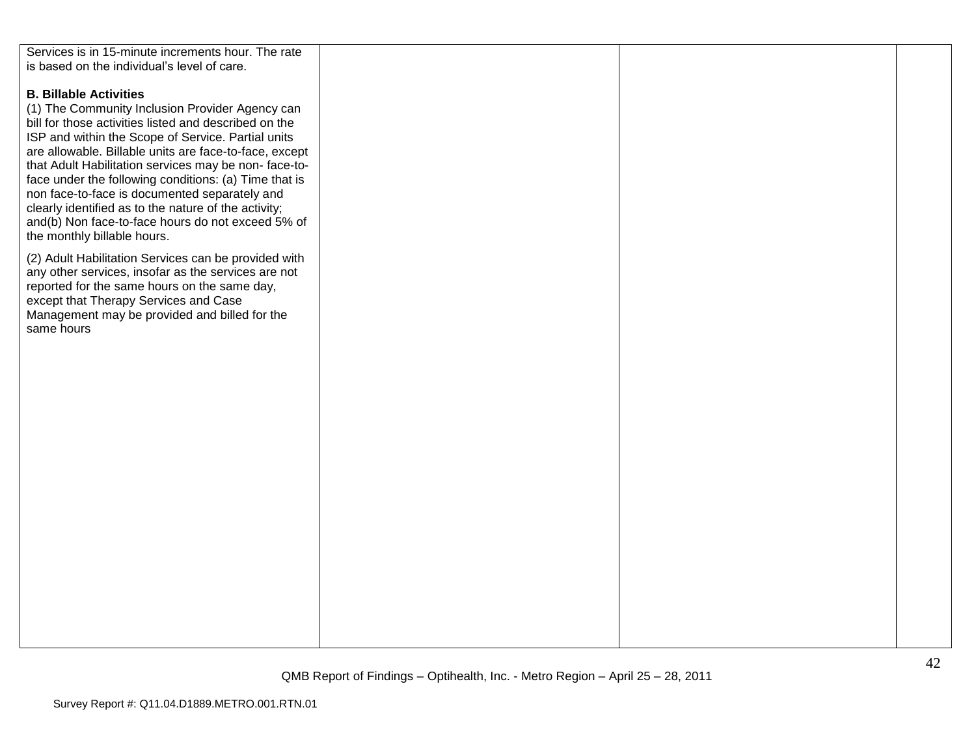| Services is in 15-minute increments hour. The rate     |  |  |
|--------------------------------------------------------|--|--|
| is based on the individual's level of care.            |  |  |
|                                                        |  |  |
| <b>B. Billable Activities</b>                          |  |  |
| (1) The Community Inclusion Provider Agency can        |  |  |
| bill for those activities listed and described on the  |  |  |
| ISP and within the Scope of Service. Partial units     |  |  |
|                                                        |  |  |
| are allowable. Billable units are face-to-face, except |  |  |
| that Adult Habilitation services may be non-face-to-   |  |  |
| face under the following conditions: (a) Time that is  |  |  |
| non face-to-face is documented separately and          |  |  |
| clearly identified as to the nature of the activity;   |  |  |
| and(b) Non face-to-face hours do not exceed 5% of      |  |  |
| the monthly billable hours.                            |  |  |
| (2) Adult Habilitation Services can be provided with   |  |  |
| any other services, insofar as the services are not    |  |  |
| reported for the same hours on the same day,           |  |  |
| except that Therapy Services and Case                  |  |  |
| Management may be provided and billed for the          |  |  |
| same hours                                             |  |  |
|                                                        |  |  |
|                                                        |  |  |
|                                                        |  |  |
|                                                        |  |  |
|                                                        |  |  |
|                                                        |  |  |
|                                                        |  |  |
|                                                        |  |  |
|                                                        |  |  |
|                                                        |  |  |
|                                                        |  |  |
|                                                        |  |  |
|                                                        |  |  |
|                                                        |  |  |
|                                                        |  |  |
|                                                        |  |  |
|                                                        |  |  |
|                                                        |  |  |
|                                                        |  |  |
|                                                        |  |  |
|                                                        |  |  |
|                                                        |  |  |
|                                                        |  |  |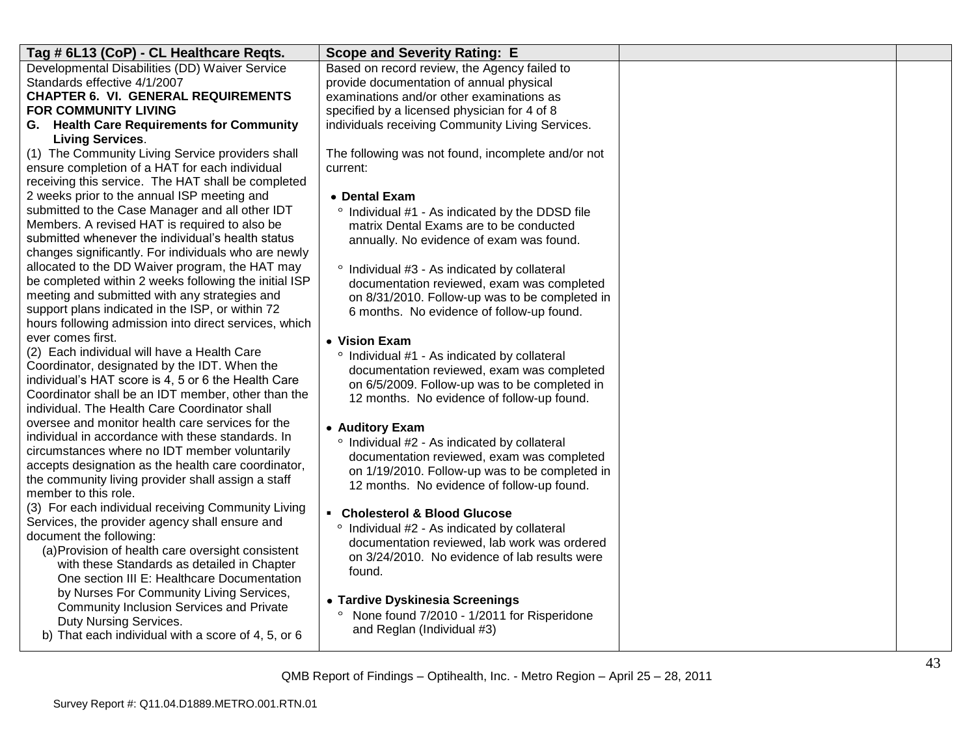| Tag # 6L13 (CoP) - CL Healthcare Reqts.                                                               | <b>Scope and Severity Rating: E</b>                                                          |  |
|-------------------------------------------------------------------------------------------------------|----------------------------------------------------------------------------------------------|--|
| Developmental Disabilities (DD) Waiver Service                                                        | Based on record review, the Agency failed to                                                 |  |
| Standards effective 4/1/2007                                                                          | provide documentation of annual physical                                                     |  |
| <b>CHAPTER 6. VI. GENERAL REQUIREMENTS</b>                                                            | examinations and/or other examinations as                                                    |  |
| <b>FOR COMMUNITY LIVING</b>                                                                           | specified by a licensed physician for 4 of 8                                                 |  |
| G. Health Care Requirements for Community                                                             | individuals receiving Community Living Services.                                             |  |
| <b>Living Services.</b>                                                                               |                                                                                              |  |
| (1) The Community Living Service providers shall                                                      | The following was not found, incomplete and/or not                                           |  |
| ensure completion of a HAT for each individual                                                        | current:                                                                                     |  |
| receiving this service. The HAT shall be completed<br>2 weeks prior to the annual ISP meeting and     |                                                                                              |  |
| submitted to the Case Manager and all other IDT                                                       | • Dental Exam                                                                                |  |
| Members. A revised HAT is required to also be                                                         | ° Individual #1 - As indicated by the DDSD file<br>matrix Dental Exams are to be conducted   |  |
| submitted whenever the individual's health status                                                     | annually. No evidence of exam was found.                                                     |  |
| changes significantly. For individuals who are newly                                                  |                                                                                              |  |
| allocated to the DD Waiver program, the HAT may                                                       | ° Individual #3 - As indicated by collateral                                                 |  |
| be completed within 2 weeks following the initial ISP                                                 | documentation reviewed, exam was completed                                                   |  |
| meeting and submitted with any strategies and                                                         | on 8/31/2010. Follow-up was to be completed in                                               |  |
| support plans indicated in the ISP, or within 72                                                      | 6 months. No evidence of follow-up found.                                                    |  |
| hours following admission into direct services, which                                                 |                                                                                              |  |
| ever comes first.                                                                                     | • Vision Exam                                                                                |  |
| (2) Each individual will have a Health Care                                                           | ° Individual #1 - As indicated by collateral                                                 |  |
| Coordinator, designated by the IDT. When the                                                          | documentation reviewed, exam was completed                                                   |  |
| individual's HAT score is 4, 5 or 6 the Health Care                                                   | on 6/5/2009. Follow-up was to be completed in                                                |  |
| Coordinator shall be an IDT member, other than the                                                    | 12 months. No evidence of follow-up found.                                                   |  |
| individual. The Health Care Coordinator shall                                                         |                                                                                              |  |
| oversee and monitor health care services for the<br>individual in accordance with these standards. In | • Auditory Exam                                                                              |  |
| circumstances where no IDT member voluntarily                                                         | ° Individual #2 - As indicated by collateral                                                 |  |
| accepts designation as the health care coordinator,                                                   | documentation reviewed, exam was completed                                                   |  |
| the community living provider shall assign a staff                                                    | on 1/19/2010. Follow-up was to be completed in                                               |  |
| member to this role.                                                                                  | 12 months. No evidence of follow-up found.                                                   |  |
| (3) For each individual receiving Community Living                                                    | • Cholesterol & Blood Glucose                                                                |  |
| Services, the provider agency shall ensure and                                                        |                                                                                              |  |
| document the following:                                                                               | ° Individual #2 - As indicated by collateral<br>documentation reviewed, lab work was ordered |  |
| (a) Provision of health care oversight consistent                                                     | on 3/24/2010. No evidence of lab results were                                                |  |
| with these Standards as detailed in Chapter                                                           | found.                                                                                       |  |
| One section III E: Healthcare Documentation                                                           |                                                                                              |  |
| by Nurses For Community Living Services,                                                              | • Tardive Dyskinesia Screenings                                                              |  |
| Community Inclusion Services and Private                                                              | None found 7/2010 - 1/2011 for Risperidone                                                   |  |
| Duty Nursing Services.                                                                                | and Reglan (Individual #3)                                                                   |  |
| b) That each individual with a score of 4, 5, or 6                                                    |                                                                                              |  |
|                                                                                                       |                                                                                              |  |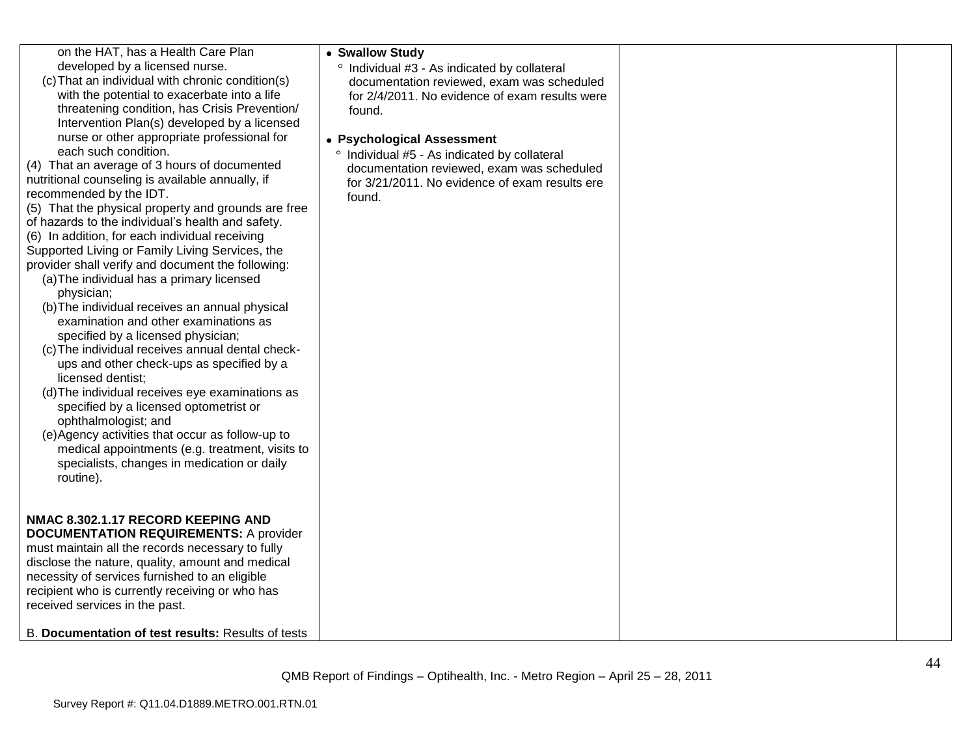| on the HAT, has a Health Care Plan<br>developed by a licensed nurse.<br>(c) That an individual with chronic condition(s)<br>with the potential to exacerbate into a life<br>threatening condition, has Crisis Prevention/<br>Intervention Plan(s) developed by a licensed<br>nurse or other appropriate professional for<br>each such condition.<br>(4) That an average of 3 hours of documented<br>nutritional counseling is available annually, if<br>recommended by the IDT.<br>(5) That the physical property and grounds are free<br>of hazards to the individual's health and safety.<br>(6) In addition, for each individual receiving<br>Supported Living or Family Living Services, the<br>provider shall verify and document the following:<br>(a) The individual has a primary licensed<br>physician;<br>(b) The individual receives an annual physical<br>examination and other examinations as<br>specified by a licensed physician;<br>(c) The individual receives annual dental check-<br>ups and other check-ups as specified by a<br>licensed dentist;<br>(d) The individual receives eye examinations as<br>specified by a licensed optometrist or<br>ophthalmologist; and<br>(e) Agency activities that occur as follow-up to<br>medical appointments (e.g. treatment, visits to<br>specialists, changes in medication or daily<br>routine). | • Swallow Study<br>° Individual #3 - As indicated by collateral<br>documentation reviewed, exam was scheduled<br>for 2/4/2011. No evidence of exam results were<br>found.<br>• Psychological Assessment<br>° Individual #5 - As indicated by collateral<br>documentation reviewed, exam was scheduled<br>for 3/21/2011. No evidence of exam results ere<br>found. |  |
|-----------------------------------------------------------------------------------------------------------------------------------------------------------------------------------------------------------------------------------------------------------------------------------------------------------------------------------------------------------------------------------------------------------------------------------------------------------------------------------------------------------------------------------------------------------------------------------------------------------------------------------------------------------------------------------------------------------------------------------------------------------------------------------------------------------------------------------------------------------------------------------------------------------------------------------------------------------------------------------------------------------------------------------------------------------------------------------------------------------------------------------------------------------------------------------------------------------------------------------------------------------------------------------------------------------------------------------------------------------------|-------------------------------------------------------------------------------------------------------------------------------------------------------------------------------------------------------------------------------------------------------------------------------------------------------------------------------------------------------------------|--|
| NMAC 8.302.1.17 RECORD KEEPING AND<br><b>DOCUMENTATION REQUIREMENTS: A provider</b><br>must maintain all the records necessary to fully<br>disclose the nature, quality, amount and medical<br>necessity of services furnished to an eligible<br>recipient who is currently receiving or who has<br>received services in the past.<br>B. Documentation of test results: Results of tests                                                                                                                                                                                                                                                                                                                                                                                                                                                                                                                                                                                                                                                                                                                                                                                                                                                                                                                                                                        |                                                                                                                                                                                                                                                                                                                                                                   |  |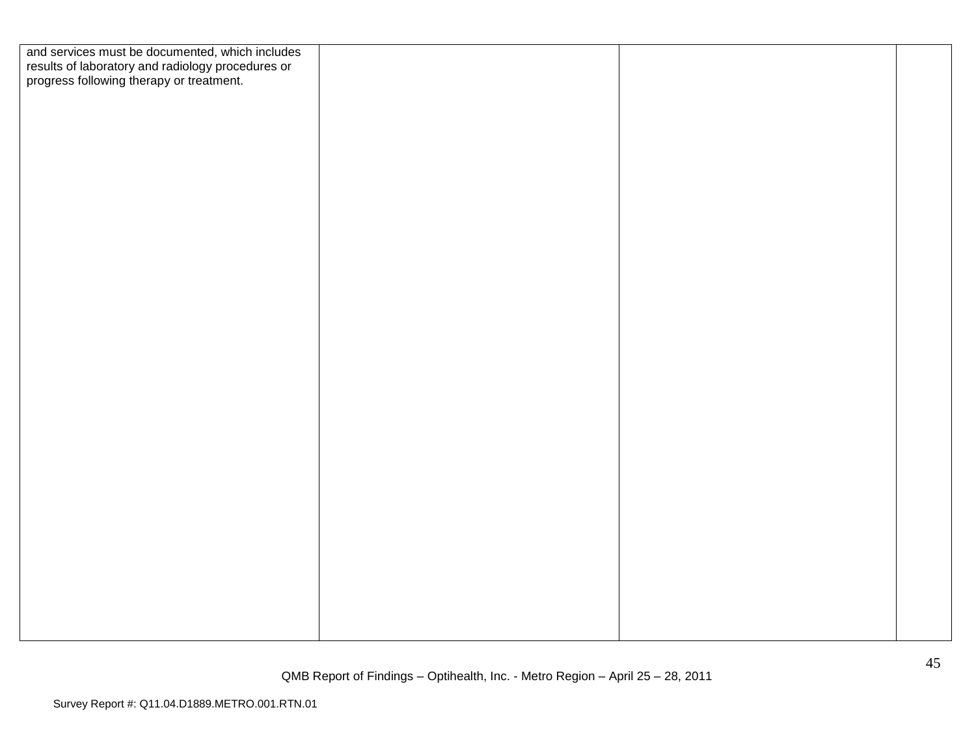| and services must be documented, which includes<br>results of laboratory and radiology procedures or<br>progress following therapy or treatment. |  |  |
|--------------------------------------------------------------------------------------------------------------------------------------------------|--|--|
|                                                                                                                                                  |  |  |
|                                                                                                                                                  |  |  |
|                                                                                                                                                  |  |  |
|                                                                                                                                                  |  |  |
|                                                                                                                                                  |  |  |
|                                                                                                                                                  |  |  |
|                                                                                                                                                  |  |  |
|                                                                                                                                                  |  |  |
|                                                                                                                                                  |  |  |
|                                                                                                                                                  |  |  |
|                                                                                                                                                  |  |  |
|                                                                                                                                                  |  |  |
|                                                                                                                                                  |  |  |
|                                                                                                                                                  |  |  |
|                                                                                                                                                  |  |  |
|                                                                                                                                                  |  |  |
|                                                                                                                                                  |  |  |
|                                                                                                                                                  |  |  |
|                                                                                                                                                  |  |  |
|                                                                                                                                                  |  |  |
|                                                                                                                                                  |  |  |
|                                                                                                                                                  |  |  |
|                                                                                                                                                  |  |  |
|                                                                                                                                                  |  |  |
|                                                                                                                                                  |  |  |
|                                                                                                                                                  |  |  |
|                                                                                                                                                  |  |  |
|                                                                                                                                                  |  |  |
|                                                                                                                                                  |  |  |
|                                                                                                                                                  |  |  |
|                                                                                                                                                  |  |  |
|                                                                                                                                                  |  |  |
|                                                                                                                                                  |  |  |
|                                                                                                                                                  |  |  |
|                                                                                                                                                  |  |  |
|                                                                                                                                                  |  |  |
|                                                                                                                                                  |  |  |
|                                                                                                                                                  |  |  |
|                                                                                                                                                  |  |  |
|                                                                                                                                                  |  |  |
|                                                                                                                                                  |  |  |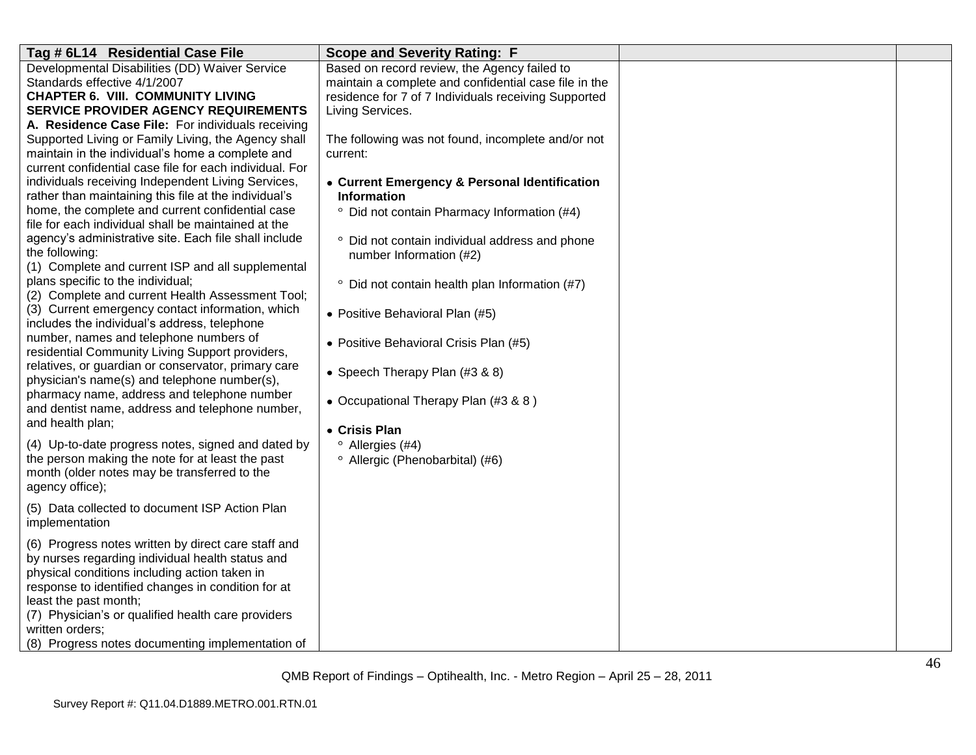| Tag # 6L14 Residential Case File                                                                                                                                                                                                                                                                                                                                                                                                                                                                                                                                                                                                                                                                                                                                                                                                                                                                                                                                                                                                                                                                                                                                                                                                                                                                                                                                                                                                                                                                                                                                                              | <b>Scope and Severity Rating: F</b>                                                                                                                                                                                                                                                                                                                                                                                                                                                                                                                                                                                                                                                                                                                                               |  |
|-----------------------------------------------------------------------------------------------------------------------------------------------------------------------------------------------------------------------------------------------------------------------------------------------------------------------------------------------------------------------------------------------------------------------------------------------------------------------------------------------------------------------------------------------------------------------------------------------------------------------------------------------------------------------------------------------------------------------------------------------------------------------------------------------------------------------------------------------------------------------------------------------------------------------------------------------------------------------------------------------------------------------------------------------------------------------------------------------------------------------------------------------------------------------------------------------------------------------------------------------------------------------------------------------------------------------------------------------------------------------------------------------------------------------------------------------------------------------------------------------------------------------------------------------------------------------------------------------|-----------------------------------------------------------------------------------------------------------------------------------------------------------------------------------------------------------------------------------------------------------------------------------------------------------------------------------------------------------------------------------------------------------------------------------------------------------------------------------------------------------------------------------------------------------------------------------------------------------------------------------------------------------------------------------------------------------------------------------------------------------------------------------|--|
| Developmental Disabilities (DD) Waiver Service<br>Standards effective 4/1/2007<br><b>CHAPTER 6. VIII. COMMUNITY LIVING</b><br><b>SERVICE PROVIDER AGENCY REQUIREMENTS</b><br>A. Residence Case File: For individuals receiving<br>Supported Living or Family Living, the Agency shall<br>maintain in the individual's home a complete and<br>current confidential case file for each individual. For<br>individuals receiving Independent Living Services,<br>rather than maintaining this file at the individual's<br>home, the complete and current confidential case<br>file for each individual shall be maintained at the<br>agency's administrative site. Each file shall include<br>the following:<br>(1) Complete and current ISP and all supplemental<br>plans specific to the individual;<br>(2) Complete and current Health Assessment Tool;<br>(3) Current emergency contact information, which<br>includes the individual's address, telephone<br>number, names and telephone numbers of<br>residential Community Living Support providers,<br>relatives, or guardian or conservator, primary care<br>physician's name(s) and telephone number(s),<br>pharmacy name, address and telephone number<br>and dentist name, address and telephone number,<br>and health plan;<br>(4) Up-to-date progress notes, signed and dated by<br>the person making the note for at least the past<br>month (older notes may be transferred to the<br>agency office);<br>(5) Data collected to document ISP Action Plan<br>implementation<br>(6) Progress notes written by direct care staff and | Based on record review, the Agency failed to<br>maintain a complete and confidential case file in the<br>residence for 7 of 7 Individuals receiving Supported<br>Living Services.<br>The following was not found, incomplete and/or not<br>current:<br>• Current Emergency & Personal Identification<br><b>Information</b><br><sup>o</sup> Did not contain Pharmacy Information (#4)<br>° Did not contain individual address and phone<br>number Information (#2)<br><sup>o</sup> Did not contain health plan Information (#7)<br>• Positive Behavioral Plan (#5)<br>• Positive Behavioral Crisis Plan (#5)<br>• Speech Therapy Plan (#3 & 8)<br>• Occupational Therapy Plan (#3 & 8)<br>• Crisis Plan<br>$^{\circ}$ Allergies (#4)<br><sup>o</sup> Allergic (Phenobarbital) (#6) |  |
| by nurses regarding individual health status and<br>physical conditions including action taken in<br>response to identified changes in condition for at<br>least the past month;<br>(7) Physician's or qualified health care providers                                                                                                                                                                                                                                                                                                                                                                                                                                                                                                                                                                                                                                                                                                                                                                                                                                                                                                                                                                                                                                                                                                                                                                                                                                                                                                                                                        |                                                                                                                                                                                                                                                                                                                                                                                                                                                                                                                                                                                                                                                                                                                                                                                   |  |
| written orders:<br>(8) Progress notes documenting implementation of                                                                                                                                                                                                                                                                                                                                                                                                                                                                                                                                                                                                                                                                                                                                                                                                                                                                                                                                                                                                                                                                                                                                                                                                                                                                                                                                                                                                                                                                                                                           |                                                                                                                                                                                                                                                                                                                                                                                                                                                                                                                                                                                                                                                                                                                                                                                   |  |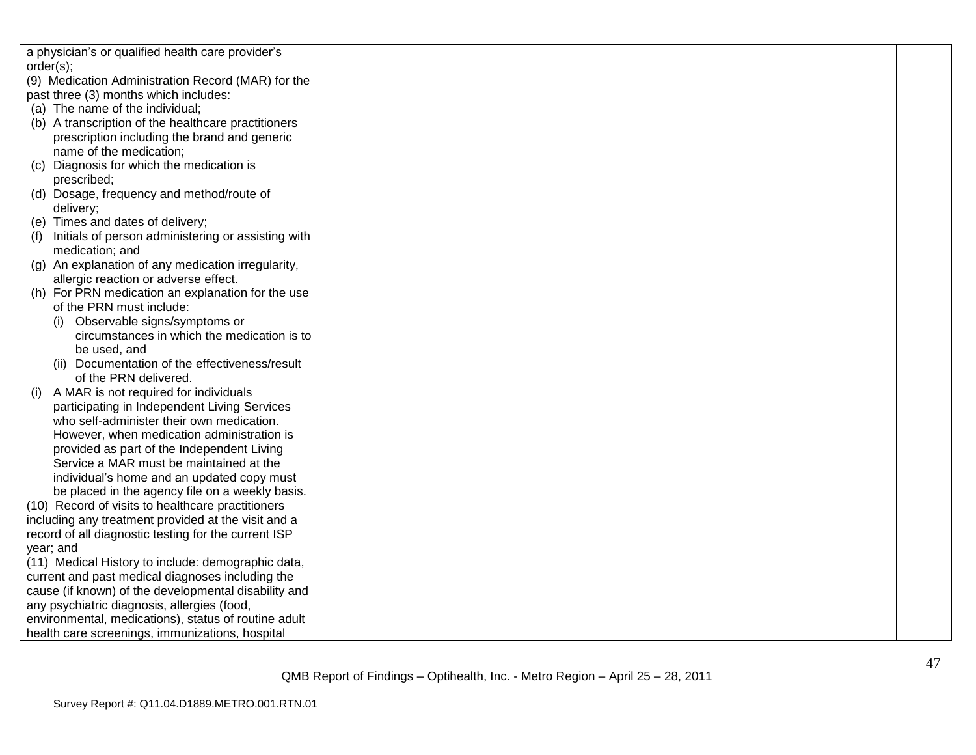| a physician's or qualified health care provider's    |  |  |
|------------------------------------------------------|--|--|
| order(s);                                            |  |  |
| (9) Medication Administration Record (MAR) for the   |  |  |
| past three (3) months which includes:                |  |  |
| (a) The name of the individual;                      |  |  |
| (b) A transcription of the healthcare practitioners  |  |  |
| prescription including the brand and generic         |  |  |
| name of the medication;                              |  |  |
| Diagnosis for which the medication is<br>(C)         |  |  |
| prescribed;                                          |  |  |
| (d) Dosage, frequency and method/route of            |  |  |
| delivery;                                            |  |  |
| (e) Times and dates of delivery;                     |  |  |
| Initials of person administering or assisting with   |  |  |
| medication; and                                      |  |  |
| (g) An explanation of any medication irregularity,   |  |  |
| allergic reaction or adverse effect.                 |  |  |
| (h) For PRN medication an explanation for the use    |  |  |
| of the PRN must include:                             |  |  |
| (i) Observable signs/symptoms or                     |  |  |
| circumstances in which the medication is to          |  |  |
| be used, and                                         |  |  |
| (ii) Documentation of the effectiveness/result       |  |  |
| of the PRN delivered.                                |  |  |
| A MAR is not required for individuals<br>(1)         |  |  |
| participating in Independent Living Services         |  |  |
| who self-administer their own medication.            |  |  |
| However, when medication administration is           |  |  |
| provided as part of the Independent Living           |  |  |
| Service a MAR must be maintained at the              |  |  |
| individual's home and an updated copy must           |  |  |
| be placed in the agency file on a weekly basis.      |  |  |
| (10) Record of visits to healthcare practitioners    |  |  |
| including any treatment provided at the visit and a  |  |  |
| record of all diagnostic testing for the current ISP |  |  |
| year; and                                            |  |  |
| (11) Medical History to include: demographic data,   |  |  |
| current and past medical diagnoses including the     |  |  |
| cause (if known) of the developmental disability and |  |  |
| any psychiatric diagnosis, allergies (food,          |  |  |
| environmental, medications), status of routine adult |  |  |
| health care screenings, immunizations, hospital      |  |  |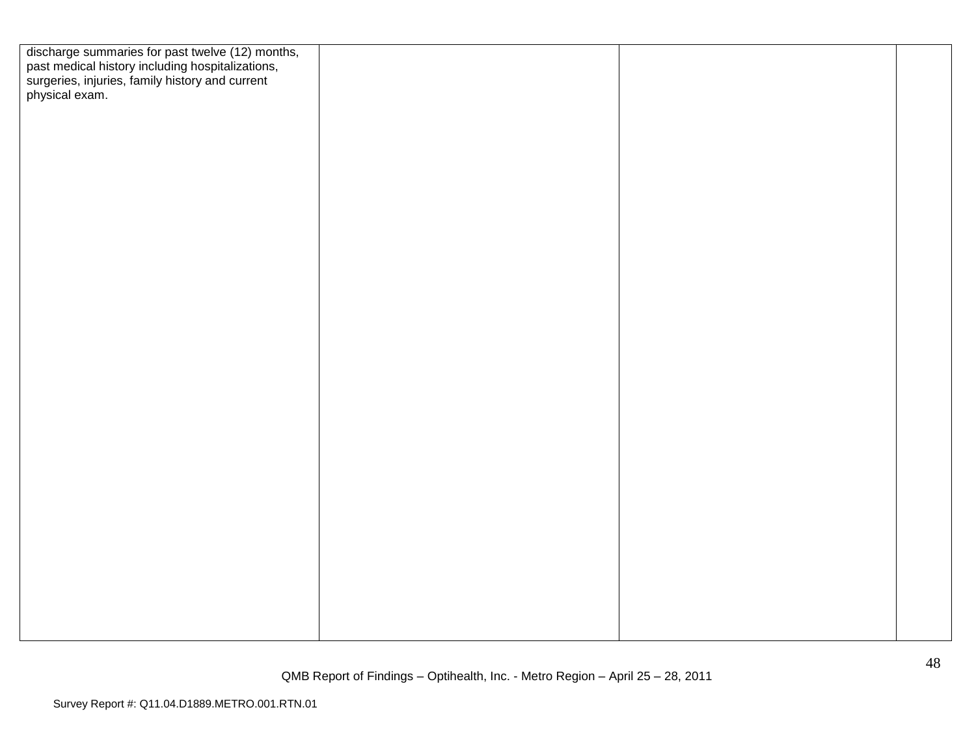| discharge summaries for past twelve (12) months,<br>past medical history including hospitalizations,<br>surgeries, injuries, family history and current<br>physical exam. |  |  |
|---------------------------------------------------------------------------------------------------------------------------------------------------------------------------|--|--|
|                                                                                                                                                                           |  |  |
|                                                                                                                                                                           |  |  |
|                                                                                                                                                                           |  |  |
|                                                                                                                                                                           |  |  |
|                                                                                                                                                                           |  |  |
|                                                                                                                                                                           |  |  |
|                                                                                                                                                                           |  |  |
|                                                                                                                                                                           |  |  |
|                                                                                                                                                                           |  |  |
|                                                                                                                                                                           |  |  |
|                                                                                                                                                                           |  |  |
|                                                                                                                                                                           |  |  |
|                                                                                                                                                                           |  |  |
|                                                                                                                                                                           |  |  |
|                                                                                                                                                                           |  |  |
|                                                                                                                                                                           |  |  |
|                                                                                                                                                                           |  |  |
|                                                                                                                                                                           |  |  |
|                                                                                                                                                                           |  |  |
|                                                                                                                                                                           |  |  |
|                                                                                                                                                                           |  |  |
|                                                                                                                                                                           |  |  |
|                                                                                                                                                                           |  |  |
|                                                                                                                                                                           |  |  |
|                                                                                                                                                                           |  |  |
|                                                                                                                                                                           |  |  |
|                                                                                                                                                                           |  |  |
|                                                                                                                                                                           |  |  |
|                                                                                                                                                                           |  |  |
|                                                                                                                                                                           |  |  |
|                                                                                                                                                                           |  |  |
|                                                                                                                                                                           |  |  |
|                                                                                                                                                                           |  |  |
|                                                                                                                                                                           |  |  |
|                                                                                                                                                                           |  |  |
|                                                                                                                                                                           |  |  |
|                                                                                                                                                                           |  |  |
|                                                                                                                                                                           |  |  |
|                                                                                                                                                                           |  |  |
|                                                                                                                                                                           |  |  |
|                                                                                                                                                                           |  |  |
|                                                                                                                                                                           |  |  |
|                                                                                                                                                                           |  |  |